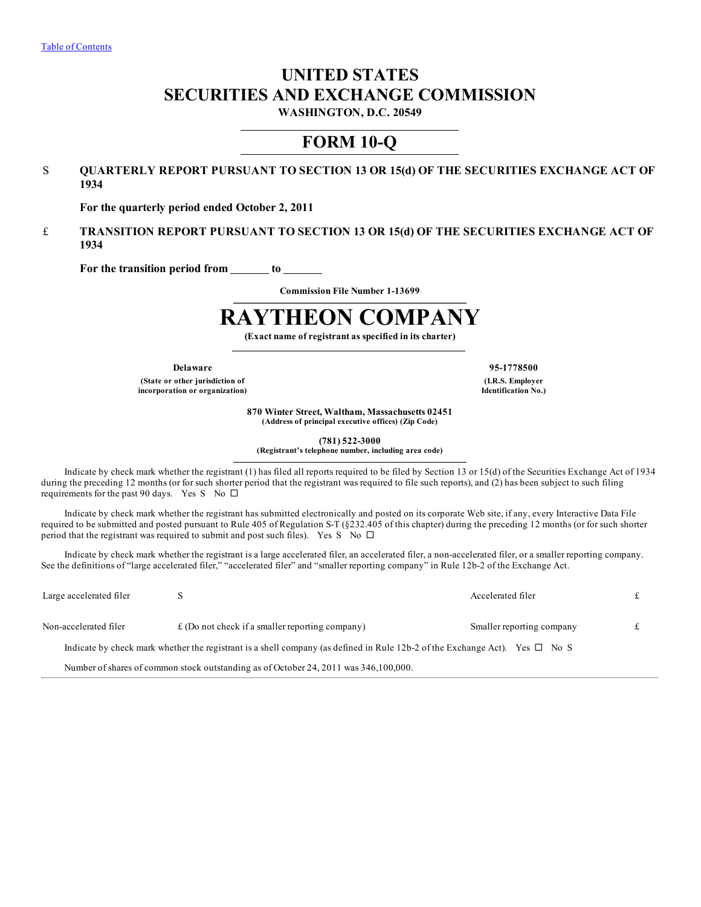# **UNITED STATES SECURITIES AND EXCHANGE COMMISSION**

**WASHINGTON, D.C. 20549**

# **FORM 10-Q**

<span id="page-0-0"></span>S **QUARTERLY REPORT PURSUANT TO SECTION 13 OR 15(d) OF THE SECURITIES EXCHANGE ACT OF 1934**

**For the quarterly period ended October 2, 2011**

£ **TRANSITION REPORT PURSUANT TO SECTION 13 OR 15(d) OF THE SECURITIES EXCHANGE ACT OF 1934**

**For the transition period from to**

**Commission File Number 1-13699**  $\mathcal{L}_\mathcal{L} = \{ \mathcal{L}_\mathcal{L} = \{ \mathcal{L}_\mathcal{L} = \{ \mathcal{L}_\mathcal{L} = \{ \mathcal{L}_\mathcal{L} = \{ \mathcal{L}_\mathcal{L} = \{ \mathcal{L}_\mathcal{L} = \{ \mathcal{L}_\mathcal{L} = \{ \mathcal{L}_\mathcal{L} = \{ \mathcal{L}_\mathcal{L} = \{ \mathcal{L}_\mathcal{L} = \{ \mathcal{L}_\mathcal{L} = \{ \mathcal{L}_\mathcal{L} = \{ \mathcal{L}_\mathcal{L} = \{ \mathcal{L}_\mathcal{$ 

# **RAYTHEON COMPANY**

**(Exact name of registrant as specified in its charter)** \_\_\_\_\_\_\_\_\_\_\_\_\_\_\_\_\_\_\_\_\_\_\_\_\_\_\_\_\_\_\_\_\_\_\_\_\_\_\_\_\_\_\_\_\_\_\_\_\_\_\_\_\_\_\_\_\_\_\_\_\_\_\_\_\_\_\_\_\_\_\_\_\_\_\_\_\_\_\_\_

**(State or other jurisdiction of incorporation or organization)**

**Delaware 95-1778500 (I.R.S. Employer Identification No.)**

> **870 Winter Street, Waltham, Massachusetts 02451 (Address of principal executive offices) (Zip Code)**

> > **(781) 522-3000**

**(Registrant's telephone number, including area code)**

Indicate by check mark whether the registrant (1) has filed all reports required to be filed by Section 13 or 15(d) of the Securities Exchange Act of 1934 during the preceding 12 months (or for such shorter period that the registrant was required to file such reports), and (2) has been subject to such filing requirements for the past 90 days. Yes S No  $\Box$ 

Indicate by check mark whether the registrant has submitted electronically and posted on its corporate Web site, if any, every Interactive Data File required to be submitted and posted pursuant to Rule 405 of Regulation S-T (§232.405 of this chapter) during the preceding 12 months (or for such shorter period that the registrant was required to submit and post such files). Yes S No  $\Box$ 

Indicate by check mark whether the registrant is a large accelerated filer, an accelerated filer, a non-accelerated filer, or a smaller reporting company. See the definitions of "large accelerated filer," "accelerated filer" and "smaller reporting company" in Rule 12b-2 of the Exchange Act.

| Large accelerated filer |                                                                                                                                                                                                                                                                                                                   | Accelerated filer         |  |
|-------------------------|-------------------------------------------------------------------------------------------------------------------------------------------------------------------------------------------------------------------------------------------------------------------------------------------------------------------|---------------------------|--|
| Non-accelerated filer   | $\pounds$ (Do not check if a smaller reporting company)                                                                                                                                                                                                                                                           | Smaller reporting company |  |
|                         | Indicate by check mark whether the registrant is a shell company (as defined in Rule 12b-2 of the Exchange Act). Yes $\square$ No S                                                                                                                                                                               |                           |  |
|                         | $\mathcal{M}$ and $\mathcal{M}$ and $\mathcal{M}$ and $\mathcal{M}$ and $\mathcal{M}$ and $\mathcal{M}$ and $\mathcal{M}$ and $\mathcal{M}$ and $\mathcal{M}$ and $\mathcal{M}$ and $\mathcal{M}$ and $\mathcal{M}$ and $\mathcal{M}$ and $\mathcal{M}$ and $\mathcal{M}$ and $\mathcal{M}$ and $\mathcal{M}$ and |                           |  |

Number of shares of common stock outstanding as of October 24, 2011 was 346,100,000.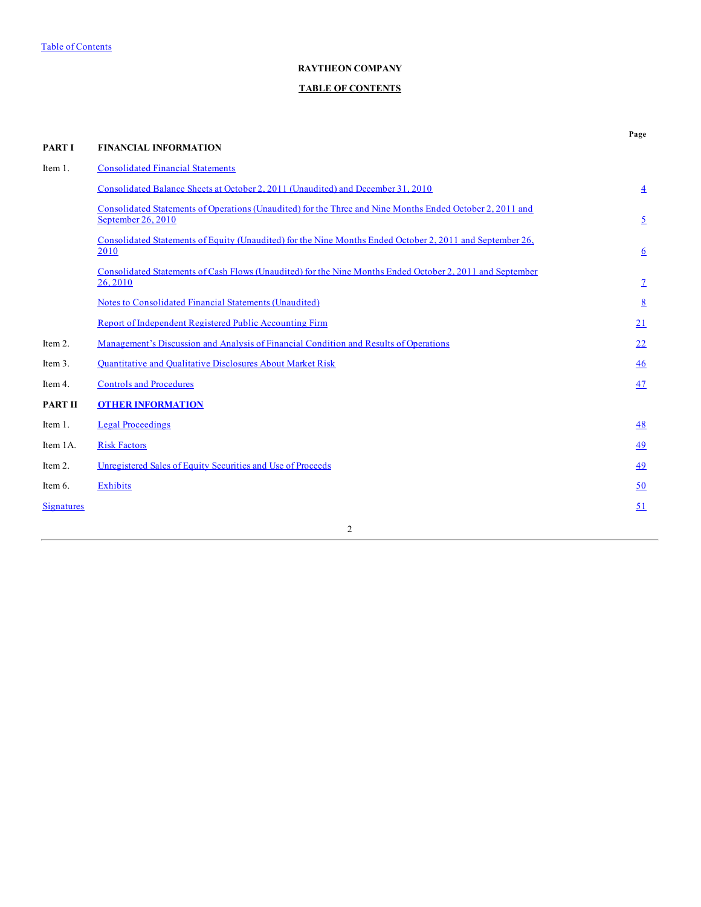# **RAYTHEON COMPANY**

# **TABLE OF CONTENTS**

|                   |                                                                                                                                 | Page            |
|-------------------|---------------------------------------------------------------------------------------------------------------------------------|-----------------|
| <b>PART I</b>     | <b>FINANCIAL INFORMATION</b>                                                                                                    |                 |
| Item 1.           | <b>Consolidated Financial Statements</b>                                                                                        |                 |
|                   | Consolidated Balance Sheets at October 2, 2011 (Unaudited) and December 31, 2010                                                | $\overline{4}$  |
|                   | Consolidated Statements of Operations (Unaudited) for the Three and Nine Months Ended October 2, 2011 and<br>September 26, 2010 | $\overline{2}$  |
|                   | Consolidated Statements of Equity (Unaudited) for the Nine Months Ended October 2, 2011 and September 26,<br>2010               | $6\overline{6}$ |
|                   | Consolidated Statements of Cash Flows (Unaudited) for the Nine Months Ended October 2, 2011 and September<br>26,2010            | $\overline{1}$  |
|                   | Notes to Consolidated Financial Statements (Unaudited)                                                                          | 8               |
|                   | Report of Independent Registered Public Accounting Firm                                                                         | 21              |
| Item 2.           | Management's Discussion and Analysis of Financial Condition and Results of Operations                                           | 22              |
| Item 3.           | Quantitative and Qualitative Disclosures About Market Risk                                                                      | 46              |
| Item 4.           | <b>Controls and Procedures</b>                                                                                                  | 47              |
| <b>PART II</b>    | <b>OTHER INFORMATION</b>                                                                                                        |                 |
| Item 1.           | <b>Legal Proceedings</b>                                                                                                        | 48              |
| Item 1A.          | <b>Risk Factors</b>                                                                                                             | 49              |
| Item 2.           | Unregistered Sales of Equity Securities and Use of Proceeds                                                                     | 49              |
| Item 6.           | <b>Exhibits</b>                                                                                                                 | <u>50</u>       |
| <b>Signatures</b> |                                                                                                                                 | 51              |
|                   |                                                                                                                                 |                 |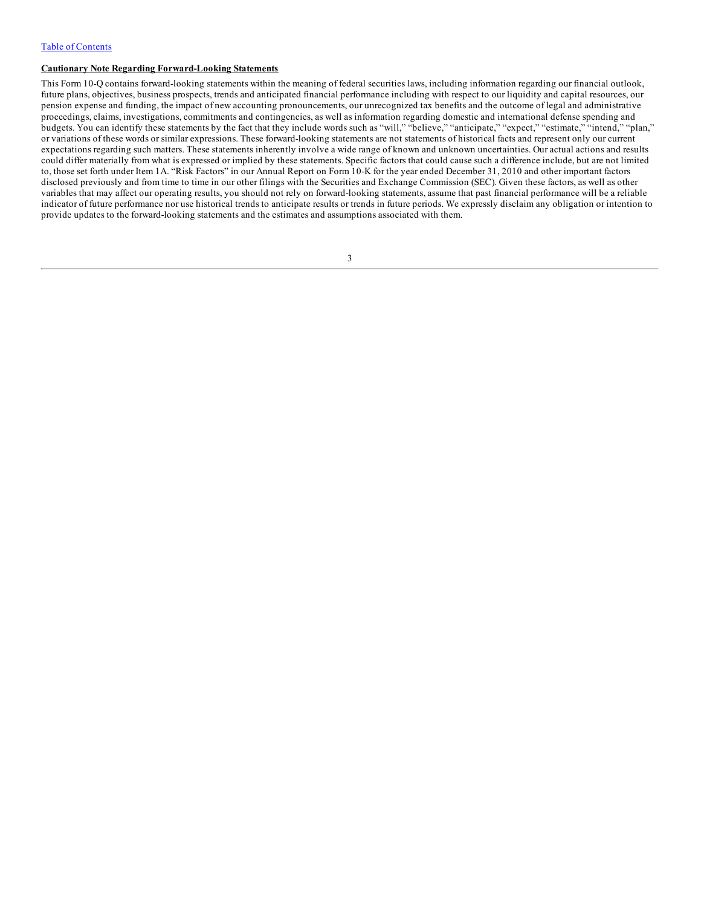#### <span id="page-2-0"></span>**Cautionary Note Regarding Forward-Looking Statements**

This Form 10-Q contains forward-looking statements within the meaning of federal securities laws, including information regarding our financial outlook, future plans, objectives, business prospects, trends and anticipated financial performance including with respect to our liquidity and capital resources, our pension expense and funding, the impact of new accounting pronouncements, our unrecognized tax benefits and the outcome of legal and administrative proceedings, claims, investigations, commitments and contingencies, as well as information regarding domestic and international defense spending and budgets. You can identify these statements by the fact that they include words such as "will," "believe," "anticipate," "expect," "estimate," "intend," "plan," or variations of these words or similar expressions. These forward-looking statements are not statements of historical facts and represent only our current expectations regarding such matters. These statements inherently involve a wide range of known and unknown uncertainties. Our actual actions and results could differ materially from what is expressed or implied by these statements. Specific factors that could cause such a difference include, but are not limited to, those set forth under Item 1A. "Risk Factors" in our Annual Report on Form 10-K for the year ended December 31, 2010 and other important factors disclosed previously and from time to time in our other filings with the Securities and Exchange Commission (SEC). Given these factors, as well as other variables that may affect our operating results, you should not rely on forward-looking statements, assume that past financial performance will be a reliable indicator of future performance nor use historical trends to anticipate results or trends in future periods. We expressly disclaim any obligation or intention to provide updates to the forward-looking statements and the estimates and assumptions associated with them.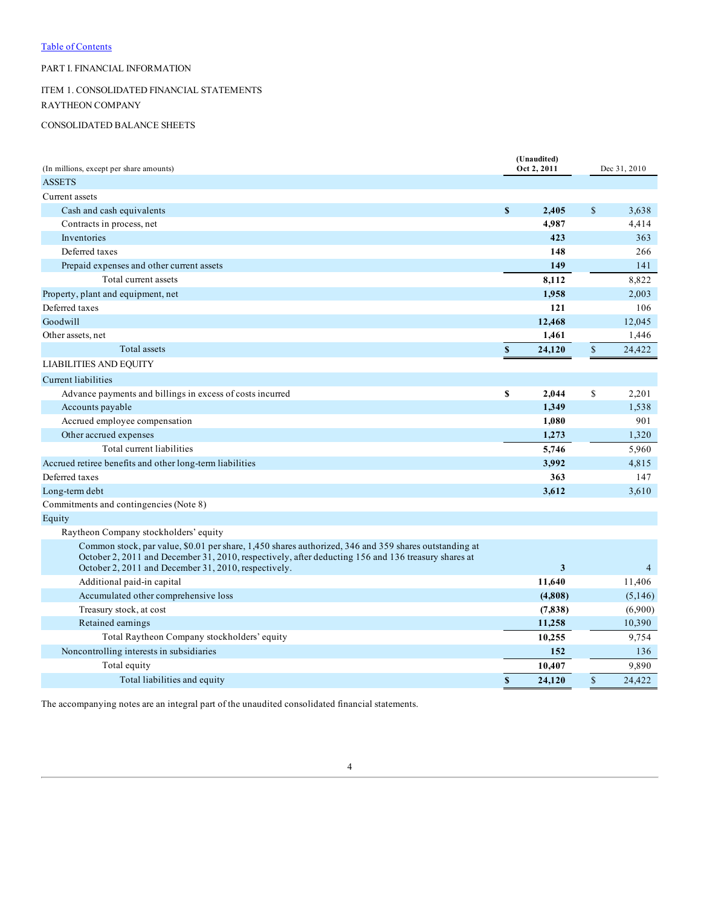<span id="page-3-0"></span>PART I. FINANCIAL INFORMATION

# ITEM 1. CONSOLIDATED FINANCIAL STATEMENTS RAYTHEON COMPANY

CONSOLIDATED BALANCE SHEETS

| (In millions, except per share amounts)                                                                                                                                                                                                                              |              | (Unaudited)<br>Oct 2, 2011 |              | Dec 31, 2010   |
|----------------------------------------------------------------------------------------------------------------------------------------------------------------------------------------------------------------------------------------------------------------------|--------------|----------------------------|--------------|----------------|
| <b>ASSETS</b>                                                                                                                                                                                                                                                        |              |                            |              |                |
| Current assets                                                                                                                                                                                                                                                       |              |                            |              |                |
| Cash and cash equivalents                                                                                                                                                                                                                                            | $\mathbf{s}$ | 2,405                      | $\mathbb{S}$ | 3.638          |
| Contracts in process, net                                                                                                                                                                                                                                            |              | 4,987                      |              | 4,414          |
| Inventories                                                                                                                                                                                                                                                          |              | 423                        |              | 363            |
| Deferred taxes                                                                                                                                                                                                                                                       |              | 148                        |              | 266            |
| Prepaid expenses and other current assets                                                                                                                                                                                                                            |              | 149                        |              | 141            |
| Total current assets                                                                                                                                                                                                                                                 |              | 8,112                      |              | 8,822          |
| Property, plant and equipment, net                                                                                                                                                                                                                                   |              | 1,958                      |              | 2,003          |
| Deferred taxes                                                                                                                                                                                                                                                       |              | 121                        |              | 106            |
| Goodwill                                                                                                                                                                                                                                                             |              | 12,468                     |              | 12,045         |
| Other assets, net                                                                                                                                                                                                                                                    |              | 1,461                      |              | 1,446          |
| <b>Total</b> assets                                                                                                                                                                                                                                                  | $\mathbb S$  | 24,120                     | $\mathbb{S}$ | 24,422         |
| <b>LIABILITIES AND EQUITY</b>                                                                                                                                                                                                                                        |              |                            |              |                |
| Current liabilities                                                                                                                                                                                                                                                  |              |                            |              |                |
| Advance payments and billings in excess of costs incurred                                                                                                                                                                                                            | \$           | 2,044                      | \$           | 2,201          |
| Accounts payable                                                                                                                                                                                                                                                     |              | 1,349                      |              | 1,538          |
| Accrued employee compensation                                                                                                                                                                                                                                        |              | 1,080                      |              | 901            |
| Other accrued expenses                                                                                                                                                                                                                                               |              | 1,273                      |              | 1,320          |
| Total current liabilities                                                                                                                                                                                                                                            |              | 5,746                      |              | 5,960          |
| Accrued retiree benefits and other long-term liabilities                                                                                                                                                                                                             |              | 3,992                      |              | 4,815          |
| Deferred taxes                                                                                                                                                                                                                                                       |              | 363                        |              | 147            |
| Long-term debt                                                                                                                                                                                                                                                       |              | 3,612                      |              | 3,610          |
| Commitments and contingencies (Note 8)                                                                                                                                                                                                                               |              |                            |              |                |
| Equity                                                                                                                                                                                                                                                               |              |                            |              |                |
| Raytheon Company stockholders' equity                                                                                                                                                                                                                                |              |                            |              |                |
| Common stock, par value, \$0.01 per share, 1,450 shares authorized, 346 and 359 shares outstanding at<br>October 2, 2011 and December 31, 2010, respectively, after deducting 156 and 136 treasury shares at<br>October 2, 2011 and December 31, 2010, respectively. |              | 3                          |              | $\overline{4}$ |
| Additional paid-in capital                                                                                                                                                                                                                                           |              | 11,640                     |              | 11,406         |
| Accumulated other comprehensive loss                                                                                                                                                                                                                                 |              | (4,808)                    |              | (5,146)        |
| Treasury stock, at cost                                                                                                                                                                                                                                              |              | (7,838)                    |              | (6,900)        |
| Retained earnings                                                                                                                                                                                                                                                    |              | 11,258                     |              | 10,390         |
| Total Raytheon Company stockholders' equity                                                                                                                                                                                                                          |              | 10,255                     |              | 9,754          |
| Noncontrolling interests in subsidiaries                                                                                                                                                                                                                             |              | 152                        |              | 136            |
| Total equity                                                                                                                                                                                                                                                         |              | 10,407                     |              | 9,890          |
| Total liabilities and equity                                                                                                                                                                                                                                         | $\mathbf S$  | 24,120                     | $\mathbb S$  | 24,422         |

The accompanying notes are an integral part of the unaudited consolidated financial statements.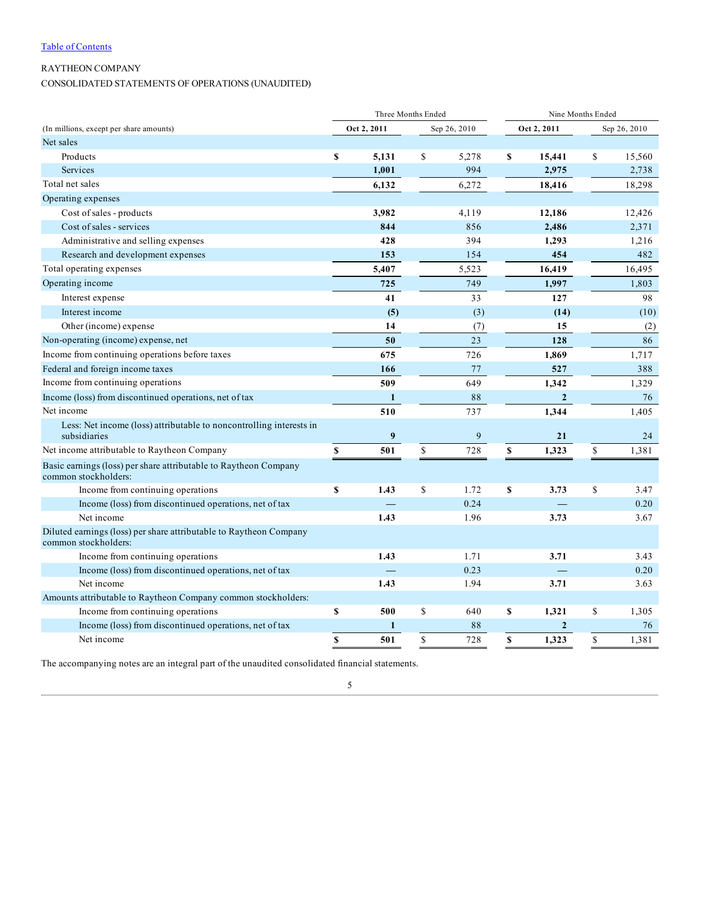# RAYTHEON COMPANY

CONSOLIDATED STATEMENTS OF OPERATIONS (UNAUDITED)

|                                                                                            |             | Three Months Ended |              |    |                  | Nine Months Ended |              |  |
|--------------------------------------------------------------------------------------------|-------------|--------------------|--------------|----|------------------|-------------------|--------------|--|
| (In millions, except per share amounts)                                                    |             | Oct 2, 2011        | Sep 26, 2010 |    | Oct 2, 2011      |                   | Sep 26, 2010 |  |
| Net sales                                                                                  |             |                    |              |    |                  |                   |              |  |
| Products                                                                                   | \$          | 5.131              | \$<br>5,278  | S  | 15,441           | \$                | 15,560       |  |
| Services                                                                                   |             | 1,001              | 994          |    | 2,975            |                   | 2,738        |  |
| Total net sales                                                                            |             | 6,132              | 6,272        |    | 18,416           |                   | 18,298       |  |
| Operating expenses                                                                         |             |                    |              |    |                  |                   |              |  |
| Cost of sales - products                                                                   |             | 3,982              | 4,119        |    | 12,186           |                   | 12,426       |  |
| Cost of sales - services                                                                   |             | 844                | 856          |    | 2,486            |                   | 2,371        |  |
| Administrative and selling expenses                                                        |             | 428                | 394          |    | 1,293            |                   | 1,216        |  |
| Research and development expenses                                                          |             | 153                | 154          |    | 454              |                   | 482          |  |
| Total operating expenses                                                                   |             | 5,407              | 5,523        |    | 16,419           |                   | 16,495       |  |
| Operating income                                                                           |             | 725                | 749          |    | 1,997            |                   | 1,803        |  |
| Interest expense                                                                           |             | 41                 | 33           |    | 127              |                   | 98           |  |
| Interest income                                                                            |             | (5)                | (3)          |    | (14)             |                   | (10)         |  |
| Other (income) expense                                                                     |             | 14                 | (7)          |    | 15               |                   | (2)          |  |
| Non-operating (income) expense, net                                                        |             | 50                 | 23           |    | 128              |                   | 86           |  |
| Income from continuing operations before taxes                                             |             | 675                | 726          |    | 1,869            |                   | 1,717        |  |
| Federal and foreign income taxes                                                           |             | 166                | 77           |    | 527              |                   | 388          |  |
| Income from continuing operations                                                          |             | 509                | 649          |    | 1,342            |                   | 1,329        |  |
| Income (loss) from discontinued operations, net of tax                                     |             | $\mathbf{1}$       | 88           |    | $\mathbf{2}$     |                   | 76           |  |
| Net income                                                                                 |             | 510                | 737          |    | 1,344            |                   | 1,405        |  |
| Less: Net income (loss) attributable to noncontrolling interests in<br>subsidiaries        |             | $\boldsymbol{9}$   | 9            |    | 21               |                   | 24           |  |
| Net income attributable to Raytheon Company                                                | $\mathbf S$ | 501                | \$<br>728    | \$ | 1,323            | \$                | 1,381        |  |
| Basic earnings (loss) per share attributable to Raytheon Company<br>common stockholders:   |             |                    |              |    |                  |                   |              |  |
| Income from continuing operations                                                          | \$          | 1.43               | \$<br>1.72   | \$ | 3.73             | \$                | 3.47         |  |
| Income (loss) from discontinued operations, net of tax                                     |             |                    | 0.24         |    |                  |                   | 0.20         |  |
| Net income                                                                                 |             | 1.43               | 1.96         |    | 3.73             |                   | 3.67         |  |
| Diluted earnings (loss) per share attributable to Raytheon Company<br>common stockholders: |             |                    |              |    |                  |                   |              |  |
| Income from continuing operations                                                          |             | 1.43               | 1.71         |    | 3.71             |                   | 3.43         |  |
| Income (loss) from discontinued operations, net of tax                                     |             |                    | 0.23         |    |                  |                   | 0.20         |  |
| Net income                                                                                 |             | 1.43               | 1.94         |    | 3.71             |                   | 3.63         |  |
| Amounts attributable to Raytheon Company common stockholders:                              |             |                    |              |    |                  |                   |              |  |
| Income from continuing operations                                                          | \$          | 500                | \$<br>640    | \$ | 1,321            | \$                | 1,305        |  |
| Income (loss) from discontinued operations, net of tax                                     |             | 1                  | 88           |    | $\boldsymbol{2}$ |                   | 76           |  |
| Net income                                                                                 | \$          | 501                | \$<br>728    | \$ | 1,323            | \$                | 1,381        |  |

The accompanying notes are an integral part of the unaudited consolidated financial statements.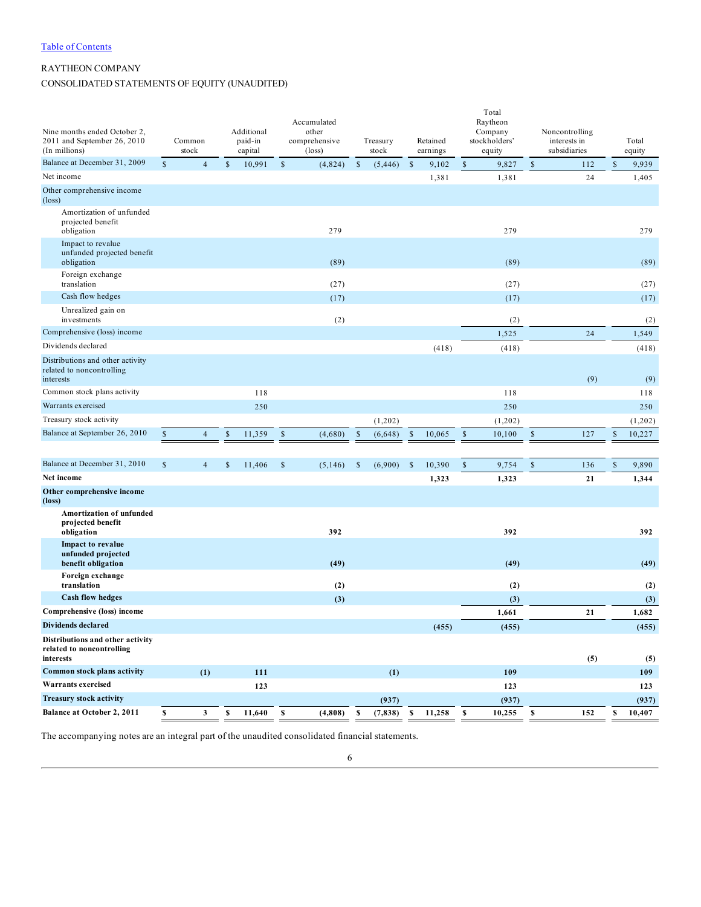# <span id="page-5-0"></span>RAYTHEON COMPANY

# CONSOLIDATED STATEMENTS OF EQUITY (UNAUDITED)

| Nine months ended October 2,<br>2011 and September 26, 2010<br>(In millions) |              | Common<br>stock | Additional<br>paid-in<br>capital |              | Accumulated<br>other<br>comprehensive<br>$(\text{loss})$ |              | Treasury<br>stock |               | Retained<br>earnings |              | Total<br>Raytheon<br>Company<br>stockholders'<br>equity |              | Noncontrolling<br>interests in<br>subsidiaries |               | Total<br>equity |
|------------------------------------------------------------------------------|--------------|-----------------|----------------------------------|--------------|----------------------------------------------------------|--------------|-------------------|---------------|----------------------|--------------|---------------------------------------------------------|--------------|------------------------------------------------|---------------|-----------------|
| Balance at December 31, 2009                                                 | $\mathbb{S}$ | $\overline{4}$  | \$<br>10,991                     | $\mathbb{S}$ | (4,824)                                                  | \$           | (5, 446)          | $\mathcal{S}$ | 9,102                | $\mathbb{S}$ | 9,827                                                   | \$           | 112                                            | \$            | 9,939           |
| Net income                                                                   |              |                 |                                  |              |                                                          |              |                   |               | 1,381                |              | 1,381                                                   |              | 24                                             |               | 1,405           |
| Other comprehensive income<br>$(\text{loss})$                                |              |                 |                                  |              |                                                          |              |                   |               |                      |              |                                                         |              |                                                |               |                 |
| Amortization of unfunded<br>projected benefit<br>obligation                  |              |                 |                                  |              | 279                                                      |              |                   |               |                      |              | 279                                                     |              |                                                |               | 279             |
| Impact to revalue<br>unfunded projected benefit<br>obligation                |              |                 |                                  |              | (89)                                                     |              |                   |               |                      |              | (89)                                                    |              |                                                |               | (89)            |
| Foreign exchange<br>translation                                              |              |                 |                                  |              | (27)                                                     |              |                   |               |                      |              | (27)                                                    |              |                                                |               | (27)            |
| Cash flow hedges                                                             |              |                 |                                  |              | (17)                                                     |              |                   |               |                      |              | (17)                                                    |              |                                                |               | (17)            |
| Unrealized gain on<br>investments                                            |              |                 |                                  |              | (2)                                                      |              |                   |               |                      |              | (2)                                                     |              |                                                |               | (2)             |
| Comprehensive (loss) income                                                  |              |                 |                                  |              |                                                          |              |                   |               |                      |              | 1,525                                                   |              | 24                                             |               | 1,549           |
| Dividends declared                                                           |              |                 |                                  |              |                                                          |              |                   |               | (418)                |              | (418)                                                   |              |                                                |               | (418)           |
| Distributions and other activity<br>related to noncontrolling<br>interests   |              |                 |                                  |              |                                                          |              |                   |               |                      |              |                                                         |              | (9)                                            |               | (9)             |
| Common stock plans activity                                                  |              |                 | 118                              |              |                                                          |              |                   |               |                      |              | 118                                                     |              |                                                |               | 118             |
| Warrants exercised                                                           |              |                 | 250                              |              |                                                          |              |                   |               |                      |              | 250                                                     |              |                                                |               | 250             |
| Treasury stock activity                                                      |              |                 |                                  |              |                                                          |              | (1,202)           |               |                      |              | (1,202)                                                 |              |                                                |               | (1,202)         |
| Balance at September 26, 2010                                                | $\mathbb{S}$ | $\overline{4}$  | \$<br>11,359                     | $\mathbb{S}$ | (4,680)                                                  | $\mathbb{S}$ | (6,648)           | $\mathbb{S}$  | 10,065               | $\mathbb{S}$ | 10,100                                                  | $\mathbb{S}$ | 127                                            | $\mathbb{S}$  | 10,227          |
|                                                                              |              |                 |                                  |              |                                                          |              |                   |               |                      |              |                                                         |              |                                                |               |                 |
| Balance at December 31, 2010                                                 | $\mathbb{S}$ | $\overline{4}$  | \$<br>11,406                     | $\mathbb{S}$ | (5,146)                                                  | \$           | (6,900)           | \$            | 10,390               | $\mathbb{S}$ | 9,754                                                   | $\mathbb{S}$ | 136                                            | $\mathcal{S}$ | 9,890           |
| Net income                                                                   |              |                 |                                  |              |                                                          |              |                   |               | 1,323                |              | 1,323                                                   |              | 21                                             |               | 1,344           |
| Other comprehensive income<br>$(\text{loss})$                                |              |                 |                                  |              |                                                          |              |                   |               |                      |              |                                                         |              |                                                |               |                 |
| Amortization of unfunded<br>projected benefit<br>obligation                  |              |                 |                                  |              | 392                                                      |              |                   |               |                      |              | 392                                                     |              |                                                |               | 392             |
| <b>Impact to revalue</b><br>unfunded projected<br>benefit obligation         |              |                 |                                  |              | (49)                                                     |              |                   |               |                      |              | (49)                                                    |              |                                                |               | (49)            |
| Foreign exchange<br>translation                                              |              |                 |                                  |              | (2)                                                      |              |                   |               |                      |              | (2)                                                     |              |                                                |               | (2)             |
| <b>Cash flow hedges</b>                                                      |              |                 |                                  |              | (3)                                                      |              |                   |               |                      |              | (3)                                                     |              |                                                |               | (3)             |
| Comprehensive (loss) income                                                  |              |                 |                                  |              |                                                          |              |                   |               |                      |              | 1,661                                                   |              | 21                                             |               | 1,682           |
| Dividends declared                                                           |              |                 |                                  |              |                                                          |              |                   |               | (455)                |              | (455)                                                   |              |                                                |               | (455)           |
| Distributions and other activity<br>related to noncontrolling<br>interests   |              |                 |                                  |              |                                                          |              |                   |               |                      |              |                                                         |              | (5)                                            |               | (5)             |
| Common stock plans activity                                                  |              | (1)             | 111                              |              |                                                          |              | (1)               |               |                      |              | 109                                                     |              |                                                |               | 109             |
| Warrants exercised                                                           |              |                 | 123                              |              |                                                          |              |                   |               |                      |              | 123                                                     |              |                                                |               | 123             |
| <b>Treasury stock activity</b>                                               |              |                 |                                  |              |                                                          |              | (937)             |               |                      |              | (937)                                                   |              |                                                |               | (937)           |
| Balance at October 2, 2011                                                   | \$           | $\mathbf{3}$    | \$<br>11,640                     | $\mathbf{s}$ | (4,808)                                                  | S            | $(7,838)$ \$      |               | 11,258               | \$           | 10,255                                                  | \$           | 152                                            | S             | 10,407          |

The accompanying notes are an integral part of the unaudited consolidated financial statements.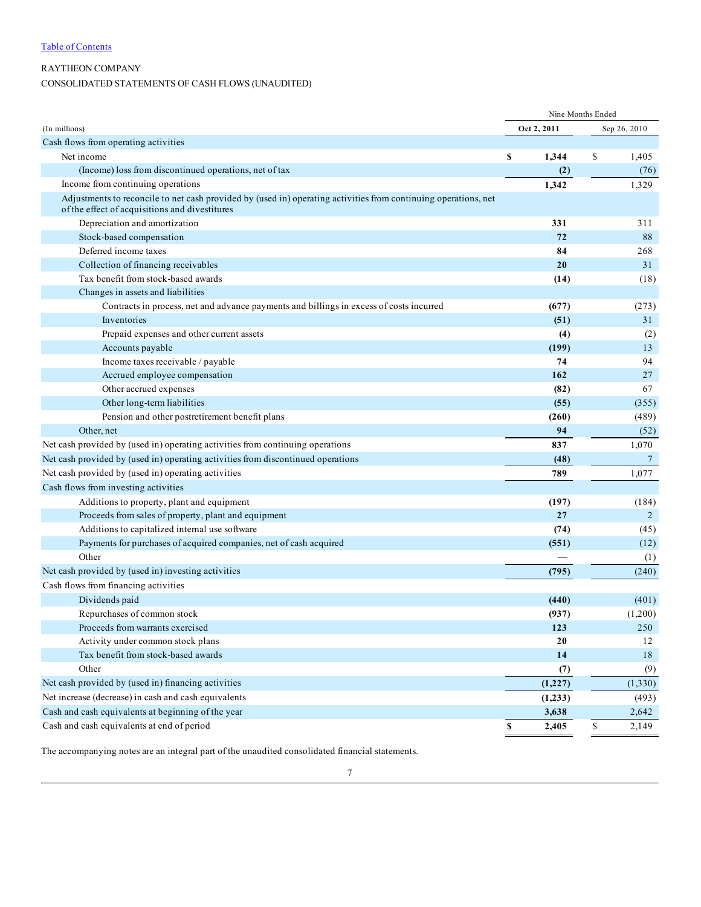# <span id="page-6-0"></span>RAYTHEON COMPANY

# CONSOLIDATED STATEMENTS OF CASH FLOWS (UNAUDITED)

|                                                                                                                                                                   | Nine Months Ended |               |              |
|-------------------------------------------------------------------------------------------------------------------------------------------------------------------|-------------------|---------------|--------------|
| (In millions)                                                                                                                                                     | Oct 2, 2011       |               | Sep 26, 2010 |
| Cash flows from operating activities                                                                                                                              |                   |               |              |
| Net income                                                                                                                                                        | \$<br>1,344       | \$            | 1,405        |
| (Income) loss from discontinued operations, net of tax                                                                                                            | (2)               |               | (76)         |
| Income from continuing operations                                                                                                                                 | 1,342             |               | 1,329        |
| Adjustments to reconcile to net cash provided by (used in) operating activities from continuing operations, net<br>of the effect of acquisitions and divestitures |                   |               |              |
| Depreciation and amortization                                                                                                                                     | 331               |               | 311          |
| Stock-based compensation                                                                                                                                          | 72                |               | 88           |
| Deferred income taxes                                                                                                                                             | 84                |               | 268          |
| Collection of financing receivables                                                                                                                               | 20                |               | 31           |
| Tax benefit from stock-based awards                                                                                                                               | (14)              |               | (18)         |
| Changes in assets and liabilities                                                                                                                                 |                   |               |              |
| Contracts in process, net and advance payments and billings in excess of costs incurred                                                                           | (677)             |               | (273)        |
| Inventories                                                                                                                                                       | (51)              |               | 31           |
| Prepaid expenses and other current assets                                                                                                                         | (4)               |               | (2)          |
| Accounts payable                                                                                                                                                  | (199)             |               | 13           |
| Income taxes receivable / payable                                                                                                                                 | 74                |               | 94           |
| Accrued employee compensation                                                                                                                                     | 162               |               | 27           |
| Other accrued expenses                                                                                                                                            | (82)              |               | 67           |
| Other long-term liabilities                                                                                                                                       | (55)              |               | (355)        |
| Pension and other postretirement benefit plans                                                                                                                    | (260)             |               | (489)        |
| Other, net                                                                                                                                                        | 94                |               | (52)         |
| Net cash provided by (used in) operating activities from continuing operations                                                                                    | 837               |               | 1,070        |
| Net cash provided by (used in) operating activities from discontinued operations                                                                                  | (48)              |               | $\tau$       |
| Net cash provided by (used in) operating activities                                                                                                               | 789               |               | 1,077        |
| Cash flows from investing activities                                                                                                                              |                   |               |              |
| Additions to property, plant and equipment                                                                                                                        | (197)             |               | (184)        |
| Proceeds from sales of property, plant and equipment                                                                                                              | 27                |               | 2            |
| Additions to capitalized internal use software                                                                                                                    | (74)              |               | (45)         |
| Payments for purchases of acquired companies, net of cash acquired                                                                                                | (551)             |               | (12)         |
| Other                                                                                                                                                             |                   |               | (1)          |
| Net cash provided by (used in) investing activities                                                                                                               | (795)             |               | (240)        |
| Cash flows from financing activities                                                                                                                              |                   |               |              |
| Dividends paid                                                                                                                                                    | (440)             |               | (401)        |
| Repurchases of common stock                                                                                                                                       | (937)             |               | (1,200)      |
| Proceeds from warrants exercised                                                                                                                                  | 123               |               | 250          |
| Activity under common stock plans                                                                                                                                 | 20                |               | 12           |
| Tax benefit from stock-based awards                                                                                                                               | 14                |               | 18           |
| Other                                                                                                                                                             | (7)               |               | (9)          |
| Net cash provided by (used in) financing activities                                                                                                               | (1,227)           |               | (1,330)      |
| Net increase (decrease) in cash and cash equivalents                                                                                                              | (1,233)           |               | (493)        |
| Cash and cash equivalents at beginning of the year                                                                                                                | 3,638             |               | 2,642        |
| Cash and cash equivalents at end of period                                                                                                                        | \$<br>2,405       | ${\mathbb S}$ | 2,149        |
|                                                                                                                                                                   |                   |               |              |

The accompanying notes are an integral part of the unaudited consolidated financial statements.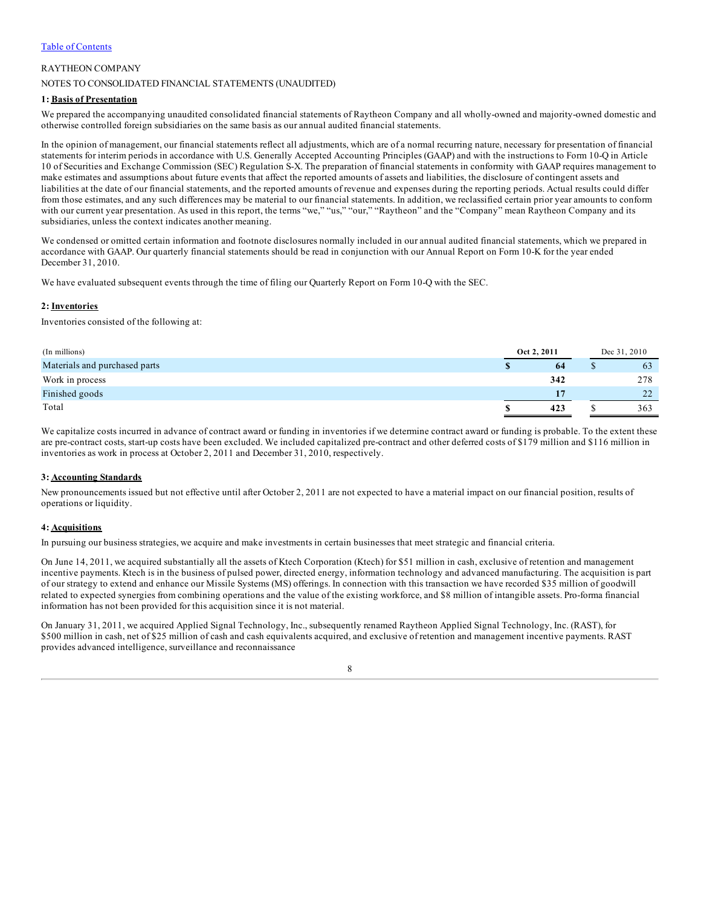# RAYTHEON COMPANY NOTES TO CONSOLIDATED FINANCIAL STATEMENTS (UNAUDITED)

# **1: Basis of Presentation**

We prepared the accompanying unaudited consolidated financial statements of Raytheon Company and all wholly-owned and majority-owned domestic and otherwise controlled foreign subsidiaries on the same basis as our annual audited financial statements.

In the opinion of management, our financial statements reflect all adjustments, which are of a normal recurring nature, necessary for presentation of financial statements for interim periods in accordance with U.S. Generally Accepted Accounting Principles (GAAP) and with the instructions to Form 10-Q in Article 10 of Securities and Exchange Commission (SEC) Regulation S-X. The preparation of financial statements in conformity with GAAP requires management to make estimates and assumptions about future events that affect the reported amounts of assets and liabilities, the disclosure of contingent assets and liabilities at the date of our financial statements, and the reported amounts of revenue and expenses during the reporting periods. Actual results could differ from those estimates, and any such differences may be material to our financial statements. In addition, we reclassified certain prior year amounts to conform with our current year presentation. As used in this report, the terms "we," "us," "our," "Raytheon" and the "Company" mean Raytheon Company and its subsidiaries, unless the context indicates another meaning.

We condensed or omitted certain information and footnote disclosures normally included in our annual audited financial statements, which we prepared in accordance with GAAP. Our quarterly financial statements should be read in conjunction with our Annual Report on Form 10-K for the year ended December 31, 2010.

We have evaluated subsequent events through the time of filing our Quarterly Report on Form 10-Q with the SEC.

#### **2: Inventories**

Inventories consisted of the following at:

| (In millions)                 | Oct 2, 2011 |     | Dec 31, 2010 |     |
|-------------------------------|-------------|-----|--------------|-----|
| Materials and purchased parts | S           | 64  |              | 63  |
| Work in process               |             | 342 |              | 278 |
| Finished goods                |             | 17  |              | 22  |
| Total                         |             | 423 |              | 363 |
|                               |             |     |              |     |

We capitalize costs incurred in advance of contract award or funding in inventories if we determine contract award or funding is probable. To the extent these are pre-contract costs, start-up costs have been excluded. We included capitalized pre-contract and other deferred costs of \$179 million and \$116 million in inventories as work in process at October 2, 2011 and December 31, 2010, respectively.

#### **3: Accounting Standards**

New pronouncements issued but not effective until after October 2, 2011 are not expected to have a material impact on our financial position, results of operations or liquidity.

#### **4: Acquisitions**

In pursuing our business strategies, we acquire and make investments in certain businesses that meet strategic and financial criteria.

On June 14, 2011, we acquired substantially all the assets of Ktech Corporation (Ktech) for \$51 million in cash, exclusive of retention and management incentive payments. Ktech is in the business of pulsed power, directed energy, information technology and advanced manufacturing. The acquisition is part of our strategy to extend and enhance our Missile Systems (MS) offerings. In connection with this transaction we have recorded \$35 million of goodwill related to expected synergies from combining operations and the value of the existing workforce, and \$8 million of intangible assets. Pro-forma financial information has not been provided for this acquisition since it is not material.

On January 31, 2011, we acquired Applied Signal Technology, Inc., subsequently renamed Raytheon Applied Signal Technology, Inc. (RAST), for \$500 million in cash, net of \$25 million of cash and cash equivalents acquired, and exclusive of retention and management incentive payments. RAST provides advanced intelligence, surveillance and reconnaissance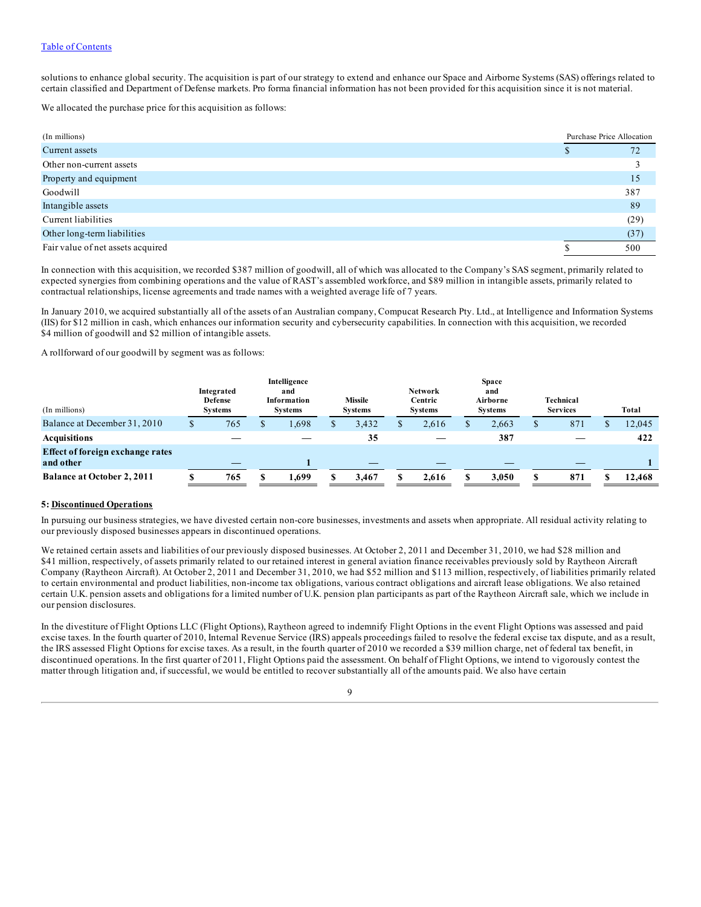solutions to enhance global security. The acquisition is part of our strategy to extend and enhance our Space and Airborne Systems (SAS) offerings related to certain classified and Department of Defense markets. Pro forma financial information has not been provided for this acquisition since it is not material.

We allocated the purchase price for this acquisition as follows:

| (In millions)                     | Purchase Price Allocation |
|-----------------------------------|---------------------------|
| Current assets                    | 72                        |
| Other non-current assets          |                           |
| Property and equipment            | 15                        |
| Goodwill                          | 387                       |
| Intangible assets                 | 89                        |
| Current liabilities               | (29)                      |
| Other long-term liabilities       | (37)                      |
| Fair value of net assets acquired | 500                       |

In connection with this acquisition, we recorded \$387 million of goodwill, all of which was allocated to the Company's SAS segment, primarily related to expected synergies from combining operations and the value of RAST's assembled workforce, and \$89 million in intangible assets, primarily related to contractual relationships, license agreements and trade names with a weighted average life of 7 years.

In January 2010, we acquired substantially all of the assets of an Australian company, Compucat Research Pty. Ltd., at Intelligence and Information Systems (IIS) for \$12 million in cash, which enhances our information security and cybersecurity capabilities. In connection with this acquisition, we recorded \$4 million of goodwill and \$2 million of intangible assets.

A rollforward of our goodwill by segment was as follows:

| (In millions)                                 | Integrated<br><b>Defense</b><br><b>Systems</b> | Intelligence<br>and<br>Information<br>Systems | <b>Missile</b><br><b>Systems</b> | <b>Network</b><br>Centric<br><b>Systems</b> | <b>Space</b><br>and<br>Airborne<br><b>Systems</b> |   | Technical<br><b>Services</b> |    | Total  |
|-----------------------------------------------|------------------------------------------------|-----------------------------------------------|----------------------------------|---------------------------------------------|---------------------------------------------------|---|------------------------------|----|--------|
| Balance at December 31, 2010                  | 765                                            | .698                                          | 3,432                            | 2.616                                       | 2,663                                             | S | 871                          | .n | 12.045 |
| <b>Acquisitions</b>                           |                                                |                                               | 35                               |                                             | 387                                               |   |                              |    | 422    |
| Effect of foreign exchange rates<br>and other |                                                |                                               |                                  |                                             |                                                   |   |                              |    |        |
| <b>Balance at October 2, 2011</b>             | 765                                            | 1,699                                         | 3.467                            | 2.616                                       | 3.050                                             |   | 871                          |    | 12.468 |

#### **5: Discontinued Operations**

In pursuing our business strategies, we have divested certain non-core businesses, investments and assets when appropriate. All residual activity relating to our previously disposed businesses appears in discontinued operations.

We retained certain assets and liabilities of our previously disposed businesses. At October 2, 2011 and December 31, 2010, we had \$28 million and \$41 million, respectively, of assets primarily related to our retained interest in general aviation finance receivables previously sold by Raytheon Aircraft Company (Raytheon Aircraft). At October 2, 2011 and December 31, 2010, we had \$52 million and \$113 million, respectively, of liabilities primarily related to certain environmental and product liabilities, non-income tax obligations, various contract obligations and aircraft lease obligations. We also retained certain U.K. pension assets and obligations for a limited number of U.K. pension plan participants as part of the Raytheon Aircraft sale, which we include in our pension disclosures.

In the divestiture of Flight Options LLC (Flight Options), Raytheon agreed to indemnify Flight Options in the event Flight Options was assessed and paid excise taxes. In the fourth quarter of 2010, Internal Revenue Service (IRS) appeals proceedings failed to resolve the federal excise tax dispute, and as a result, the IRS assessed Flight Options for excise taxes. As a result, in the fourth quarter of 2010 we recorded a \$39 million charge, net of federal tax benefit, in discontinued operations. In the first quarter of 2011, Flight Options paid the assessment. On behalf of Flight Options, we intend to vigorously contest the matter through litigation and, if successful, we would be entitled to recover substantially all of the amounts paid. We also have certain

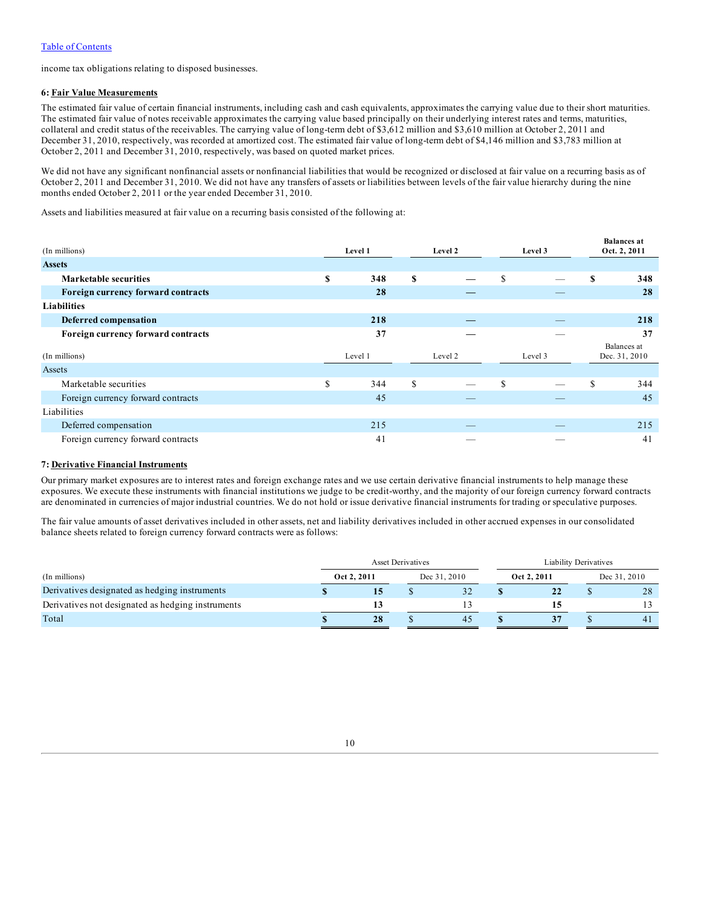income tax obligations relating to disposed businesses.

#### **6: Fair Value Measurements**

The estimated fair value of certain financial instruments, including cash and cash equivalents, approximates the carrying value due to their short maturities. The estimated fair value of notes receivable approximates the carrying value based principally on their underlying interest rates and terms, maturities, collateral and credit status of the receivables. The carrying value of long-term debt of \$3,612 million and \$3,610 million at October 2, 2011 and December 31, 2010, respectively, was recorded at amortized cost. The estimated fair value of long-term debt of \$4,146 million and \$3,783 million at October 2, 2011 and December 31, 2010, respectively, was based on quoted market prices.

We did not have any significant nonfinancial assets or nonfinancial liabilities that would be recognized or disclosed at fair value on a recurring basis as of October 2, 2011 and December 31, 2010. We did not have any transfers of assets or liabilities between levels of the fair value hierarchy during the nine months ended October 2, 2011 or the year ended December 31, 2010.

Assets and liabilities measured at fair value on a recurring basis consisted of the following at:

| (In millions)                      |   | Level 1<br>Level 2 |              |         |    | Level 3 | <b>Balances</b> at<br>Oct. 2, 2011 |                              |  |
|------------------------------------|---|--------------------|--------------|---------|----|---------|------------------------------------|------------------------------|--|
| <b>Assets</b>                      |   |                    |              |         |    |         |                                    |                              |  |
| Marketable securities              | S | 348                | S            |         | \$ |         | \$.                                | 348                          |  |
| Foreign currency forward contracts |   | 28                 |              |         |    |         |                                    | 28                           |  |
| <b>Liabilities</b>                 |   |                    |              |         |    |         |                                    |                              |  |
| Deferred compensation              |   | 218                |              |         |    |         |                                    | 218                          |  |
| Foreign currency forward contracts |   | 37                 |              |         |    |         |                                    | 37                           |  |
|                                    |   |                    |              |         |    |         |                                    |                              |  |
| (In millions)                      |   | Level 1            |              | Level 2 |    | Level 3 |                                    | Balances at<br>Dec. 31, 2010 |  |
| Assets                             |   |                    |              |         |    |         |                                    |                              |  |
| Marketable securities              | S | 344                | $\mathbb{S}$ |         | \$ |         | S                                  | 344                          |  |
| Foreign currency forward contracts |   | 45                 |              |         |    |         |                                    | 45                           |  |
| Liabilities                        |   |                    |              |         |    |         |                                    |                              |  |
| Deferred compensation              |   | 215                |              |         |    |         |                                    | 215                          |  |

#### **7: Derivative Financial Instruments**

Our primary market exposures are to interest rates and foreign exchange rates and we use certain derivative financial instruments to help manage these exposures. We execute these instruments with financial institutions we judge to be credit-worthy, and the majority of our foreign currency forward contracts are denominated in currencies of major industrial countries. We do not hold or issue derivative financial instruments for trading or speculative purposes.

The fair value amounts of asset derivatives included in other assets, net and liability derivatives included in other accrued expenses in our consolidated balance sheets related to foreign currency forward contracts were as follows:

|                                                   |             |    | <b>Asset Derivatives</b> | <b>Liability Derivatives</b> |  |             |              |    |
|---------------------------------------------------|-------------|----|--------------------------|------------------------------|--|-------------|--------------|----|
| (In millions)                                     | Oct 2, 2011 |    |                          | Dec 31, 2010                 |  | Oct 2, 2011 | Dec 31, 2010 |    |
| Derivatives designated as hedging instruments     |             |    |                          |                              |  | 22          |              | 28 |
| Derivatives not designated as hedging instruments |             |    |                          |                              |  |             |              |    |
| Total                                             |             | 28 |                          | 45                           |  |             |              |    |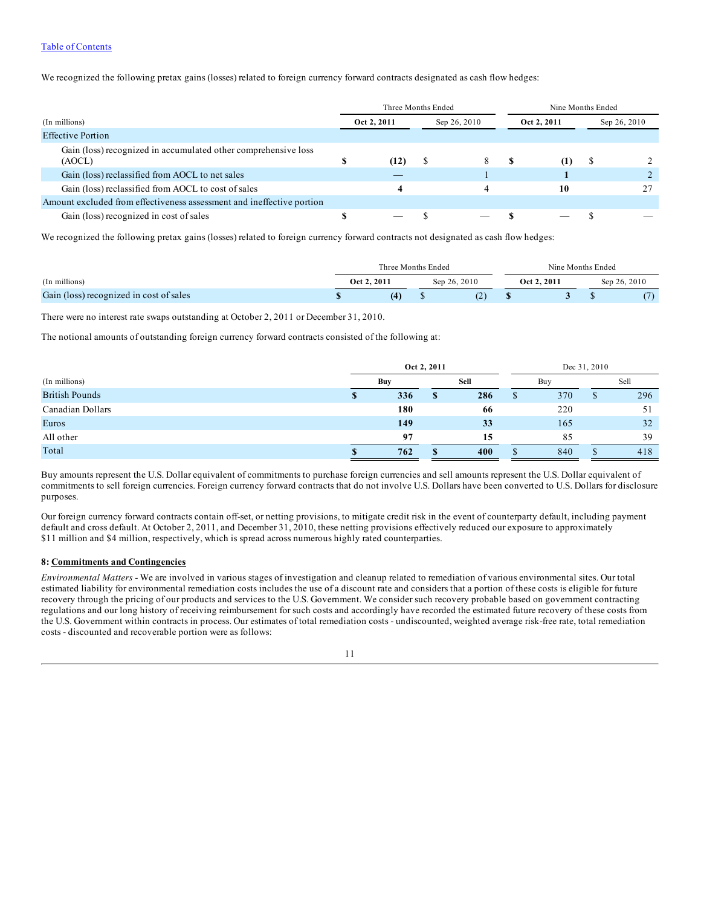We recognized the following pretax gains (losses) related to foreign currency forward contracts designated as cash flow hedges:

|                                                                          | Three Months Ended |             |  |              |             | Nine Months Ended |              |  |  |  |
|--------------------------------------------------------------------------|--------------------|-------------|--|--------------|-------------|-------------------|--------------|--|--|--|
| (In millions)                                                            |                    | Oct 2, 2011 |  | Sep 26, 2010 | Oct 2, 2011 |                   | Sep 26, 2010 |  |  |  |
| <b>Effective Portion</b>                                                 |                    |             |  |              |             |                   |              |  |  |  |
| Gain (loss) recognized in accumulated other comprehensive loss<br>(AOCL) |                    | (12)        |  | x            |             | $\mathbf{u}$      | - 33         |  |  |  |
| Gain (loss) reclassified from AOCL to net sales                          |                    |             |  |              |             |                   |              |  |  |  |
| Gain (loss) reclassified from AOCL to cost of sales                      |                    |             |  |              |             | 10                |              |  |  |  |
| Amount excluded from effectiveness assessment and ineffective portion    |                    |             |  |              |             |                   |              |  |  |  |
| Gain (loss) recognized in cost of sales                                  |                    |             |  |              |             |                   |              |  |  |  |

We recognized the following pretax gains (losses) related to foreign currency forward contracts not designated as cash flow hedges:

|                                         | Three Months Ended |     |              |  |             | Nine Months Ended |              |  |  |
|-----------------------------------------|--------------------|-----|--------------|--|-------------|-------------------|--------------|--|--|
| (In millions)                           | Oct 2, 2011        |     | Sep 26, 2010 |  | Oct 2, 2011 |                   | Sep 26, 2010 |  |  |
| Gain (loss) recognized in cost of sales |                    | (4) |              |  |             |                   |              |  |  |

There were no interest rate swaps outstanding at October 2, 2011 or December 31, 2010.

The notional amounts of outstanding foreign currency forward contracts consisted of the following at:

|                       | Oct 2, 2011 |     |               |     |     | Dec 31, 2010 |      |     |  |
|-----------------------|-------------|-----|---------------|-----|-----|--------------|------|-----|--|
| (In millions)         | Buy         |     | Sell          |     | Buy |              | Sell |     |  |
| <b>British Pounds</b> | Φ           | 336 | <sup>\$</sup> | 286 | S   | 370          | D    | 296 |  |
| Canadian Dollars      |             | 180 |               | 66  |     | 220          |      | 51  |  |
| Euros                 |             | 149 |               | 33  |     | 165          |      | 32  |  |
| All other             |             | 97  |               | 15  |     | 85           |      | 39  |  |
| Total                 |             | 762 | S.            | 400 | S   | 840          |      | 418 |  |

Buy amounts represent the U.S. Dollar equivalent of commitments to purchase foreign currencies and sell amounts represent the U.S. Dollar equivalent of commitments to sell foreign currencies. Foreign currency forward contracts that do not involve U.S. Dollars have been converted to U.S. Dollars for disclosure purposes.

Our foreign currency forward contracts contain off-set, or netting provisions, to mitigate credit risk in the event of counterparty default, including payment default and cross default. At October 2, 2011, and December 31, 2010, these netting provisions effectively reduced our exposure to approximately \$11 million and \$4 million, respectively, which is spread across numerous highly rated counterparties.

#### **8: Commitments and Contingencies**

*Environmental Matters* - We are involved in various stages of investigation and cleanup related to remediation of various environmental sites. Our total estimated liability for environmental remediation costs includes the use of a discount rate and considers that a portion of these costs is eligible for future recovery through the pricing of our products and services to the U.S. Government. We consider such recovery probable based on government contracting regulations and our long history of receiving reimbursement for such costs and accordingly have recorded the estimated future recovery of these costs from the U.S. Government within contracts in process. Our estimates of total remediation costs - undiscounted, weighted average risk-free rate, total remediation costs - discounted and recoverable portion were as follows: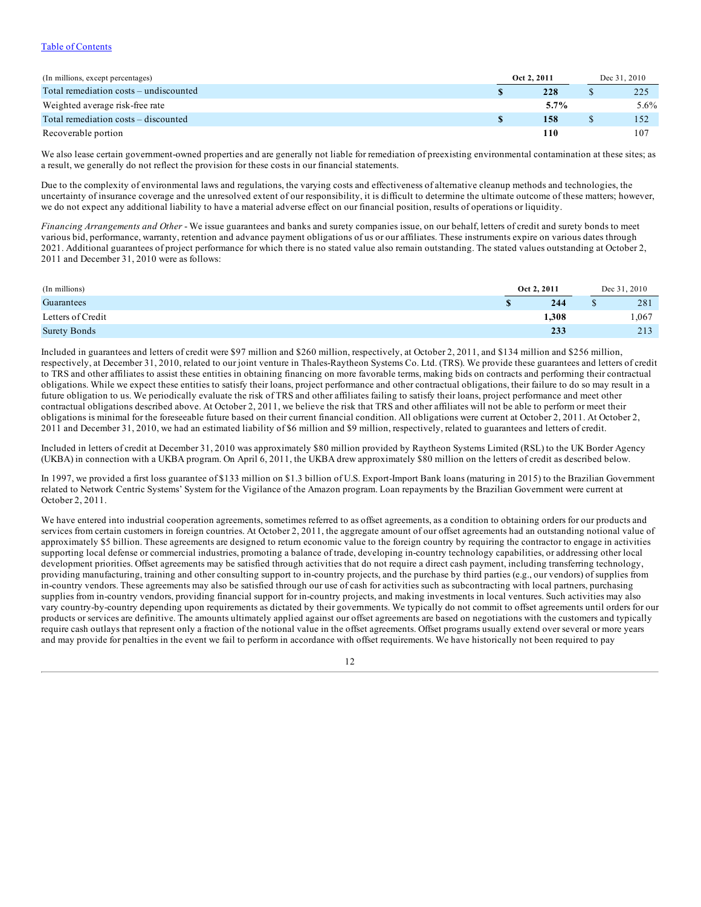| (In millions, except percentages)      | Oct 2, 2011 |  | Dec 31, 2010 |  |
|----------------------------------------|-------------|--|--------------|--|
| Total remediation costs – undiscounted | 228         |  | 225          |  |
| Weighted average risk-free rate        | $5.7\%$     |  | $5.6\%$      |  |
| Total remediation costs – discounted   | 158         |  | 152          |  |
| Recoverable portion                    | 110         |  | 107          |  |

We also lease certain government-owned properties and are generally not liable for remediation of preexisting environmental contamination at these sites; as a result, we generally do not reflect the provision for these costs in our financial statements.

Due to the complexity of environmental laws and regulations, the varying costs and effectiveness of alternative cleanup methods and technologies, the uncertainty of insurance coverage and the unresolved extent of our responsibility, it is difficult to determine the ultimate outcome of these matters; however, we do not expect any additional liability to have a material adverse effect on our financial position, results of operations or liquidity.

*Financing Arrangements and Other* - We issue guarantees and banks and surety companies issue, on our behalf, letters of credit and surety bonds to meet various bid, performance, warranty, retention and advance payment obligations of us or our affiliates. These instruments expire on various dates through 2021. Additional guarantees of project performance for which there is no stated value also remain outstanding. The stated values outstanding at October 2, 2011 and December 31, 2010 were as follows:

| (In millions)       | Oct 2, 2011 | Dec 31, 2010 |
|---------------------|-------------|--------------|
| Guarantees          | 244         | 281          |
| Letters of Credit   | 1.308       | .067         |
| <b>Surety Bonds</b> | 233         | 213          |

Included in guarantees and letters of credit were \$97 million and \$260 million, respectively, at October 2, 2011, and \$134 million and \$256 million, respectively, at December 31, 2010, related to our joint venture in Thales-Raytheon Systems Co. Ltd. (TRS). We provide these guarantees and letters of credit to TRS and other affiliates to assist these entities in obtaining financing on more favorable terms, making bids on contracts and performing their contractual obligations. While we expect these entities to satisfy their loans, project performance and other contractual obligations, their failure to do so may result in a future obligation to us. We periodically evaluate the risk of TRS and other affiliates failing to satisfy their loans, project performance and meet other contractual obligations described above. At October 2, 2011, we believe the risk that TRS and other affiliates will not be able to perform or meet their obligations is minimal for the foreseeable future based on their current financial condition. All obligations were current at October 2, 2011. At October 2, 2011 and December 31, 2010, we had an estimated liability of \$6 million and \$9 million, respectively, related to guarantees and letters of credit.

Included in letters of credit at December 31, 2010 was approximately \$80 million provided by Raytheon Systems Limited (RSL) to the UK Border Agency (UKBA) in connection with a UKBA program. On April 6, 2011, the UKBA drew approximately \$80 million on the letters of credit as described below.

In 1997, we provided a first loss guarantee of \$133 million on \$1.3 billion of U.S. Export-Import Bank loans (maturing in 2015) to the Brazilian Government related to Network Centric Systems' System for the Vigilance of the Amazon program. Loan repayments by the Brazilian Government were current at October 2, 2011.

We have entered into industrial cooperation agreements, sometimes referred to as offset agreements, as a condition to obtaining orders for our products and services from certain customers in foreign countries. At October 2, 2011, the aggregate amount of our offset agreements had an outstanding notional value of approximately \$5 billion. These agreements are designed to return economic value to the foreign country by requiring the contractor to engage in activities supporting local defense or commercial industries, promoting a balance of trade, developing in-country technology capabilities, or addressing other local development priorities. Offset agreements may be satisfied through activities that do not require a direct cash payment, including transferring technology, providing manufacturing, training and other consulting support to in-country projects, and the purchase by third parties (e.g., our vendors) of supplies from in-country vendors. These agreements may also be satisfied through our use of cash for activities such as subcontracting with local partners, purchasing supplies from in-country vendors, providing financial support for in-country projects, and making investments in local ventures. Such activities may also vary country-by-country depending upon requirements as dictated by their governments. We typically do not commit to offset agreements until orders for our products or services are definitive. The amounts ultimately applied against our offset agreements are based on negotiations with the customers and typically require cash outlays that represent only a fraction of the notional value in the offset agreements. Offset programs usually extend over several or more years and may provide for penalties in the event we fail to perform in accordance with offset requirements. We have historically not been required to pay

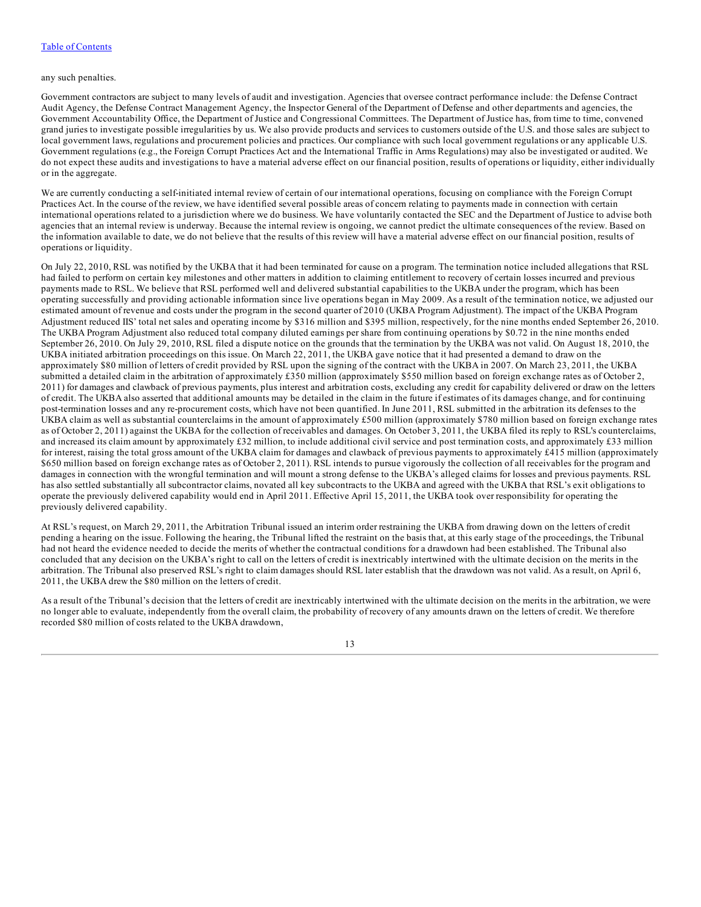#### any such penalties.

Government contractors are subject to many levels of audit and investigation. Agencies that oversee contract performance include: the Defense Contract Audit Agency, the Defense Contract Management Agency, the Inspector General of the Department of Defense and other departments and agencies, the Government Accountability Office, the Department of Justice and Congressional Committees. The Department of Justice has, from time to time, convened grand juries to investigate possible irregularities by us. We also provide products and services to customers outside of the U.S. and those sales are subject to local government laws, regulations and procurement policies and practices. Our compliance with such local government regulations or any applicable U.S. Government regulations (e.g., the Foreign Corrupt Practices Act and the International Traffic in Arms Regulations) may also be investigated or audited. We do not expect these audits and investigations to have a material adverse effect on our financial position, results of operations or liquidity, either individually or in the aggregate.

We are currently conducting a self-initiated internal review of certain of our international operations, focusing on compliance with the Foreign Corrupt Practices Act. In the course of the review, we have identified several possible areas of concern relating to payments made in connection with certain international operations related to a jurisdiction where we do business. We have voluntarily contacted the SEC and the Department of Justice to advise both agencies that an internal review is underway. Because the internal review is ongoing, we cannot predict the ultimate consequences of the review. Based on the information available to date, we do not believe that the results of this review will have a material adverse effect on our financial position, results of operations or liquidity.

On July 22, 2010, RSL was notified by the UKBA that it had been terminated for cause on a program. The termination notice included allegations that RSL had failed to perform on certain key milestones and other matters in addition to claiming entitlement to recovery of certain losses incurred and previous payments made to RSL. We believe that RSL performed well and delivered substantial capabilities to the UKBA under the program, which has been operating successfully and providing actionable information since live operations began in May 2009. As a result of the termination notice, we adjusted our estimated amount of revenue and costs under the program in the second quarter of 2010 (UKBA Program Adjustment). The impact of the UKBA Program Adjustment reduced IIS' total net sales and operating income by \$316 million and \$395 million, respectively, for the nine months ended September 26, 2010. The UKBA Program Adjustment also reduced total company diluted earnings per share from continuing operations by \$0.72 in the nine months ended September 26, 2010. On July 29, 2010, RSL filed a dispute notice on the grounds that the termination by the UKBA was not valid. On August 18, 2010, the UKBA initiated arbitration proceedings on this issue. On March 22, 2011, the UKBA gave notice that it had presented a demand to draw on the approximately \$80 million of letters of credit provided by RSL upon the signing of the contract with the UKBA in 2007. On March 23, 2011, the UKBA submitted a detailed claim in the arbitration of approximately £350 million (approximately \$550 million based on foreign exchange rates as of October 2, 2011) for damages and clawback of previous payments, plus interest and arbitration costs, excluding any credit for capability delivered or draw on the letters of credit. The UKBA also asserted that additional amounts may be detailed in the claim in the future if estimates of its damages change, and for continuing post-termination losses and any re-procurement costs, which have not been quantified. In June 2011, RSL submitted in the arbitration its defenses to the UKBA claim as well as substantial counterclaims in the amount of approximately £500 million (approximately \$780 million based on foreign exchange rates as of October 2, 2011) against the UKBA for the collection of receivables and damages. On October 3, 2011, the UKBA filed its reply to RSL's counterclaims, and increased its claim amount by approximately £32 million, to include additional civil service and post termination costs, and approximately £33 million for interest, raising the total gross amount of the UKBA claim for damages and clawback of previous payments to approximately £415 million (approximately \$650 million based on foreign exchange rates as of October 2, 2011). RSL intends to pursue vigorously the collection of all receivables for the program and damages in connection with the wrongful termination and will mount a strong defense to the UKBA's alleged claims for losses and previous payments. RSL has also settled substantially all subcontractor claims, novated all key subcontracts to the UKBA and agreed with the UKBA that RSL's exit obligations to operate the previously delivered capability would end in April 2011. Effective April 15, 2011, the UKBA took over responsibility for operating the previously delivered capability.

At RSL's request, on March 29, 2011, the Arbitration Tribunal issued an interim order restraining the UKBA from drawing down on the letters of credit pending a hearing on the issue. Following the hearing, the Tribunal lifted the restraint on the basis that, at this early stage of the proceedings, the Tribunal had not heard the evidence needed to decide the merits of whether the contractual conditions for a drawdown had been established. The Tribunal also concluded that any decision on the UKBA's right to call on the letters of credit is inextricably intertwined with the ultimate decision on the merits in the arbitration. The Tribunal also preserved RSL's right to claim damages should RSL later establish that the drawdown was not valid. As a result, on April 6, 2011, the UKBA drew the \$80 million on the letters of credit.

As a result of the Tribunal's decision that the letters of credit are inextricably intertwined with the ultimate decision on the merits in the arbitration, we were no longer able to evaluate, independently from the overall claim, the probability of recovery of any amounts drawn on the letters of credit. We therefore recorded \$80 million of costs related to the UKBA drawdown,

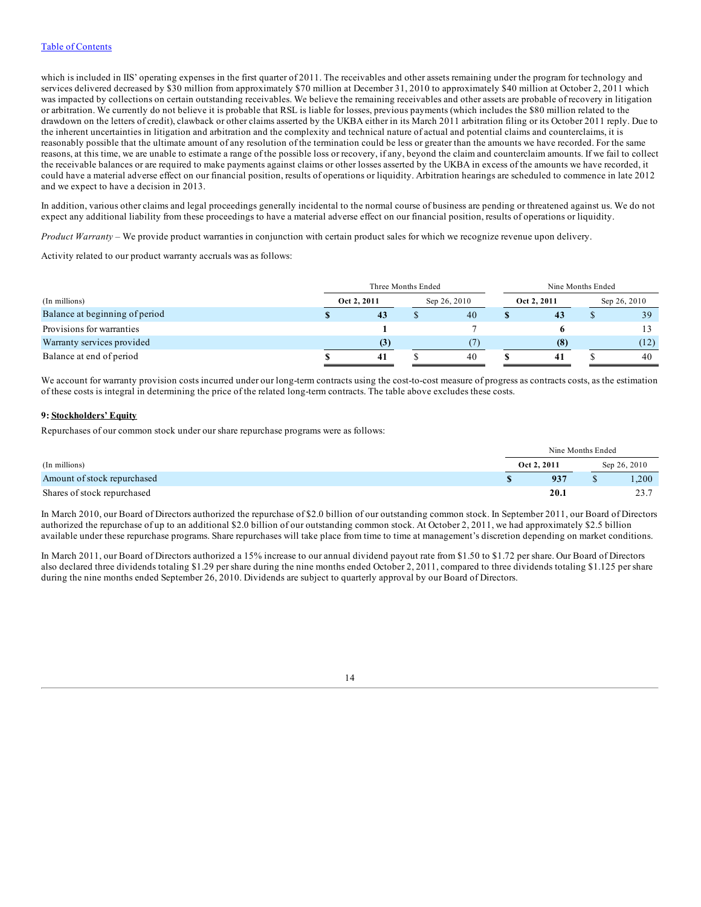which is included in IIS' operating expenses in the first quarter of 2011. The receivables and other assets remaining under the program for technology and services delivered decreased by \$30 million from approximately \$70 million at December 31, 2010 to approximately \$40 million at October 2, 2011 which was impacted by collections on certain outstanding receivables. We believe the remaining receivables and other assets are probable of recovery in litigation or arbitration. We currently do not believe it is probable that RSL is liable for losses, previous payments (which includes the \$80 million related to the drawdown on the letters of credit), clawback or other claims asserted by the UKBA either in its March 2011 arbitration filing or its October 2011 reply. Due to the inherent uncertainties in litigation and arbitration and the complexity and technical nature of actual and potential claims and counterclaims, it is reasonably possible that the ultimate amount of any resolution of the termination could be less or greater than the amounts we have recorded. For the same reasons, at this time, we are unable to estimate a range of the possible loss or recovery, if any, beyond the claim and counterclaim amounts. If we fail to collect the receivable balances or are required to make payments against claims or other losses asserted by the UKBA in excess of the amounts we have recorded, it could have a material adverse effect on our financial position, results of operations or liquidity. Arbitration hearings are scheduled to commence in late 2012 and we expect to have a decision in 2013.

In addition, various other claims and legal proceedings generally incidental to the normal course of business are pending or threatened against us. We do not expect any additional liability from these proceedings to have a material adverse effect on our financial position, results of operations or liquidity.

*Product Warranty* – We provide product warranties in conjunction with certain product sales for which we recognize revenue upon delivery.

Activity related to our product warranty accruals was as follows:

|                                |             |     | Three Months Ended |     | Nine Months Ended |             |  |              |
|--------------------------------|-------------|-----|--------------------|-----|-------------------|-------------|--|--------------|
| (In millions)                  | Oct 2, 2011 |     | Sep 26, 2010       |     |                   | Oct 2, 2011 |  | Sep 26, 2010 |
| Balance at beginning of period |             | 43  |                    | 40  |                   | 43          |  | 39           |
| Provisions for warranties      |             |     |                    |     |                   |             |  |              |
| Warranty services provided     |             | (3) |                    | (7) |                   | (8)         |  | (12)         |
| Balance at end of period       |             | 41  |                    | 40  |                   | 41          |  | 40           |

We account for warranty provision costs incurred under our long-term contracts using the cost-to-cost measure of progress as contracts costs, as the estimation of these costs is integral in determining the price of the related long-term contracts. The table above excludes these costs.

#### **9: Stockholders' Equity**

Repurchases of our common stock under our share repurchase programs were as follows:

|                             |             | Nine Months Ended |              |
|-----------------------------|-------------|-------------------|--------------|
| (In millions)               | Oct 2, 2011 |                   | Sep 26, 2010 |
| Amount of stock repurchased | 937         |                   | .200         |
| Shares of stock repurchased | 20.1        |                   | 23.7         |

In March 2010, our Board of Directors authorized the repurchase of \$2.0 billion of our outstanding common stock. In September 2011, our Board of Directors authorized the repurchase of up to an additional \$2.0 billion of our outstanding common stock. At October 2, 2011, we had approximately \$2.5 billion available under these repurchase programs. Share repurchases will take place from time to time at management's discretion depending on market conditions.

In March 2011, our Board of Directors authorized a 15% increase to our annual dividend payout rate from \$1.50 to \$1.72 per share. Our Board of Directors also declared three dividends totaling \$1.29 per share during the nine months ended October 2, 2011, compared to three dividends totaling \$1.125 per share during the nine months ended September 26, 2010. Dividends are subject to quarterly approval by our Board of Directors.

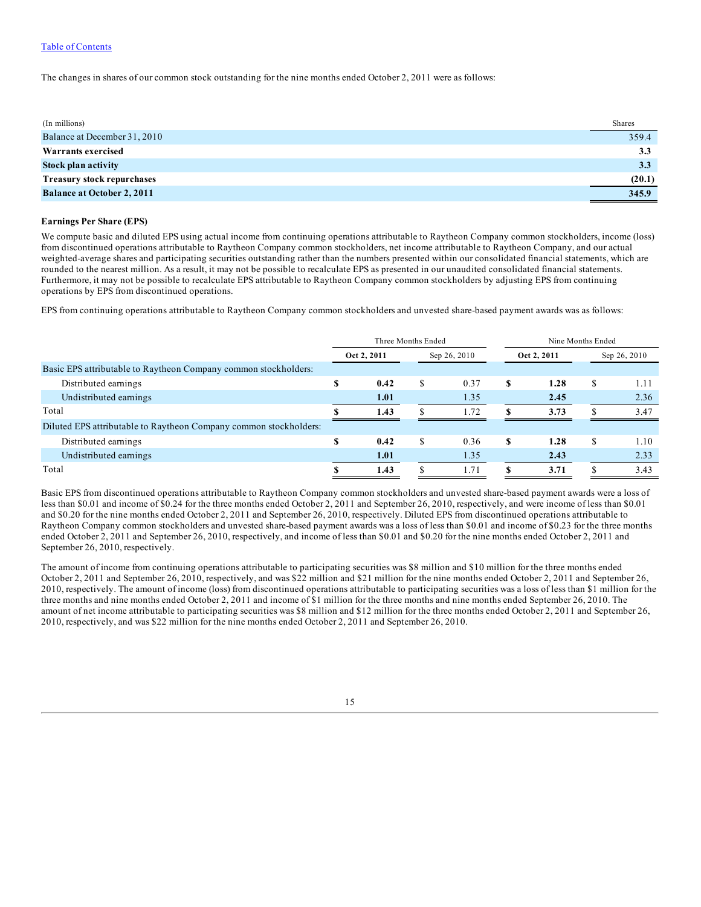The changes in shares of our common stock outstanding for the nine months ended October 2, 2011 were as follows:

| (In millions)                     | <b>Shares</b>    |
|-----------------------------------|------------------|
| Balance at December 31, 2010      | 359.4            |
| Warrants exercised                | 3.3              |
| Stock plan activity               | 3.3 <sub>2</sub> |
| <b>Treasury stock repurchases</b> | (20.1)           |
| <b>Balance at October 2, 2011</b> | 345.9            |

#### **Earnings Per Share (EPS)**

We compute basic and diluted EPS using actual income from continuing operations attributable to Raytheon Company common stockholders, income (loss) from discontinued operations attributable to Raytheon Company common stockholders, net income attributable to Raytheon Company, and our actual weighted-average shares and participating securities outstanding rather than the numbers presented within our consolidated financial statements, which are rounded to the nearest million. As a result, it may not be possible to recalculate EPS as presented in our unaudited consolidated financial statements. Furthermore, it may not be possible to recalculate EPS attributable to Raytheon Company common stockholders by adjusting EPS from continuing operations by EPS from discontinued operations.

EPS from continuing operations attributable to Raytheon Company common stockholders and unvested share-based payment awards was as follows:

|                                                                   | Three Months Ended |      |              |      | Nine Months Ended |      |   |              |
|-------------------------------------------------------------------|--------------------|------|--------------|------|-------------------|------|---|--------------|
|                                                                   | Oct 2, 2011        |      | Sep 26, 2010 |      | Oct 2, 2011       |      |   | Sep 26, 2010 |
| Basic EPS attributable to Raytheon Company common stockholders:   |                    |      |              |      |                   |      |   |              |
| Distributed earnings                                              | S                  | 0.42 | \$           | 0.37 | S                 | 1.28 | S | 1.11         |
| Undistributed earnings                                            |                    | 1.01 |              | 1.35 |                   | 2.45 |   | 2.36         |
| Total                                                             |                    | 1.43 |              | 1.72 | S                 | 3.73 |   | 3.47         |
| Diluted EPS attributable to Raytheon Company common stockholders: |                    |      |              |      |                   |      |   |              |
| Distributed earnings                                              | S                  | 0.42 | S            | 0.36 | S                 | 1.28 | S | 1.10         |
| Undistributed earnings                                            |                    | 1.01 |              | 1.35 |                   | 2.43 |   | 2.33         |
| Total                                                             | ¢                  | 1.43 | аĐ.          | 1.71 | S                 | 3.71 |   | 3.43         |

Basic EPS from discontinued operations attributable to Raytheon Company common stockholders and unvested share-based payment awards were a loss of less than \$0.01 and income of \$0.24 for the three months ended October 2, 2011 and September 26, 2010, respectively, and were income of less than \$0.01 and \$0.20 for the nine months ended October 2, 2011 and September 26, 2010, respectively. Diluted EPS from discontinued operations attributable to Raytheon Company common stockholders and unvested share-based payment awards was a loss of less than \$0.01 and income of \$0.23 for the three months ended October 2, 2011 and September 26, 2010, respectively, and income of less than \$0.01 and \$0.20 for the nine months ended October 2, 2011 and September 26, 2010, respectively.

The amount of income from continuing operations attributable to participating securities was \$8 million and \$10 million for the three months ended October 2, 2011 and September 26, 2010, respectively, and was \$22 million and \$21 million for the nine months ended October 2, 2011 and September 26, 2010, respectively. The amount of income (loss) from discontinued operations attributable to participating securities was a loss of less than \$1 million for the three months and nine months ended October 2, 2011 and income of \$1 million for the three months and nine months ended September 26, 2010. The amount of net income attributable to participating securities was \$8 million and \$12 million for the three months ended October 2, 2011 and September 26, 2010, respectively, and was \$22 million for the nine months ended October 2, 2011 and September 26, 2010.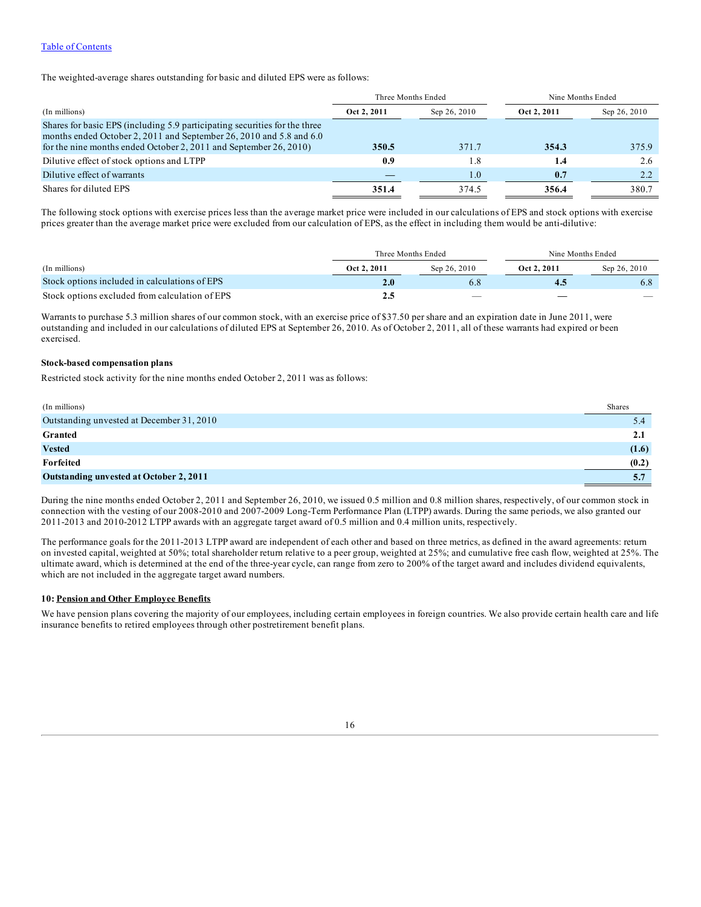The weighted-average shares outstanding for basic and diluted EPS were as follows:

|                                                                                                                                                                                                                        | Three Months Ended |              | Nine Months Ended |              |  |
|------------------------------------------------------------------------------------------------------------------------------------------------------------------------------------------------------------------------|--------------------|--------------|-------------------|--------------|--|
| (In millions)                                                                                                                                                                                                          | Oct 2, 2011        | Sep 26, 2010 | Oct 2, 2011       | Sep 26, 2010 |  |
| Shares for basic EPS (including 5.9 participating securities for the three<br>months ended October 2, 2011 and September 26, 2010 and 5.8 and 6.0<br>for the nine months ended October 2, 2011 and September 26, 2010) | 350.5              | 371.7        | 354.3             | 375.9        |  |
| Dilutive effect of stock options and LTPP                                                                                                                                                                              | 0.9                | 1.8          | 1.4               | 2.6          |  |
| Dilutive effect of warrants                                                                                                                                                                                            |                    | 1.0          | 0.7               | 2.2          |  |
| Shares for diluted EPS                                                                                                                                                                                                 | 351.4              | 374.5        | 356.4             | 380.7        |  |

The following stock options with exercise prices less than the average market price were included in our calculations of EPS and stock options with exercise prices greater than the average market price were excluded from our calculation of EPS, as the effect in including them would be anti-dilutive:

|                                                | Three Months Ended |                   | Nine Months Ended |              |  |  |
|------------------------------------------------|--------------------|-------------------|-------------------|--------------|--|--|
| (In millions)                                  | Oct 2, 2011        | Sep 26, 2010      | Oct 2, 2011       | Sep 26, 2010 |  |  |
| Stock options included in calculations of EPS  | 2.0                |                   | 45                | 0.8          |  |  |
| Stock options excluded from calculation of EPS |                    | $\hspace{0.05cm}$ |                   |              |  |  |

Warrants to purchase 5.3 million shares of our common stock, with an exercise price of \$37.50 per share and an expiration date in June 2011, were outstanding and included in our calculations of diluted EPS at September 26, 2010. As of October 2, 2011, all of these warrants had expired or been exercised.

#### **Stock-based compensation plans**

Restricted stock activity for the nine months ended October 2, 2011 was as follows:

| (In millions)                             | Shares |
|-------------------------------------------|--------|
| Outstanding unvested at December 31, 2010 | 5.4    |
| Granted                                   | 2.1    |
| <b>Vested</b>                             | (1.6)  |
| Forfeited                                 | (0.2)  |
| Outstanding unvested at October 2, 2011   | 5.7    |

During the nine months ended October 2, 2011 and September 26, 2010, we issued 0.5 million and 0.8 million shares, respectively, of our common stock in connection with the vesting of our 2008-2010 and 2007-2009 Long-Term Performance Plan (LTPP) awards. During the same periods, we also granted our 2011-2013 and 2010-2012 LTPP awards with an aggregate target award of 0.5 million and 0.4 million units, respectively.

The performance goals for the 2011-2013 LTPP award are independent of each other and based on three metrics, as defined in the award agreements: return on invested capital, weighted at 50%; total shareholder return relative to a peer group, weighted at 25%; and cumulative free cash flow, weighted at 25%. The ultimate award, which is determined at the end of the three-year cycle, can range from zero to 200% of the target award and includes dividend equivalents, which are not included in the aggregate target award numbers.

#### **10: Pension and Other Employee Benefits**

We have pension plans covering the majority of our employees, including certain employees in foreign countries. We also provide certain health care and life insurance benefits to retired employees through other postretirement benefit plans.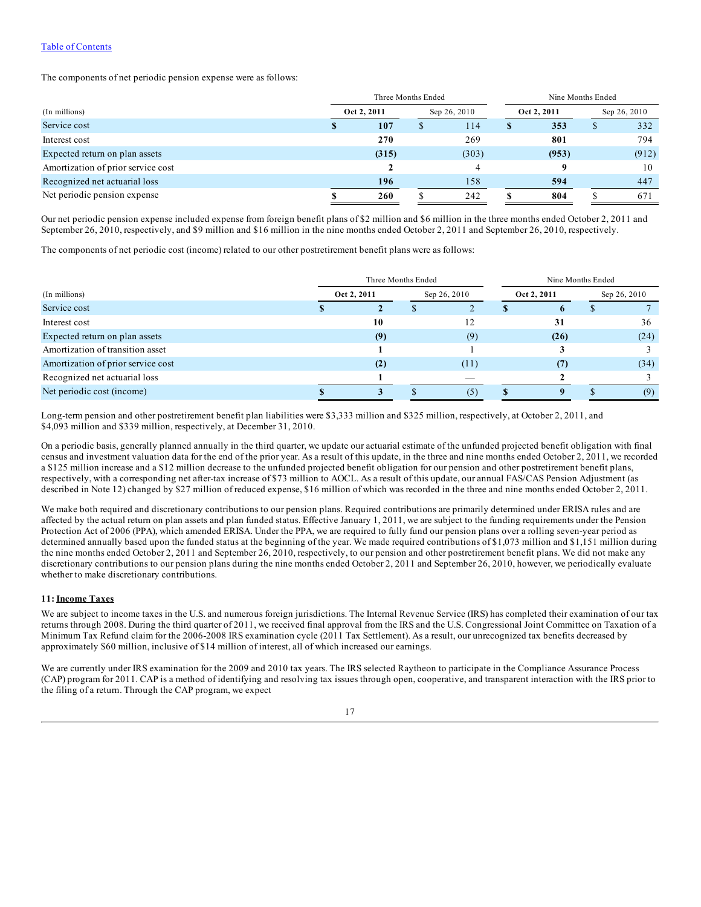The components of net periodic pension expense were as follows:

|                                    |  | Three Months Ended |              |       | Nine Months Ended |       |              |       |
|------------------------------------|--|--------------------|--------------|-------|-------------------|-------|--------------|-------|
| (In millions)                      |  | Oct 2, 2011        | Sep 26, 2010 |       | Oct 2, 2011       |       | Sep 26, 2010 |       |
| Service cost                       |  | 107                | S            | 114   | S                 | 353   |              | 332   |
| Interest cost                      |  | 270                |              | 269   |                   | 801   |              | 794   |
| Expected return on plan assets     |  | (315)              |              | (303) |                   | (953) |              | (912) |
| Amortization of prior service cost |  |                    |              | 4     |                   |       |              | 10    |
| Recognized net actuarial loss      |  | 196                |              | 158   |                   | 594   |              | 447   |
| Net periodic pension expense       |  | 260                |              | 242   |                   | 804   |              | 671   |

Our net periodic pension expense included expense from foreign benefit plans of \$2 million and \$6 million in the three months ended October 2, 2011 and September 26, 2010, respectively, and \$9 million and \$16 million in the nine months ended October 2, 2011 and September 26, 2010, respectively.

The components of net periodic cost (income) related to our other postretirement benefit plans were as follows:

|                                    | Three Months Ended |             |              |                |             | Nine Months Ended |              |      |  |
|------------------------------------|--------------------|-------------|--------------|----------------|-------------|-------------------|--------------|------|--|
| (In millions)                      |                    | Oct 2, 2011 | Sep 26, 2010 |                | Oct 2, 2011 |                   | Sep 26, 2010 |      |  |
| Service cost                       |                    |             |              |                |             | o                 |              |      |  |
| Interest cost                      |                    | 10          |              | 12             |             | 31                |              | 36   |  |
| Expected return on plan assets     |                    | (9)         |              | (9)            |             | (26)              |              | (24) |  |
| Amortization of transition asset   |                    |             |              |                |             |                   |              |      |  |
| Amortization of prior service cost |                    | (2)         |              | (11)           |             | (7)               |              | (34) |  |
| Recognized net actuarial loss      |                    |             |              |                |             |                   |              |      |  |
| Net periodic cost (income)         |                    |             |              | $\mathfrak{S}$ |             |                   |              | (9)  |  |

Long-term pension and other postretirement benefit plan liabilities were \$3,333 million and \$325 million, respectively, at October 2, 2011, and \$4,093 million and \$339 million, respectively, at December 31, 2010.

On a periodic basis, generally planned annually in the third quarter, we update our actuarial estimate of the unfunded projected benefit obligation with final census and investment valuation data for the end of the prior year. As a result of this update, in the three and nine months ended October 2, 2011, we recorded a \$125 million increase and a \$12 million decrease to the unfunded projected benefit obligation for our pension and other postretirement benefit plans, respectively, with a corresponding net after-tax increase of \$73 million to AOCL. As a result of this update, our annual FAS/CAS Pension Adjustment (as described in Note 12) changed by \$27 million of reduced expense, \$16 million of which was recorded in the three and nine months ended October 2, 2011.

We make both required and discretionary contributions to our pension plans. Required contributions are primarily determined under ERISA rules and are affected by the actual return on plan assets and plan funded status. Effective January 1, 2011, we are subject to the funding requirements under the Pension Protection Act of 2006 (PPA), which amended ERISA. Under the PPA, we are required to fully fund our pension plans over a rolling seven-year period as determined annually based upon the funded status at the beginning of the year. We made required contributions of \$1,073 million and \$1,151 million during the nine months ended October 2, 2011 and September 26, 2010, respectively, to our pension and other postretirement benefit plans. We did not make any discretionary contributions to our pension plans during the nine months ended October 2, 2011 and September 26, 2010, however, we periodically evaluate whether to make discretionary contributions.

#### **11: Income Taxes**

We are subject to income taxes in the U.S. and numerous foreign jurisdictions. The Internal Revenue Service (IRS) has completed their examination of our tax returns through 2008. During the third quarter of 2011, we received final approval from the IRS and the U.S. Congressional Joint Committee on Taxation of a Minimum Tax Refund claim for the 2006-2008 IRS examination cycle (2011 Tax Settlement). As a result, our unrecognized tax benefits decreased by approximately \$60 million, inclusive of \$14 million of interest, all of which increased our earnings.

We are currently under IRS examination for the 2009 and 2010 tax years. The IRS selected Raytheon to participate in the Compliance Assurance Process (CAP) program for 2011. CAP is a method of identifying and resolving tax issues through open, cooperative, and transparent interaction with the IRS prior to the filing of a return. Through the CAP program, we expect

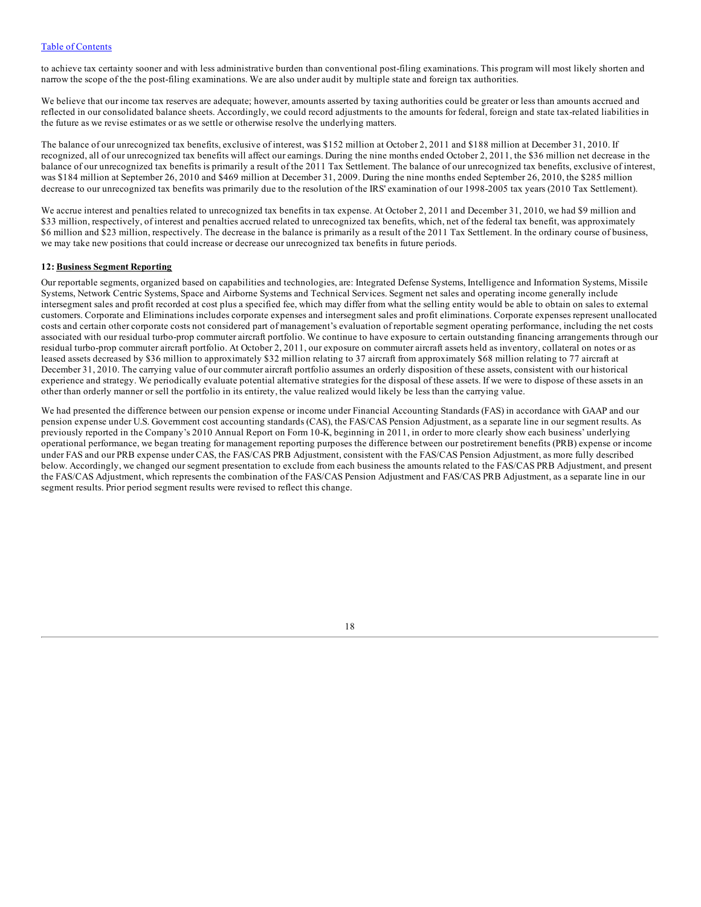to achieve tax certainty sooner and with less administrative burden than conventional post-filing examinations. This program will most likely shorten and narrow the scope of the the post-filing examinations. We are also under audit by multiple state and foreign tax authorities.

We believe that our income tax reserves are adequate; however, amounts asserted by taxing authorities could be greater or less than amounts accrued and reflected in our consolidated balance sheets. Accordingly, we could record adjustments to the amounts for federal, foreign and state tax-related liabilities in the future as we revise estimates or as we settle or otherwise resolve the underlying matters.

The balance of our unrecognized tax benefits, exclusive of interest, was \$152 million at October 2, 2011 and \$188 million at December 31, 2010. If recognized, all of our unrecognized tax benefits will affect our earnings. During the nine months ended October 2, 2011, the \$36 million net decrease in the balance of our unrecognized tax benefits is primarily a result of the 2011 Tax Settlement. The balance of our unrecognized tax benefits, exclusive of interest, was \$184 million at September 26, 2010 and \$469 million at December 31, 2009. During the nine months ended September 26, 2010, the \$285 million decrease to our unrecognized tax benefits was primarily due to the resolution of the IRS' examination of our 1998-2005 tax years (2010 Tax Settlement).

We accrue interest and penalties related to unrecognized tax benefits in tax expense. At October 2, 2011 and December 31, 2010, we had \$9 million and \$33 million, respectively, of interest and penalties accrued related to unrecognized tax benefits, which, net of the federal tax benefit, was approximately \$6 million and \$23 million, respectively. The decrease in the balance is primarily as a result of the 2011 Tax Settlement. In the ordinary course of business, we may take new positions that could increase or decrease our unrecognized tax benefits in future periods.

#### **12: Business Segment Reporting**

Our reportable segments, organized based on capabilities and technologies, are: Integrated Defense Systems, Intelligence and Information Systems, Missile Systems, Network Centric Systems, Space and Airborne Systems and Technical Services. Segment net sales and operating income generally include intersegment sales and profit recorded at cost plus a specified fee, which may differ from what the selling entity would be able to obtain on sales to external customers. Corporate and Eliminations includes corporate expenses and intersegment sales and profit eliminations. Corporate expenses represent unallocated costs and certain other corporate costs not considered part of management's evaluation of reportable segment operating performance, including the net costs associated with our residual turbo-prop commuter aircraft portfolio. We continue to have exposure to certain outstanding financing arrangements through our residual turbo-prop commuter aircraft portfolio. At October 2, 2011, our exposure on commuter aircraft assets held as inventory, collateral on notes or as leased assets decreased by \$36 million to approximately \$32 million relating to 37 aircraft from approximately \$68 million relating to 77 aircraft at December 31, 2010. The carrying value of our commuter aircraft portfolio assumes an orderly disposition of these assets, consistent with our historical experience and strategy. We periodically evaluate potential alternative strategies for the disposal of these assets. If we were to dispose of these assets in an other than orderly manner or sell the portfolio in its entirety, the value realized would likely be less than the carrying value.

We had presented the difference between our pension expense or income under Financial Accounting Standards (FAS) in accordance with GAAP and our pension expense under U.S. Government cost accounting standards (CAS), the FAS/CAS Pension Adjustment, as a separate line in our segment results. As previously reported in the Company's 2010 Annual Report on Form 10-K, beginning in 2011, in order to more clearly show each business' underlying operational performance, we began treating for management reporting purposes the difference between our postretirement benefits (PRB) expense or income under FAS and our PRB expense under CAS, the FAS/CAS PRB Adjustment, consistent with the FAS/CAS Pension Adjustment, as more fully described below. Accordingly, we changed our segment presentation to exclude from each business the amounts related to the FAS/CAS PRB Adjustment, and present the FAS/CAS Adjustment, which represents the combination of the FAS/CAS Pension Adjustment and FAS/CAS PRB Adjustment, as a separate line in our segment results. Prior period segment results were revised to reflect this change.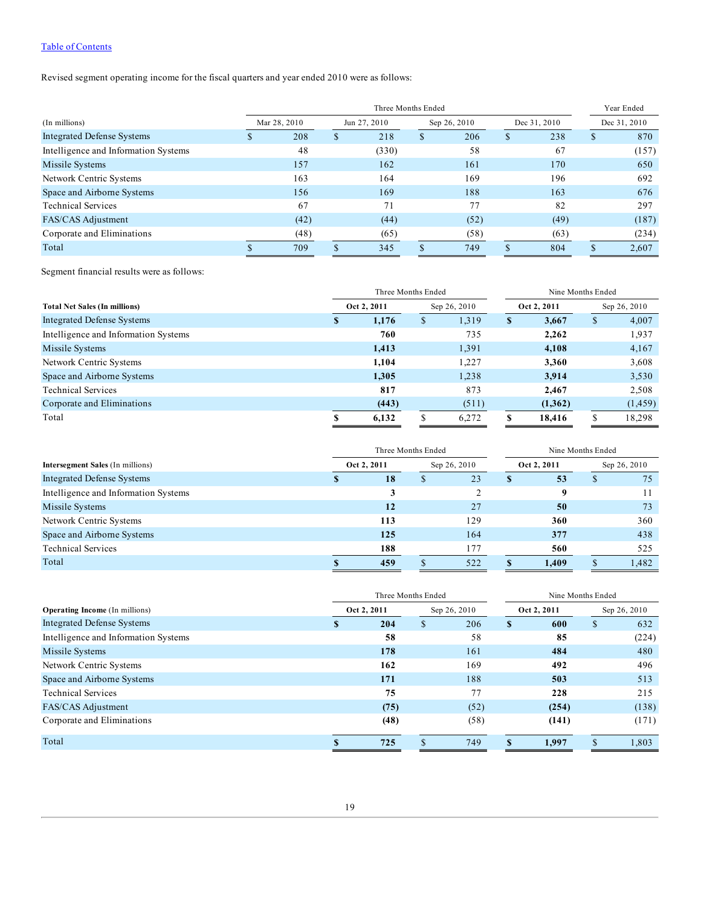Revised segment operating income for the fiscal quarters and year ended 2010 were as follows:

|                                      | Three Months Ended |              |       |              |      |              |      |  |              |  |  |
|--------------------------------------|--------------------|--------------|-------|--------------|------|--------------|------|--|--------------|--|--|
| (In millions)                        | Mar 28, 2010       | Jun 27, 2010 |       | Sep 26, 2010 |      | Dec 31, 2010 |      |  | Dec 31, 2010 |  |  |
| <b>Integrated Defense Systems</b>    | 208                |              | 218   | ъ            | 206  | S            | 238  |  | 870          |  |  |
| Intelligence and Information Systems | 48                 |              | (330) |              | 58   |              | 67   |  | (157)        |  |  |
| Missile Systems                      | 157                |              | 162   |              | 161  |              | 170  |  | 650          |  |  |
| Network Centric Systems              | 163                |              | 164   |              | 169  |              | 196  |  | 692          |  |  |
| Space and Airborne Systems           | 156                |              | 169   |              | 188  |              | 163  |  | 676          |  |  |
| <b>Technical Services</b>            | 67                 |              | 71    |              | 77   |              | 82   |  | 297          |  |  |
| FAS/CAS Adjustment                   | (42)               |              | (44)  |              | (52) |              | (49) |  | (187)        |  |  |
| Corporate and Eliminations           | (48)               |              | (65)  |              | (58) |              | (63) |  | (234)        |  |  |
| Total                                | 709                |              | 345   |              | 749  |              | 804  |  | 2,607        |  |  |

Segment financial results were as follows:

|                                      | Three Months Ended |       |              |       |             | Nine Months Ended |              |          |  |  |
|--------------------------------------|--------------------|-------|--------------|-------|-------------|-------------------|--------------|----------|--|--|
| <b>Total Net Sales (In millions)</b> | Oct 2, 2011        |       | Sep 26, 2010 |       | Oct 2, 2011 |                   | Sep 26, 2010 |          |  |  |
| Integrated Defense Systems           | S                  | 1,176 | \$           | 1,319 | S           | 3,667             | Ъ            | 4,007    |  |  |
| Intelligence and Information Systems |                    | 760   |              | 735   |             | 2,262             |              | 1,937    |  |  |
| Missile Systems                      |                    | 1,413 |              | 1,391 |             | 4,108             |              | 4,167    |  |  |
| Network Centric Systems              |                    | 1,104 |              | 1,227 |             | 3,360             |              | 3,608    |  |  |
| Space and Airborne Systems           |                    | 1,305 |              | 1,238 |             | 3,914             |              | 3,530    |  |  |
| <b>Technical Services</b>            |                    | 817   |              | 873   |             | 2.467             |              | 2,508    |  |  |
| Corporate and Eliminations           |                    | (443) |              | (511) |             | (1,362)           |              | (1, 459) |  |  |
| Total                                | S                  | 6,132 | S            | 6,272 |             | 18,416            |              | 18.298   |  |  |

|                                         |             |     | Three Months Ended | Nine Months Ended |             |       |              |       |
|-----------------------------------------|-------------|-----|--------------------|-------------------|-------------|-------|--------------|-------|
| <b>Intersegment Sales</b> (In millions) | Oct 2, 2011 |     | Sep 26, 2010       |                   | Oct 2, 2011 |       | Sep 26, 2010 |       |
| <b>Integrated Defense Systems</b>       |             | 18  | ъ                  | 23                |             | 53    |              | 75    |
| Intelligence and Information Systems    |             |     |                    |                   |             |       |              |       |
| Missile Systems                         |             | 12  |                    | 27                |             | 50    |              | 73    |
| Network Centric Systems                 |             | 113 |                    | 129               |             | 360   |              | 360   |
| Space and Airborne Systems              |             | 125 |                    | 164               |             | 377   |              | 438   |
| <b>Technical Services</b>               |             | 188 |                    | 177               |             | 560   |              | 525   |
| Total                                   |             | 459 |                    | 522               |             | 1,409 |              | 1,482 |

|                                       |             | Three Months Ended |              | Nine Months Ended |              |       |              |       |
|---------------------------------------|-------------|--------------------|--------------|-------------------|--------------|-------|--------------|-------|
| <b>Operating Income</b> (In millions) | Oct 2, 2011 |                    | Sep 26, 2010 |                   | Oct 2, 2011  |       | Sep 26, 2010 |       |
| <b>Integrated Defense Systems</b>     | \$.         | 204                | \$           | 206               | $\mathbf{s}$ | 600   | S.           | 632   |
| Intelligence and Information Systems  |             | 58                 |              | 58                |              | 85    |              | (224) |
| Missile Systems                       |             | 178                |              | 161               |              | 484   |              | 480   |
| Network Centric Systems               |             | 162                |              | 169               |              | 492   |              | 496   |
| Space and Airborne Systems            |             | 171                |              | 188               |              | 503   |              | 513   |
| <b>Technical Services</b>             |             | 75                 |              | 77                |              | 228   |              | 215   |
| FAS/CAS Adjustment                    |             | (75)               |              | (52)              |              | (254) |              | (138) |
| Corporate and Eliminations            |             | (48)               |              | (58)              |              | (141) |              | (171) |
| Total                                 |             | 725                | \$           | 749               | S.           | 1.997 |              | 1,803 |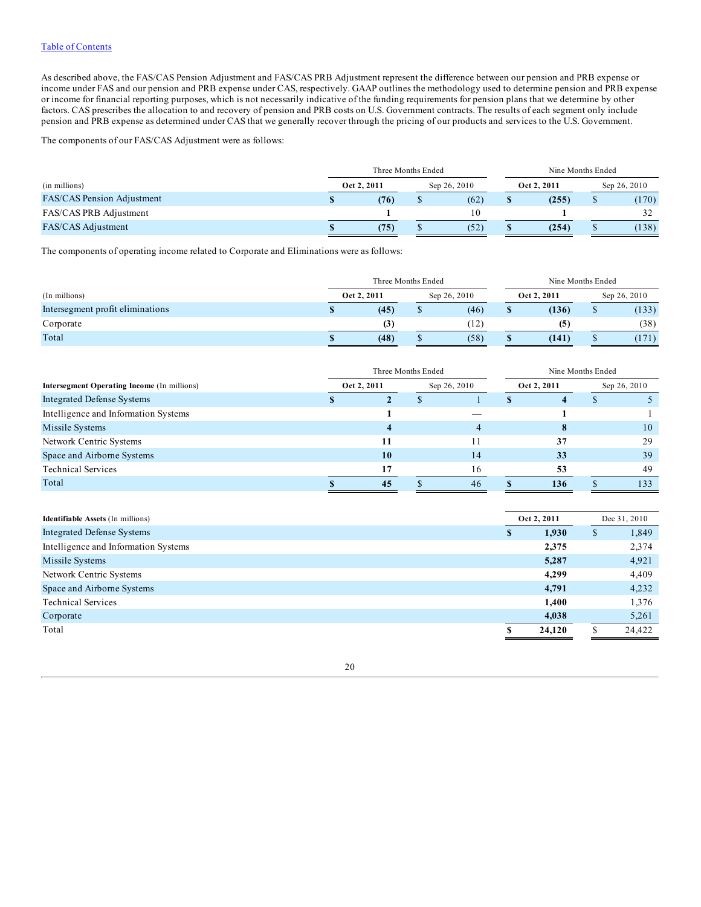<span id="page-19-0"></span>As described above, the FAS/CAS Pension Adjustment and FAS/CAS PRB Adjustment represent the difference between our pension and PRB expense or income under FAS and our pension and PRB expense under CAS, respectively. GAAP outlines the methodology used to determine pension and PRB expense or income for financial reporting purposes, which is not necessarily indicative of the funding requirements for pension plans that we determine by other factors. CAS prescribes the allocation to and recovery of pension and PRB costs on U.S. Government contracts. The results of each segment only include pension and PRB expense as determined under CAS that we generally recover through the pricing of our products and services to the U.S. Government.

The components of our FAS/CAS Adjustment were as follows:

|                                   | Three Months Ended |             |  |              |             | Nine Months Ended |              |  |
|-----------------------------------|--------------------|-------------|--|--------------|-------------|-------------------|--------------|--|
| (in millions)                     |                    | Oct 2, 2011 |  | Sep 26, 2010 | Oct 2, 2011 |                   | Sep 26, 2010 |  |
| <b>FAS/CAS Pension Adjustment</b> |                    | (76)        |  | (62)         | (255)       |                   | (170)        |  |
| FAS/CAS PRB Adjustment            |                    |             |  | 10           |             |                   |              |  |
| <b>FAS/CAS Adjustment</b>         |                    | (75)        |  | (52)         | (254)       |                   | (138)        |  |

The components of operating income related to Corporate and Eliminations were as follows:

|                                  | Three Months Ended |             |  |              |  | Nine Months Ended |  |              |  |
|----------------------------------|--------------------|-------------|--|--------------|--|-------------------|--|--------------|--|
| (In millions)                    |                    | Oct 2, 2011 |  | Sep 26, 2010 |  | Oct 2, 2011       |  | Sep 26, 2010 |  |
| Intersegment profit eliminations |                    | (45)        |  | (46)         |  | (136)             |  | (133)        |  |
| Corporate                        |                    | (3)         |  | (12)         |  | (5)               |  | (38)         |  |
| Total                            |                    | (48)        |  | (58)         |  | (141)             |  | (171)        |  |

|                                             |             | Three Months Ended | Nine Months Ended |  |             |  |              |
|---------------------------------------------|-------------|--------------------|-------------------|--|-------------|--|--------------|
| Intersegment Operating Income (In millions) | Oct 2, 2011 |                    | Sep 26, 2010      |  | Oct 2, 2011 |  | Sep 26, 2010 |
| <b>Integrated Defense Systems</b>           |             |                    |                   |  |             |  |              |
| Intelligence and Information Systems        |             |                    |                   |  |             |  |              |
| Missile Systems                             |             |                    |                   |  |             |  | 10           |
| Network Centric Systems                     | 11          |                    |                   |  | 37          |  | 29           |
| Space and Airborne Systems                  | 10          |                    | 14                |  | 33          |  | 39           |
| <b>Technical Services</b>                   | 17          |                    | 16                |  | 53          |  | 49           |
| Total                                       | 45          |                    | 46                |  | 136         |  | 133          |

| <b>Identifiable Assets</b> (In millions) |   | Oct 2, 2011 | Dec 31, 2010 |
|------------------------------------------|---|-------------|--------------|
| <b>Integrated Defense Systems</b>        | S | 1,930       | \$<br>1,849  |
| Intelligence and Information Systems     |   | 2,375       | 2,374        |
| Missile Systems                          |   | 5,287       | 4,921        |
| Network Centric Systems                  |   | 4,299       | 4,409        |
| Space and Airborne Systems               |   | 4,791       | 4,232        |
| <b>Technical Services</b>                |   | 1,400       | 1,376        |
| Corporate                                |   | 4,038       | 5,261        |
| Total                                    |   | 24,120      | 24,422       |
|                                          |   |             |              |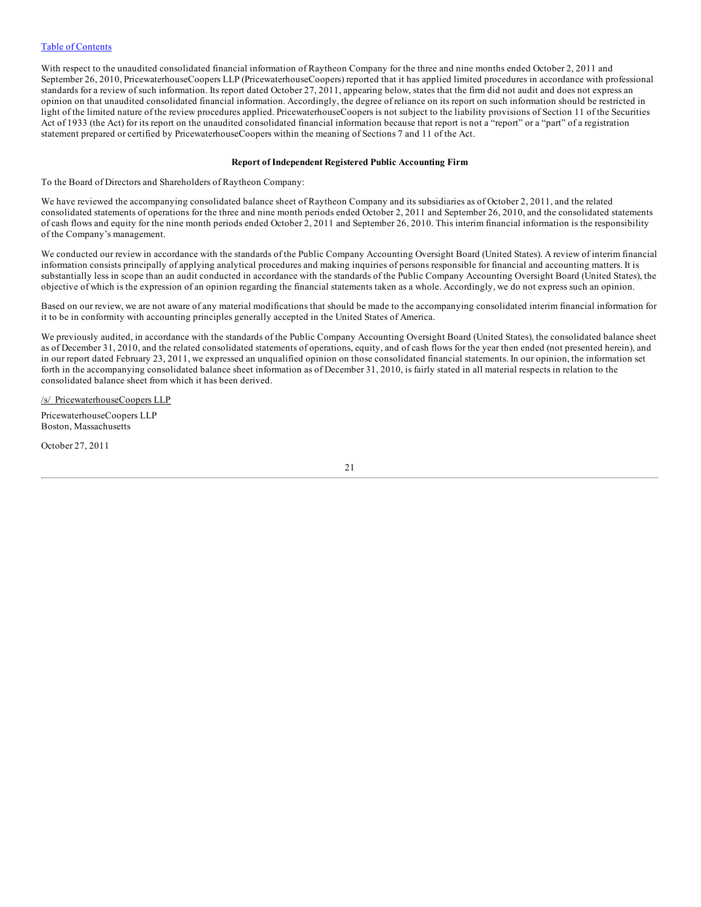With respect to the unaudited consolidated financial information of Raytheon Company for the three and nine months ended October 2, 2011 and September 26, 2010, PricewaterhouseCoopers LLP (PricewaterhouseCoopers) reported that it has applied limited procedures in accordance with professional standards for a review of such information. Its report dated October 27, 2011, appearing below, states that the firm did not audit and does not express an opinion on that unaudited consolidated financial information. Accordingly, the degree of reliance on its report on such information should be restricted in light of the limited nature of the review procedures applied. PricewaterhouseCoopers is not subject to the liability provisions of Section 11 of the Securities Act of 1933 (the Act) for its report on the unaudited consolidated financial information because that report is not a "report" or a "part" of a registration statement prepared or certified by PricewaterhouseCoopers within the meaning of Sections 7 and 11 of the Act.

#### **Report of Independent Registered Public Accounting Firm**

To the Board of Directors and Shareholders of Raytheon Company:

We have reviewed the accompanying consolidated balance sheet of Raytheon Company and its subsidiaries as of October 2, 2011, and the related consolidated statements of operations for the three and nine month periods ended October 2, 2011 and September 26, 2010, and the consolidated statements of cash flows and equity for the nine month periods ended October 2, 2011 and September 26, 2010. This interim financial information is the responsibility of the Company's management.

We conducted our review in accordance with the standards of the Public Company Accounting Oversight Board (United States). A review of interim financial information consists principally of applying analytical procedures and making inquiries of persons responsible for financial and accounting matters. It is substantially less in scope than an audit conducted in accordance with the standards of the Public Company Accounting Oversight Board (United States), the objective of which is the expression of an opinion regarding the financial statements taken as a whole. Accordingly, we do not express such an opinion.

Based on our review, we are not aware of any material modifications that should be made to the accompanying consolidated interim financial information for it to be in conformity with accounting principles generally accepted in the United States of America.

We previously audited, in accordance with the standards of the Public Company Accounting Oversight Board (United States), the consolidated balance sheet as of December 31, 2010, and the related consolidated statements of operations, equity, and of cash flows for the year then ended (not presented herein), and in our report dated February 23, 2011, we expressed an unqualified opinion on those consolidated financial statements. In our opinion, the information set forth in the accompanying consolidated balance sheet information as of December 31, 2010, is fairly stated in all material respects in relation to the consolidated balance sheet from which it has been derived.

/s/ PricewaterhouseCoopers LLP

PricewaterhouseCoopers LLP Boston, Massachusetts

October 27, 2011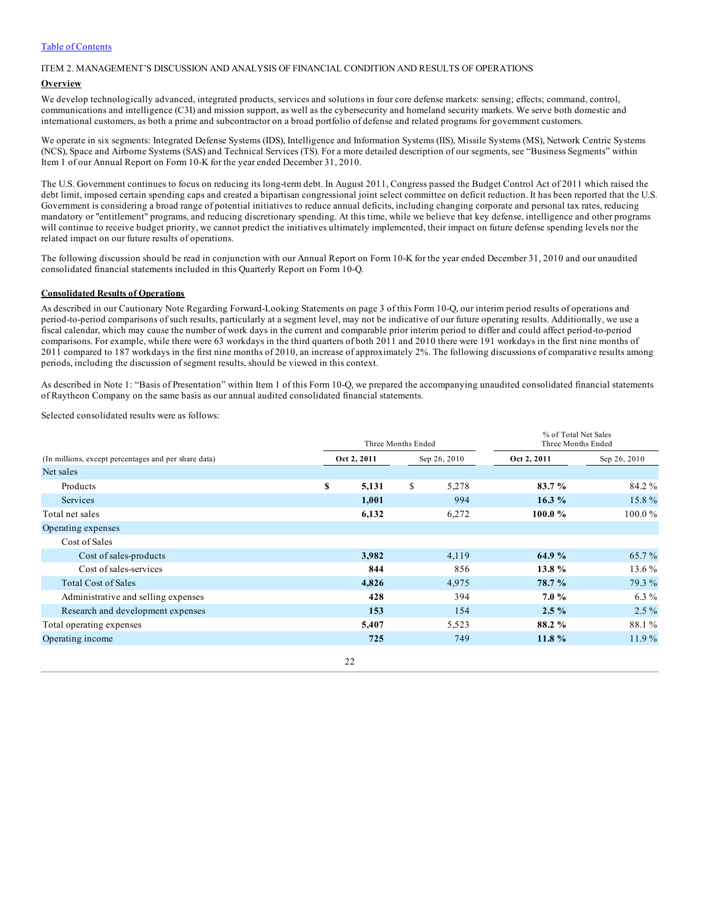#### <span id="page-21-0"></span>ITEM 2. MANAGEMENT'S DISCUSSION AND ANALYSIS OF FINANCIAL CONDITION AND RESULTS OF OPERATIONS

#### **Overview**

We develop technologically advanced, integrated products, services and solutions in four core defense markets: sensing; effects; command, control, communications and intelligence (C3I) and mission support, as well as the cybersecurity and homeland security markets. We serve both domestic and international customers, as both a prime and subcontractor on a broad portfolio of defense and related programs for government customers.

We operate in six segments: Integrated Defense Systems (IDS), Intelligence and Information Systems (IIS), Missile Systems (MS), Network Centric Systems (NCS), Space and Airborne Systems (SAS) and Technical Services (TS). For a more detailed description of our segments, see "Business Segments" within Item 1 of our Annual Report on Form 10-K for the year ended December 31, 2010.

The U.S. Government continues to focus on reducing its long-term debt. In August 2011, Congress passed the Budget Control Act of 2011 which raised the debt limit, imposed certain spending caps and created a bipartisan congressional joint select committee on deficit reduction. It has been reported that the U.S. Government is considering a broad range of potential initiatives to reduce annual deficits, including changing corporate and personal tax rates, reducing mandatory or "entitlement" programs, and reducing discretionary spending. At this time, while we believe that key defense, intelligence and other programs will continue to receive budget priority, we cannot predict the initiatives ultimately implemented, their impact on future defense spending levels nor the related impact on our future results of operations.

The following discussion should be read in conjunction with our Annual Report on Form 10-K for the year ended December 31, 2010 and our unaudited consolidated financial statements included in this Quarterly Report on Form 10-Q.

#### **Consolidated Results of Operations**

As described in our Cautionary Note Regarding Forward-Looking Statements on page 3 of this Form 10-Q, our interim period results of operations and period-to-period comparisons of such results, particularly at a segment level, may not be indicative of our future operating results. Additionally, we use a fiscal calendar, which may cause the number of work days in the current and comparable prior interim period to differ and could affect period-to-period comparisons. For example, while there were 63 workdays in the third quarters of both 2011 and 2010 there were 191 workdays in the first nine months of 2011 compared to 187 workdays in the first nine months of 2010, an increase of approximately 2%. The following discussions of comparative results among periods, including the discussion of segment results, should be viewed in this context.

As described in Note 1: "Basis of Presentation" within Item 1 of this Form 10-Q, we prepared the accompanying unaudited consolidated financial statements of Raytheon Company on the same basis as our annual audited consolidated financial statements.

Selected consolidated results were as follows:

|                                                      |             | Three Months Ended | % of Total Net Sales<br>Three Months Ended |               |              |  |
|------------------------------------------------------|-------------|--------------------|--------------------------------------------|---------------|--------------|--|
| (In millions, except percentages and per share data) | Oct 2, 2011 | Sep 26, 2010       |                                            | Oct 2, 2011   | Sep 26, 2010 |  |
| Net sales                                            |             |                    |                                            |               |              |  |
| Products                                             | \$<br>5,131 | \$                 | 5,278                                      | 83.7 %        | 84.2 %       |  |
| Services                                             | 1,001       |                    | 994                                        | $16.3\%$      | 15.8 %       |  |
| Total net sales                                      | 6,132       |                    | 6,272                                      | 100.0%        | 100.0%       |  |
| Operating expenses                                   |             |                    |                                            |               |              |  |
| Cost of Sales                                        |             |                    |                                            |               |              |  |
| Cost of sales-products                               | 3,982       |                    | 4,119                                      | 64.9 %        | 65.7 %       |  |
| Cost of sales-services                               | 844         |                    | 856                                        | 13.8 %        | 13.6 %       |  |
| <b>Total Cost of Sales</b>                           | 4,826       |                    | 4,975                                      | <b>78.7 %</b> | 79.3 %       |  |
| Administrative and selling expenses                  | 428         |                    | 394                                        | $7.0 \%$      | 6.3 $%$      |  |
| Research and development expenses                    | 153         |                    | 154                                        | $2.5\%$       | $2.5\%$      |  |
| Total operating expenses                             | 5,407       |                    | 5,523                                      | 88.2 %        | 88.1 %       |  |
| Operating income                                     | 725         |                    | 749                                        | 11.8 %        | 11.9%        |  |
|                                                      | 22          |                    |                                            |               |              |  |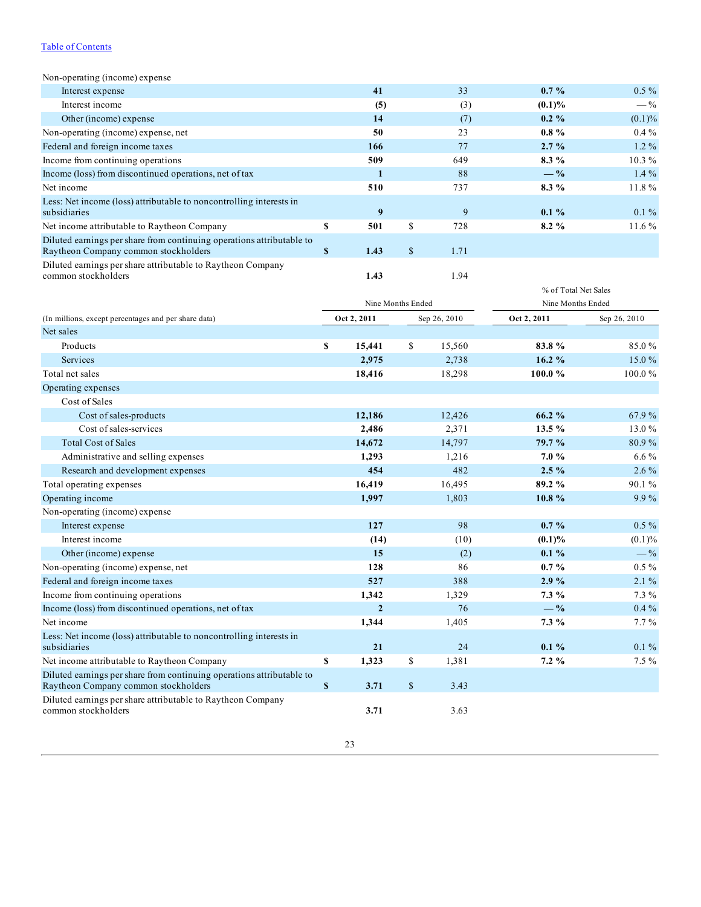| Non-operating (income) expense                                                                                |            |              |      |           |                |
|---------------------------------------------------------------------------------------------------------------|------------|--------------|------|-----------|----------------|
| Interest expense                                                                                              | 41         |              | 33   | $0.7\%$   | $0.5\%$        |
| Interest income                                                                                               | (5)        |              | (3)  | $(0.1)\%$ | $-\frac{9}{6}$ |
| Other (income) expense                                                                                        | 14         |              | (7)  | $0.2 \%$  | $(0.1)\%$      |
| Non-operating (income) expense, net                                                                           | 50         |              | 23   | $0.8 \%$  | $0.4\%$        |
| Federal and foreign income taxes                                                                              | 166        |              | 77   | $2.7\%$   | $1.2\%$        |
| Income from continuing operations                                                                             | 509        |              | 649  | $8.3\%$   | $10.3\%$       |
| Income (loss) from discontinued operations, net of tax                                                        |            |              | 88   | $-$ %     | $1.4\%$        |
| Net income                                                                                                    | 510        |              | 737  | $8.3\%$   | $11.8 \%$      |
| Less: Net income (loss) attributable to noncontrolling interests in<br>subsidiaries                           | 9          |              | 9    | $0.1\%$   | $0.1\%$        |
| Net income attributable to Raytheon Company                                                                   | \$<br>501  | \$           | 728  | $8.2\%$   | $11.6\%$       |
| Diluted earnings per share from continuing operations attributable to<br>Raytheon Company common stockholders | \$<br>1.43 | $\mathbb{S}$ | 1.71 |           |                |
| Diluted earnings per share attributable to Raytheon Company<br>common stockholders                            | 1.43       |              | 1.94 |           |                |

|                                                                                                               |              | Nine Months Ended |              |              | % of Total Net Sales<br>Nine Months Ended |                |
|---------------------------------------------------------------------------------------------------------------|--------------|-------------------|--------------|--------------|-------------------------------------------|----------------|
| (In millions, except percentages and per share data)                                                          |              | Oct 2, 2011       |              | Sep 26, 2010 | Oct 2, 2011                               | Sep 26, 2010   |
| Net sales                                                                                                     |              |                   |              |              |                                           |                |
| Products                                                                                                      | \$           | 15,441            | \$           | 15,560       | 83.8%                                     | 85.0%          |
| <b>Services</b>                                                                                               |              | 2,975             |              | 2,738        | $16.2 \%$                                 | 15.0%          |
| Total net sales                                                                                               |              | 18,416            |              | 18,298       | 100.0%                                    | 100.0%         |
| Operating expenses                                                                                            |              |                   |              |              |                                           |                |
| Cost of Sales                                                                                                 |              |                   |              |              |                                           |                |
| Cost of sales-products                                                                                        |              | 12,186            |              | 12,426       | $66.2 \%$                                 | 67.9%          |
| Cost of sales-services                                                                                        |              | 2,486             |              | 2,371        | $13.5\%$                                  | 13.0%          |
| <b>Total Cost of Sales</b>                                                                                    |              | 14,672            |              | 14,797       | 79.7 %                                    | 80.9%          |
| Administrative and selling expenses                                                                           |              | 1,293             |              | 1,216        | 7.0%                                      | $6.6\%$        |
| Research and development expenses                                                                             |              | 454               |              | 482          | $2.5\%$                                   | $2.6\%$        |
| Total operating expenses                                                                                      |              | 16,419            |              | 16,495       | 89.2%                                     | 90.1%          |
| Operating income                                                                                              |              | 1,997             |              | 1,803        | 10.8%                                     | $9.9\%$        |
| Non-operating (income) expense                                                                                |              |                   |              |              |                                           |                |
| Interest expense                                                                                              |              | 127               |              | 98           | $0.7 \%$                                  | $0.5\%$        |
| Interest income                                                                                               |              | (14)              |              | (10)         | $(0.1)\%$                                 | (0.1)%         |
| Other (income) expense                                                                                        |              | 15                |              | (2)          | $0.1 \%$                                  | $-\frac{9}{6}$ |
| Non-operating (income) expense, net                                                                           |              | 128               |              | 86           | $0.7\%$                                   | $0.5\%$        |
| Federal and foreign income taxes                                                                              |              | 527               |              | 388          | 2.9%                                      | $2.1\%$        |
| Income from continuing operations                                                                             |              | 1,342             |              | 1,329        | 7.3%                                      | $7.3\%$        |
| Income (loss) from discontinued operations, net of tax                                                        |              | $\overline{2}$    |              | 76           | $-$ %                                     | $0.4\%$        |
| Net income                                                                                                    |              | 1,344             |              | 1,405        | 7.3 %                                     | $7.7\%$        |
| Less: Net income (loss) attributable to noncontrolling interests in<br>subsidiaries                           |              | 21                |              | 24           | $0.1 \%$                                  | $0.1\%$        |
| Net income attributable to Raytheon Company                                                                   | \$           | 1,323             | \$           | 1,381        | $7.2\%$                                   | 7.5 %          |
| Diluted earnings per share from continuing operations attributable to<br>Raytheon Company common stockholders | $\mathbf{s}$ | 3.71              | $\mathbb{S}$ | 3.43         |                                           |                |
| Diluted earnings per share attributable to Raytheon Company<br>common stockholders                            |              | 3.71              |              | 3.63         |                                           |                |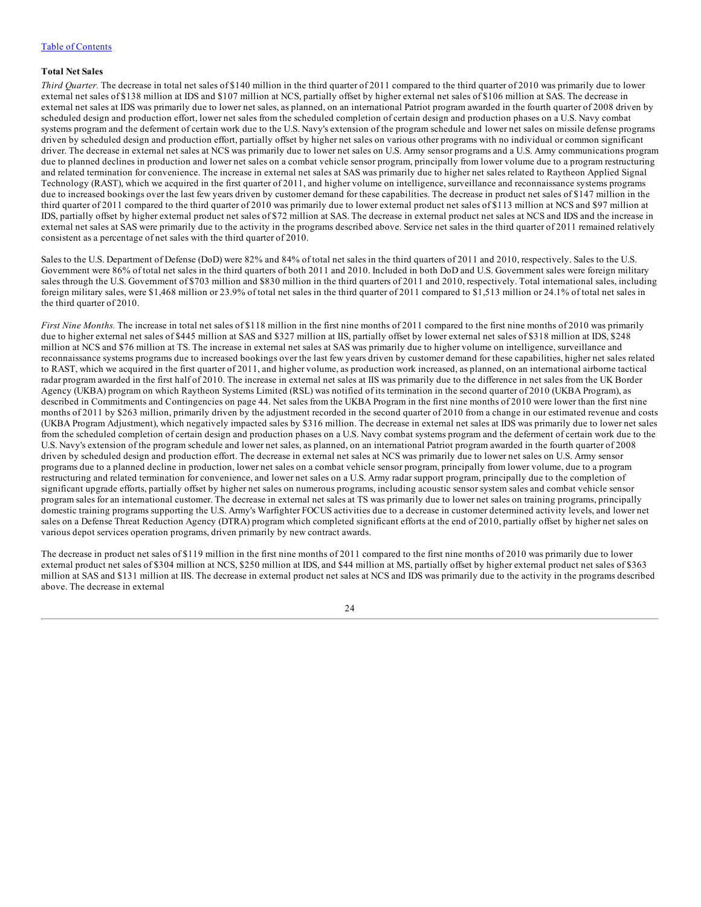#### **Total Net Sales**

*Third Quarter.* The decrease in total net sales of \$140 million in the third quarter of 2011 compared to the third quarter of 2010 was primarily due to lower external net sales of \$138 million at IDS and \$107 million at NCS, partially offset by higher external net sales of \$106 million at SAS. The decrease in external net sales at IDS was primarily due to lower net sales, as planned, on an international Patriot program awarded in the fourth quarter of 2008 driven by scheduled design and production effort, lower net sales from the scheduled completion of certain design and production phases on a U.S. Navy combat systems program and the deferment of certain work due to the U.S. Navy's extension of the program schedule and lower net sales on missile defense programs driven by scheduled design and production effort, partially offset by higher net sales on various other programs with no individual or common significant driver. The decrease in external net sales at NCS was primarily due to lower net sales on U.S. Army sensor programs and a U.S. Army communications program due to planned declines in production and lower net sales on a combat vehicle sensor program, principally from lower volume due to a program restructuring and related termination for convenience. The increase in external net sales at SAS was primarily due to higher net sales related to Raytheon Applied Signal Technology (RAST), which we acquired in the first quarter of 2011, and higher volume on intelligence, surveillance and reconnaissance systems programs due to increased bookings over the last few years driven by customer demand for these capabilities. The decrease in product net sales of \$147 million in the third quarter of 2011 compared to the third quarter of 2010 was primarily due to lower external product net sales of \$113 million at NCS and \$97 million at IDS, partially offset by higher external product net sales of \$72 million at SAS. The decrease in external product net sales at NCS and IDS and the increase in external net sales at SAS were primarily due to the activity in the programs described above. Service net sales in the third quarter of 2011 remained relatively consistent as a percentage of net sales with the third quarter of 2010.

Sales to the U.S. Department of Defense (DoD) were 82% and 84% of total net sales in the third quarters of 2011 and 2010, respectively. Sales to the U.S. Government were 86% of total net sales in the third quarters of both 2011 and 2010. Included in both DoD and U.S. Government sales were foreign military sales through the U.S. Government of \$703 million and \$830 million in the third quarters of 2011 and 2010, respectively. Total international sales, including foreign military sales, were \$1,468 million or 23.9% of total net sales in the third quarter of 2011 compared to \$1,513 million or 24.1% of total net sales in the third quarter of 2010.

*First Nine Months*. The increase in total net sales of \$118 million in the first nine months of 2011 compared to the first nine months of 2010 was primarily due to higher external net sales of \$445 million at SAS and \$327 million at IIS, partially offset by lower external net sales of \$318 million at IDS, \$248 million at NCS and \$76 million at TS. The increase in external net sales at SAS was primarily due to higher volume on intelligence, surveillance and reconnaissance systems programs due to increased bookings over the last few years driven by customer demand for these capabilities, higher net sales related to RAST, which we acquired in the first quarter of 2011, and higher volume, as production work increased, as planned, on an international airborne tactical radar program awarded in the first half of 2010. The increase in external net sales at IIS was primarily due to the difference in net sales from the UK Border Agency (UKBA) program on which Raytheon Systems Limited (RSL) was notified of its termination in the second quarter of 2010 (UKBA Program), as described in Commitments and Contingencies on page 44. Net sales from the UKBA Program in the first nine months of 2010 were lower than the first nine months of 2011 by \$263 million, primarily driven by the adjustment recorded in the second quarter of 2010 from a change in our estimated revenue and costs (UKBA Program Adjustment), which negatively impacted sales by \$316 million. The decrease in external net sales at IDS was primarily due to lower net sales from the scheduled completion of certain design and production phases on a U.S. Navy combat systems program and the deferment of certain work due to the U.S. Navy's extension of the program schedule and lower net sales, as planned, on an international Patriot program awarded in the fourth quarter of 2008 driven by scheduled design and production effort. The decrease in external net sales at NCS was primarily due to lower net sales on U.S. Army sensor programs due to a planned decline in production, lower net sales on a combat vehicle sensor program, principally from lower volume, due to a program restructuring and related termination for convenience, and lower net sales on a U.S. Army radar support program, principally due to the completion of significant upgrade efforts, partially offset by higher net sales on numerous programs, including acoustic sensor system sales and combat vehicle sensor program sales for an international customer. The decrease in external net sales at TS was primarily due to lower net sales on training programs, principally domestic training programs supporting the U.S. Army's Warfighter FOCUS activities due to a decrease in customer determined activity levels, and lower net sales on a Defense Threat Reduction Agency (DTRA) program which completed significant efforts at the end of 2010, partially offset by higher net sales on various depot services operation programs, driven primarily by new contract awards.

The decrease in product net sales of \$119 million in the first nine months of 2011 compared to the first nine months of 2010 was primarily due to lower external product net sales of \$304 million at NCS, \$250 million at IDS, and \$44 million at MS, partially offset by higher external product net sales of \$363 million at SAS and \$131 million at IIS. The decrease in external product net sales at NCS and IDS was primarily due to the activity in the programs described above. The decrease in external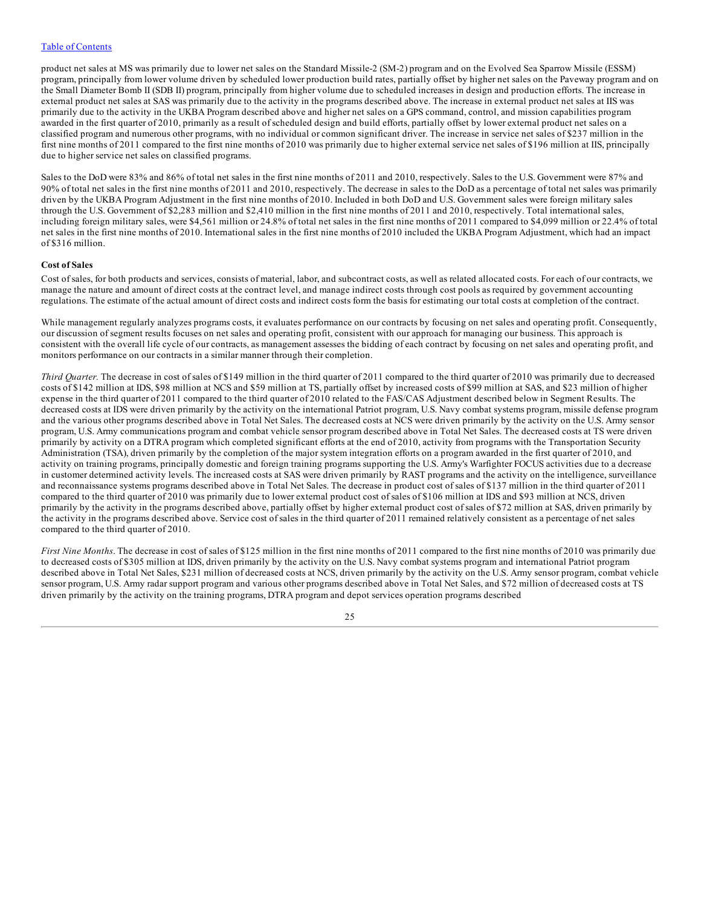product net sales at MS was primarily due to lower net sales on the Standard Missile-2 (SM-2) program and on the Evolved Sea Sparrow Missile (ESSM) program, principally from lower volume driven by scheduled lower production build rates, partially offset by higher net sales on the Paveway program and on the Small Diameter Bomb II (SDB II) program, principally from higher volume due to scheduled increases in design and production efforts. The increase in external product net sales at SAS was primarily due to the activity in the programs described above. The increase in external product net sales at IIS was primarily due to the activity in the UKBA Program described above and higher net sales on a GPS command, control, and mission capabilities program awarded in the first quarter of 2010, primarily as a result of scheduled design and build efforts, partially offset by lower external product net sales on a classified program and numerous other programs, with no individual or common significant driver. The increase in service net sales of \$237 million in the first nine months of 2011 compared to the first nine months of 2010 was primarily due to higher external service net sales of \$196 million at IIS, principally due to higher service net sales on classified programs.

Sales to the DoD were 83% and 86% of total net sales in the first nine months of 2011 and 2010, respectively. Sales to the U.S. Government were 87% and 90% of total net sales in the first nine months of 2011 and 2010, respectively. The decrease in sales to the DoD as a percentage of total net sales was primarily driven by the UKBA Program Adjustment in the first nine months of 2010. Included in both DoD and U.S. Government sales were foreign military sales through the U.S. Government of \$2,283 million and \$2,410 million in the first nine months of 2011 and 2010, respectively. Total international sales, including foreign military sales, were \$4,561 million or 24.8% of total net sales in the first nine months of 2011 compared to \$4,099 million or 22.4% of total net sales in the first nine months of 2010. International sales in the first nine months of 2010 included the UKBA Program Adjustment, which had an impact of \$316 million.

#### **Cost of Sales**

Cost of sales, for both products and services, consists of material, labor, and subcontract costs, as well as related allocated costs. For each of our contracts, we manage the nature and amount of direct costs at the contract level, and manage indirect costs through cost pools as required by government accounting regulations. The estimate of the actual amount of direct costs and indirect costs form the basis for estimating our total costs at completion of the contract.

While management regularly analyzes programs costs, it evaluates performance on our contracts by focusing on net sales and operating profit. Consequently, our discussion of segment results focuses on net sales and operating profit, consistent with our approach for managing our business. This approach is consistent with the overall life cycle of our contracts, as management assesses the bidding of each contract by focusing on net sales and operating profit, and monitors performance on our contracts in a similar manner through their completion.

*Third Quarter.* The decrease in cost of sales of \$149 million in the third quarter of 2011 compared to the third quarter of 2010 was primarily due to decreased costs of \$142 million at IDS, \$98 million at NCS and \$59 million at TS, partially offset by increased costs of \$99 million at SAS, and \$23 million of higher expense in the third quarter of 2011 compared to the third quarter of 2010 related to the FAS/CAS Adjustment described below in Segment Results. The decreased costs at IDS were driven primarily by the activity on the international Patriot program, U.S. Navy combat systems program, missile defense program and the various other programs described above in Total Net Sales. The decreased costs at NCS were driven primarily by the activity on the U.S. Army sensor program, U.S. Army communications program and combat vehicle sensor program described above in Total Net Sales. The decreased costs at TS were driven primarily by activity on a DTRA program which completed significant efforts at the end of 2010, activity from programs with the Transportation Security Administration (TSA), driven primarily by the completion of the major system integration efforts on a program awarded in the first quarter of 2010, and activity on training programs, principally domestic and foreign training programs supporting the U.S. Army's Warfighter FOCUS activities due to a decrease in customer determined activity levels. The increased costs at SAS were driven primarily by RAST programs and the activity on the intelligence, surveillance and reconnaissance systems programs described above in Total Net Sales. The decrease in product cost of sales of \$137 million in the third quarter of 2011 compared to the third quarter of 2010 was primarily due to lower external product cost of sales of \$106 million at IDS and \$93 million at NCS, driven primarily by the activity in the programs described above, partially offset by higher external product cost of sales of \$72 million at SAS, driven primarily by the activity in the programs described above. Service cost of sales in the third quarter of 2011 remained relatively consistent as a percentage of net sales compared to the third quarter of 2010.

*First Nine Months*. The decrease in cost of sales of \$125 million in the first nine months of 2011 compared to the first nine months of 2010 was primarily due to decreased costs of \$305 million at IDS, driven primarily by the activity on the U.S. Navy combat systems program and international Patriot program described above in Total Net Sales, \$231 million of decreased costs at NCS, driven primarily by the activity on the U.S. Army sensor program, combat vehicle sensor program, U.S. Army radar support program and various other programs described above in Total Net Sales, and \$72 million of decreased costs at TS driven primarily by the activity on the training programs, DTRA program and depot services operation programs described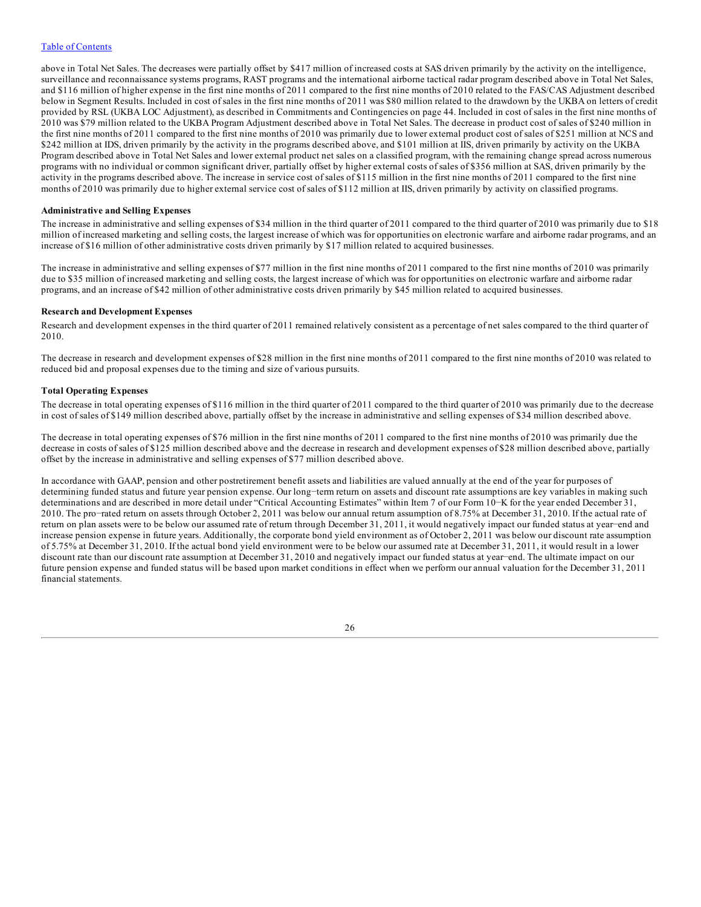above in Total Net Sales. The decreases were partially offset by \$417 million of increased costs at SAS driven primarily by the activity on the intelligence, surveillance and reconnaissance systems programs, RAST programs and the international airborne tactical radar program described above in Total Net Sales, and \$116 million of higher expense in the first nine months of 2011 compared to the first nine months of 2010 related to the FAS/CAS Adjustment described below in Segment Results. Included in cost of sales in the first nine months of 2011 was \$80 million related to the drawdown by the UKBA on letters of credit provided by RSL (UKBA LOC Adjustment), as described in Commitments and Contingencies on page 44. Included in cost of sales in the first nine months of 2010 was \$79 million related to the UKBA Program Adjustment described above in Total Net Sales. The decrease in product cost of sales of \$240 million in the first nine months of 2011 compared to the first nine months of 2010 was primarily due to lower external product cost of sales of \$251 million at NCS and \$242 million at IDS, driven primarily by the activity in the programs described above, and \$101 million at IIS, driven primarily by activity on the UKBA Program described above in Total Net Sales and lower external product net sales on a classified program, with the remaining change spread across numerous programs with no individual or common significant driver, partially offset by higher external costs of sales of \$356 million at SAS, driven primarily by the activity in the programs described above. The increase in service cost of sales of \$115 million in the first nine months of 2011 compared to the first nine months of 2010 was primarily due to higher external service cost of sales of \$112 million at IIS, driven primarily by activity on classified programs.

#### **Administrative and Selling Expenses**

The increase in administrative and selling expenses of \$34 million in the third quarter of 2011 compared to the third quarter of 2010 was primarily due to \$18 million of increased marketing and selling costs, the largest increase of which was for opportunities on electronic warfare and airborne radar programs, and an increase of \$16 million of other administrative costs driven primarily by \$17 million related to acquired businesses.

The increase in administrative and selling expenses of \$77 million in the first nine months of 2011 compared to the first nine months of 2010 was primarily due to \$35 million of increased marketing and selling costs, the largest increase of which was for opportunities on electronic warfare and airborne radar programs, and an increase of \$42 million of other administrative costs driven primarily by \$45 million related to acquired businesses.

#### **Research and Development Expenses**

Research and development expenses in the third quarter of 2011 remained relatively consistent as a percentage of net sales compared to the third quarter of 2010.

The decrease in research and development expenses of \$28 million in the first nine months of 2011 compared to the first nine months of 2010 was related to reduced bid and proposal expenses due to the timing and size of various pursuits.

#### **Total Operating Expenses**

The decrease in total operating expenses of \$116 million in the third quarter of 2011 compared to the third quarter of 2010 was primarily due to the decrease in cost of sales of \$149 million described above, partially offset by the increase in administrative and selling expenses of \$34 million described above.

The decrease in total operating expenses of \$76 million in the first nine months of 2011 compared to the first nine months of 2010 was primarily due the decrease in costs of sales of \$125 million described above and the decrease in research and development expenses of \$28 million described above, partially offset by the increase in administrative and selling expenses of \$77 million described above.

In accordance with GAAP, pension and other postretirement benefit assets and liabilities are valued annually at the end of the year for purposes of determining funded status and future year pension expense. Our long−term return on assets and discount rate assumptions are key variables in making such determinations and are described in more detail under "Critical Accounting Estimates" within Item 7 of our Form 10−K for the year ended December 31, 2010. The pro−rated return on assets through October 2, 2011 was below our annual return assumption of 8.75% at December 31, 2010. If the actual rate of return on plan assets were to be below our assumed rate of return through December 31, 2011, it would negatively impact our funded status at year−end and increase pension expense in future years. Additionally, the corporate bond yield environment as of October 2, 2011 was below our discount rate assumption of 5.75% at December 31, 2010. If the actual bond yield environment were to be below our assumed rate at December 31, 2011, it would result in a lower discount rate than our discount rate assumption at December 31, 2010 and negatively impact our funded status at year−end. The ultimate impact on our future pension expense and funded status will be based upon market conditions in effect when we perform our annual valuation for the December 31, 2011 financial statements.

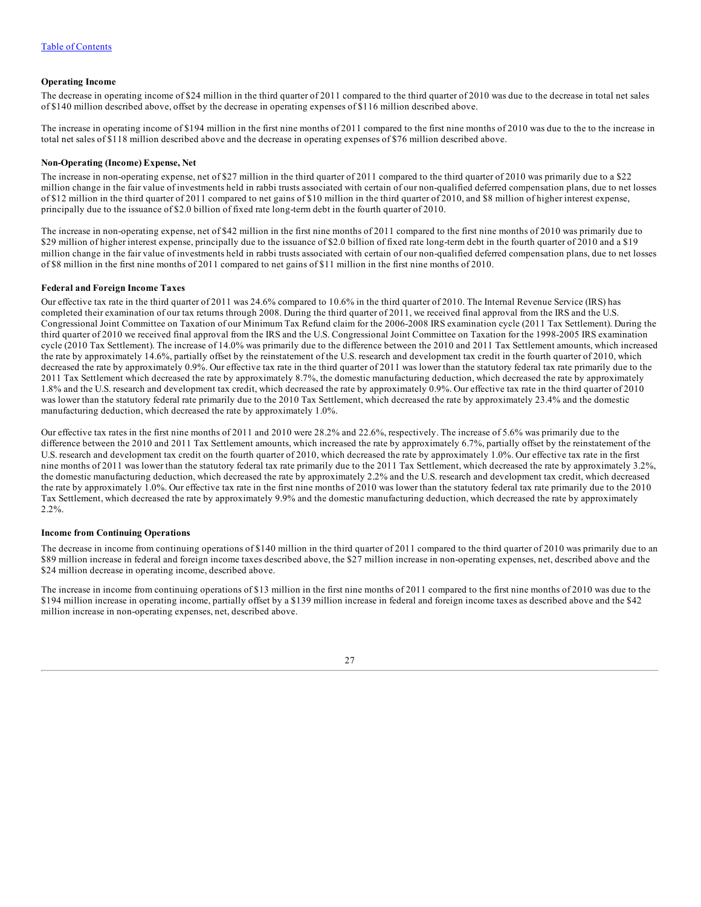#### **Operating Income**

The decrease in operating income of \$24 million in the third quarter of 2011 compared to the third quarter of 2010 was due to the decrease in total net sales of \$140 million described above, offset by the decrease in operating expenses of \$116 million described above.

The increase in operating income of \$194 million in the first nine months of 2011 compared to the first nine months of 2010 was due to the to the increase in total net sales of \$118 million described above and the decrease in operating expenses of \$76 million described above.

#### **Non-Operating (Income) Expense, Net**

The increase in non-operating expense, net of \$27 million in the third quarter of 2011 compared to the third quarter of 2010 was primarily due to a \$22 million change in the fair value of investments held in rabbi trusts associated with certain of our non-qualified deferred compensation plans, due to net losses of \$12 million in the third quarter of 2011 compared to net gains of \$10 million in the third quarter of 2010, and \$8 million of higher interest expense, principally due to the issuance of \$2.0 billion of fixed rate long-term debt in the fourth quarter of 2010.

The increase in non-operating expense, net of \$42 million in the first nine months of 2011 compared to the first nine months of 2010 was primarily due to \$29 million of higher interest expense, principally due to the issuance of \$2.0 billion of fixed rate long-term debt in the fourth quarter of 2010 and a \$19 million change in the fair value of investments held in rabbi trusts associated with certain of our non-qualified deferred compensation plans, due to net losses of \$8 million in the first nine months of 2011 compared to net gains of \$11 million in the first nine months of 2010.

#### **Federal and Foreign Income Taxes**

Our effective tax rate in the third quarter of 2011 was 24.6% compared to 10.6% in the third quarter of 2010. The Internal Revenue Service (IRS) has completed their examination of our tax returns through 2008. During the third quarter of 2011, we received final approval from the IRS and the U.S. Congressional Joint Committee on Taxation of our Minimum Tax Refund claim for the 2006-2008 IRS examination cycle (2011 Tax Settlement). During the third quarter of 2010 we received final approval from the IRS and the U.S. Congressional Joint Committee on Taxation for the 1998-2005 IRS examination cycle (2010 Tax Settlement). The increase of 14.0% was primarily due to the difference between the 2010 and 2011 Tax Settlement amounts, which increased the rate by approximately 14.6%, partially offset by the reinstatement of the U.S. research and development tax credit in the fourth quarter of 2010, which decreased the rate by approximately 0.9%. Our effective tax rate in the third quarter of 2011 was lower than the statutory federal tax rate primarily due to the 2011 Tax Settlement which decreased the rate by approximately 8.7%, the domestic manufacturing deduction, which decreased the rate by approximately 1.8% and the U.S. research and development tax credit, which decreased the rate by approximately 0.9%. Our effective tax rate in the third quarter of 2010 was lower than the statutory federal rate primarily due to the 2010 Tax Settlement, which decreased the rate by approximately 23.4% and the domestic manufacturing deduction, which decreased the rate by approximately 1.0%.

Our effective tax rates in the first nine months of 2011 and 2010 were 28.2% and 22.6%, respectively. The increase of 5.6% was primarily due to the difference between the 2010 and 2011 Tax Settlement amounts, which increased the rate by approximately 6.7%, partially offset by the reinstatement of the U.S. research and development tax credit on the fourth quarter of 2010, which decreased the rate by approximately 1.0%. Our effective tax rate in the first nine months of 2011 was lower than the statutory federal tax rate primarily due to the 2011 Tax Settlement, which decreased the rate by approximately 3.2%, the domestic manufacturing deduction, which decreased the rate by approximately 2.2% and the U.S. research and development tax credit, which decreased the rate by approximately 1.0%. Our effective tax rate in the first nine months of 2010 was lower than the statutory federal tax rate primarily due to the 2010 Tax Settlement, which decreased the rate by approximately 9.9% and the domestic manufacturing deduction, which decreased the rate by approximately  $2.2\%$ 

#### **Income from Continuing Operations**

The decrease in income from continuing operations of \$140 million in the third quarter of 2011 compared to the third quarter of 2010 was primarily due to an \$89 million increase in federal and foreign income taxes described above, the \$27 million increase in non-operating expenses, net, described above and the \$24 million decrease in operating income, described above.

The increase in income from continuing operations of \$13 million in the first nine months of 2011 compared to the first nine months of 2010 was due to the \$194 million increase in operating income, partially offset by a \$139 million increase in federal and foreign income taxes as described above and the \$42 million increase in non-operating expenses, net, described above.

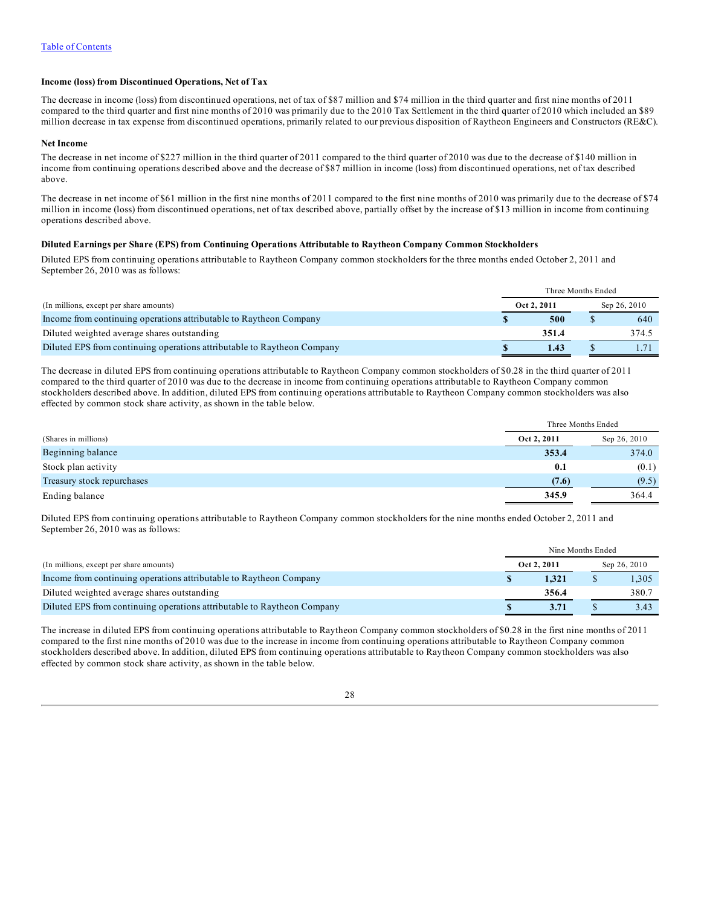## **Income (loss) from Discontinued Operations, Net of Tax**

The decrease in income (loss) from discontinued operations, net of tax of \$87 million and \$74 million in the third quarter and first nine months of 2011 compared to the third quarter and first nine months of 2010 was primarily due to the 2010 Tax Settlement in the third quarter of 2010 which included an \$89 million decrease in tax expense from discontinued operations, primarily related to our previous disposition of Raytheon Engineers and Constructors (RE&C).

#### **Net Income**

The decrease in net income of \$227 million in the third quarter of 2011 compared to the third quarter of 2010 was due to the decrease of \$140 million in income from continuing operations described above and the decrease of \$87 million in income (loss) from discontinued operations, net of tax described above.

The decrease in net income of \$61 million in the first nine months of 2011 compared to the first nine months of 2010 was primarily due to the decrease of \$74 million in income (loss) from discontinued operations, net of tax described above, partially offset by the increase of \$13 million in income from continuing operations described above.

#### **Diluted Earnings per Share (EPS) from Continuing Operations Attributable to Raytheon Company Common Stockholders**

Diluted EPS from continuing operations attributable to Raytheon Company common stockholders for the three months ended October 2, 2011 and September 26, 2010 was as follows:

|                                                                         |             | Three Months Ended |  |  |
|-------------------------------------------------------------------------|-------------|--------------------|--|--|
| (In millions, except per share amounts)                                 | Oct 2, 2011 | Sep 26, 2010       |  |  |
| Income from continuing operations attributable to Raytheon Company      | 500         | 640                |  |  |
| Diluted weighted average shares outstanding                             | 351.4       | 374.5              |  |  |
| Diluted EPS from continuing operations attributable to Raytheon Company | 1.43        |                    |  |  |

The decrease in diluted EPS from continuing operations attributable to Raytheon Company common stockholders of \$0.28 in the third quarter of 2011 compared to the third quarter of 2010 was due to the decrease in income from continuing operations attributable to Raytheon Company common stockholders described above. In addition, diluted EPS from continuing operations attributable to Raytheon Company common stockholders was also effected by common stock share activity, as shown in the table below.

|                            | Three Months Ended |              |
|----------------------------|--------------------|--------------|
| (Shares in millions)       | Oct 2, 2011        | Sep 26, 2010 |
| Beginning balance          | 353.4              | 374.0        |
| Stock plan activity        | 0.1                | (0.1)        |
| Treasury stock repurchases | (7.6)              | (9.5)        |
| Ending balance             | 345.9              | 364.4        |

Diluted EPS from continuing operations attributable to Raytheon Company common stockholders for the nine months ended October 2, 2011 and September 26, 2010 was as follows:

|                                                                         |  | Nine Months Ended |              |  |
|-------------------------------------------------------------------------|--|-------------------|--------------|--|
| (In millions, except per share amounts)                                 |  | Oct 2, 2011       | Sep 26, 2010 |  |
| Income from continuing operations attributable to Raytheon Company      |  | 1.321             | 1,305        |  |
| Diluted weighted average shares outstanding                             |  | 356.4             | 380.7        |  |
| Diluted EPS from continuing operations attributable to Raytheon Company |  | 3.71              | 3.43         |  |

The increase in diluted EPS from continuing operations attributable to Raytheon Company common stockholders of \$0.28 in the first nine months of 2011 compared to the first nine months of 2010 was due to the increase in income from continuing operations attributable to Raytheon Company common stockholders described above. In addition, diluted EPS from continuing operations attributable to Raytheon Company common stockholders was also effected by common stock share activity, as shown in the table below.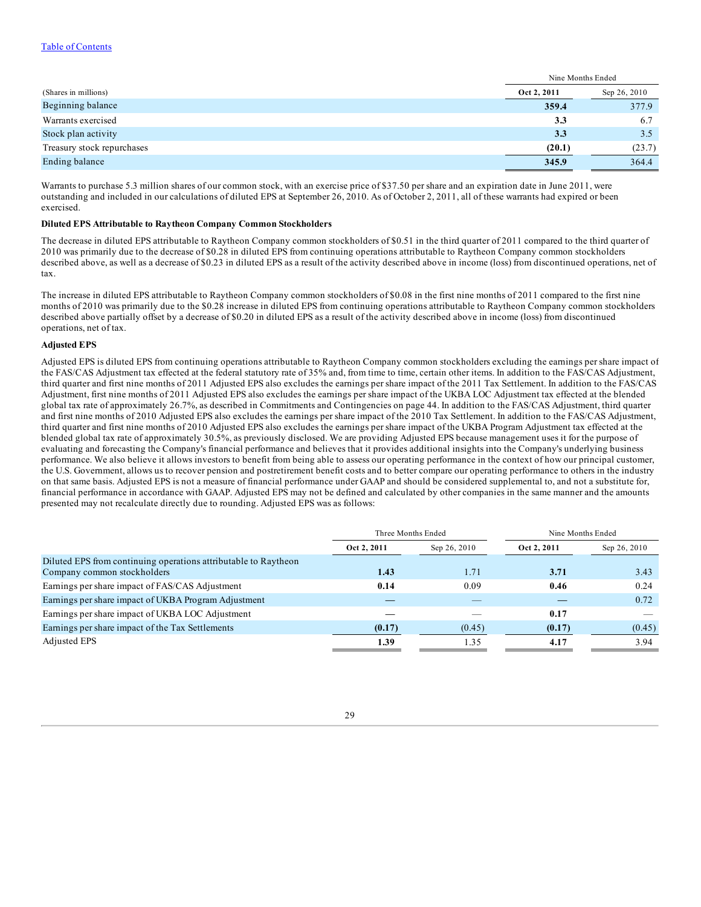|                            | Nine Months Ended |              |  |  |  |  |
|----------------------------|-------------------|--------------|--|--|--|--|
| (Shares in millions)       | Oct 2, 2011       | Sep 26, 2010 |  |  |  |  |
| Beginning balance          | 359.4             | 377.9        |  |  |  |  |
| Warrants exercised         | 3.3               | 6.7          |  |  |  |  |
| Stock plan activity        | 3.3               | 3.5          |  |  |  |  |
| Treasury stock repurchases | (20.1)            | (23.7)       |  |  |  |  |
| Ending balance             | 345.9             | 364.4        |  |  |  |  |

Warrants to purchase 5.3 million shares of our common stock, with an exercise price of \$37.50 per share and an expiration date in June 2011, were outstanding and included in our calculations of diluted EPS at September 26, 2010. As of October 2, 2011, all of these warrants had expired or been exercised.

#### **Diluted EPS Attributable to Raytheon Company Common Stockholders**

The decrease in diluted EPS attributable to Raytheon Company common stockholders of \$0.51 in the third quarter of 2011 compared to the third quarter of 2010 was primarily due to the decrease of \$0.28 in diluted EPS from continuing operations attributable to Raytheon Company common stockholders described above, as well as a decrease of \$0.23 in diluted EPS as a result of the activity described above in income (loss) from discontinued operations, net of tax.

The increase in diluted EPS attributable to Raytheon Company common stockholders of \$0.08 in the first nine months of 2011 compared to the first nine months of 2010 was primarily due to the \$0.28 increase in diluted EPS from continuing operations attributable to Raytheon Company common stockholders described above partially offset by a decrease of \$0.20 in diluted EPS as a result of the activity described above in income (loss) from discontinued operations, net of tax.

#### **Adjusted EPS**

Adjusted EPS is diluted EPS from continuing operations attributable to Raytheon Company common stockholders excluding the earnings per share impact of the FAS/CAS Adjustment tax effected at the federal statutory rate of 35% and, from time to time, certain other items. In addition to the FAS/CAS Adjustment, third quarter and first nine months of 2011 Adjusted EPS also excludes the earnings per share impact of the 2011 Tax Settlement. In addition to the FAS/CAS Adjustment, first nine months of 2011 Adjusted EPS also excludes the earnings per share impact of the UKBA LOC Adjustment tax effected at the blended global tax rate of approximately 26.7%, as described in Commitments and Contingencies on page 44. In addition to the FAS/CAS Adjustment, third quarter and first nine months of 2010 Adjusted EPS also excludes the earnings per share impact of the 2010 Tax Settlement. In addition to the FAS/CAS Adjustment, third quarter and first nine months of 2010 Adjusted EPS also excludes the earnings per share impact of the UKBA Program Adjustment tax effected at the blended global tax rate of approximately 30.5%, as previously disclosed. We are providing Adjusted EPS because management uses it for the purpose of evaluating and forecasting the Company's financial performance and believes that it provides additional insights into the Company's underlying business performance. We also believe it allows investors to benefit from being able to assess our operating performance in the context of how our principal customer, the U.S. Government, allows us to recover pension and postretirement benefit costs and to better compare our operating performance to others in the industry on that same basis. Adjusted EPS is not a measure of financial performance under GAAP and should be considered supplemental to, and not a substitute for, financial performance in accordance with GAAP. Adjusted EPS may not be defined and calculated by other companies in the same manner and the amounts presented may not recalculate directly due to rounding. Adjusted EPS was as follows:

|                                                                                                | Three Months Ended |              | Nine Months Ended |              |  |  |
|------------------------------------------------------------------------------------------------|--------------------|--------------|-------------------|--------------|--|--|
|                                                                                                | Oct 2, 2011        | Sep 26, 2010 | Oct 2, 2011       | Sep 26, 2010 |  |  |
| Diluted EPS from continuing operations attributable to Raytheon<br>Company common stockholders | 1.43               | 1.71         | 3.71              | 3.43         |  |  |
| Earnings per share impact of FAS/CAS Adjustment                                                | 0.14               | 0.09         | 0.46              | 0.24         |  |  |
| Earnings per share impact of UKBA Program Adjustment                                           |                    |              |                   | 0.72         |  |  |
| Earnings per share impact of UKBA LOC Adjustment                                               |                    |              | 0.17              |              |  |  |
| Earnings per share impact of the Tax Settlements                                               | (0.17)             | (0.45)       | (0.17)            | (0.45)       |  |  |
| Adjusted EPS                                                                                   | 1.39               | 1.35         | 4.17              | 3.94         |  |  |

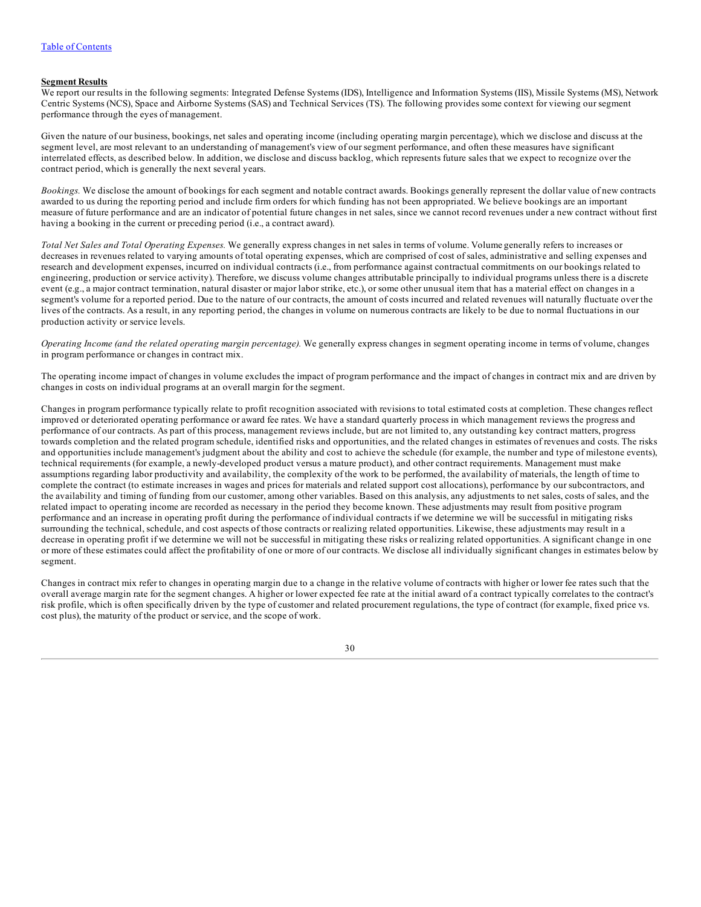#### **Segment Results**

We report our results in the following segments: Integrated Defense Systems (IDS), Intelligence and Information Systems (IIS), Missile Systems (MS), Network Centric Systems (NCS), Space and Airborne Systems (SAS) and Technical Services (TS). The following provides some context for viewing our segment performance through the eyes of management.

Given the nature of our business, bookings, net sales and operating income (including operating margin percentage), which we disclose and discuss at the segment level, are most relevant to an understanding of management's view of our segment performance, and often these measures have significant interrelated effects, as described below. In addition, we disclose and discuss backlog, which represents future sales that we expect to recognize over the contract period, which is generally the next several years.

*Bookings.* We disclose the amount of bookings for each segment and notable contract awards. Bookings generally represent the dollar value of new contracts awarded to us during the reporting period and include firm orders for which funding has not been appropriated. We believe bookings are an important measure of future performance and are an indicator of potential future changes in net sales, since we cannot record revenues under a new contract without first having a booking in the current or preceding period (i.e., a contract award).

*Total Net Sales and Total Operating Expenses.* We generally express changes in net sales in terms of volume. Volume generally refers to increases or decreases in revenues related to varying amounts of total operating expenses, which are comprised of cost of sales, administrative and selling expenses and research and development expenses, incurred on individual contracts (i.e., from performance against contractual commitments on our bookings related to engineering, production or service activity). Therefore, we discuss volume changes attributable principally to individual programs unless there is a discrete event (e.g., a major contract termination, natural disaster or major labor strike, etc.), or some other unusual item that has a material effect on changes in a segment's volume for a reported period. Due to the nature of our contracts, the amount of costs incurred and related revenues will naturally fluctuate over the lives of the contracts. As a result, in any reporting period, the changes in volume on numerous contracts are likely to be due to normal fluctuations in our production activity or service levels.

*Operating Income (and the related operating margin percentage).* We generally express changes in segment operating income in terms of volume, changes in program performance or changes in contract mix.

The operating income impact of changes in volume excludes the impact of program performance and the impact of changes in contract mix and are driven by changes in costs on individual programs at an overall margin for the segment.

Changes in program performance typically relate to profit recognition associated with revisions to total estimated costs at completion. These changes reflect improved or deteriorated operating performance or award fee rates. We have a standard quarterly process in which management reviews the progress and performance of our contracts. As part of this process, management reviews include, but are not limited to, any outstanding key contract matters, progress towards completion and the related program schedule, identified risks and opportunities, and the related changes in estimates of revenues and costs. The risks and opportunities include management's judgment about the ability and cost to achieve the schedule (for example, the number and type of milestone events), technical requirements (for example, a newly-developed product versus a mature product), and other contract requirements. Management must make assumptions regarding labor productivity and availability, the complexity of the work to be performed, the availability of materials, the length of time to complete the contract (to estimate increases in wages and prices for materials and related support cost allocations), performance by our subcontractors, and the availability and timing of funding from our customer, among other variables. Based on this analysis, any adjustments to net sales, costs of sales, and the related impact to operating income are recorded as necessary in the period they become known. These adjustments may result from positive program performance and an increase in operating profit during the performance of individual contracts if we determine we will be successful in mitigating risks surrounding the technical, schedule, and cost aspects of those contracts or realizing related opportunities. Likewise, these adjustments may result in a decrease in operating profit if we determine we will not be successful in mitigating these risks or realizing related opportunities. A significant change in one or more of these estimates could affect the profitability of one or more of our contracts. We disclose all individually significant changes in estimates below by segment.

Changes in contract mix refer to changes in operating margin due to a change in the relative volume of contracts with higher or lower fee rates such that the overall average margin rate for the segment changes. A higher or lower expected fee rate at the initial award of a contract typically correlates to the contract's risk profile, which is often specifically driven by the type of customer and related procurement regulations, the type of contract (for example, fixed price vs. cost plus), the maturity of the product or service, and the scope of work.

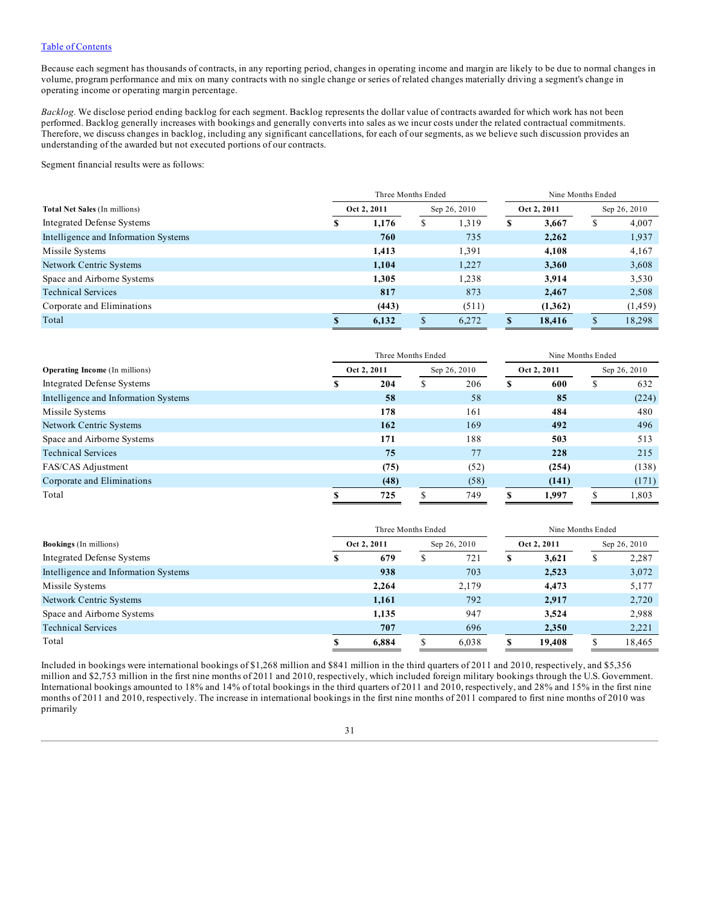Because each segment has thousands of contracts, in any reporting period, changes in operating income and margin are likely to be due to normal changes in volume, program performance and mix on many contracts with no single change or series of related changes materially driving a segment's change in operating income or operating margin percentage.

*Backlog.* We disclose period ending backlog for each segment. Backlog represents the dollar value of contracts awarded for which work has not been performed. Backlog generally increases with bookings and generally converts into sales as we incur costs under the related contractual commitments. Therefore, we discuss changes in backlog, including any significant cancellations, for each of our segments, as we believe such discussion provides an understanding of the awarded but not executed portions of our contracts.

Segment financial results were as follows:

|                                      | Three Months Ended |       |    |              |   |             | Nine Months Ended |              |  |  |
|--------------------------------------|--------------------|-------|----|--------------|---|-------------|-------------------|--------------|--|--|
| <b>Total Net Sales (In millions)</b> | Oct 2, 2011        |       |    | Sep 26, 2010 |   | Oct 2, 2011 |                   | Sep 26, 2010 |  |  |
| Integrated Defense Systems           | æ                  | 1,176 | \$ | 1,319        | S | 3,667       | ۰D.               | 4,007        |  |  |
| Intelligence and Information Systems |                    | 760   |    | 735          |   | 2,262       |                   | 1,937        |  |  |
| Missile Systems                      |                    | 1,413 |    | 1,391        |   | 4,108       |                   | 4,167        |  |  |
| Network Centric Systems              |                    | 1,104 |    | 1,227        |   | 3,360       |                   | 3,608        |  |  |
| Space and Airborne Systems           |                    | 1,305 |    | 1,238        |   | 3,914       |                   | 3,530        |  |  |
| <b>Technical Services</b>            |                    | 817   |    | 873          |   | 2,467       |                   | 2,508        |  |  |
| Corporate and Eliminations           |                    | (443) |    | (511)        |   | (1,362)     |                   | (1, 459)     |  |  |
| Total                                |                    | 6,132 | \$ | 6.272        |   | 18,416      |                   | 18.298       |  |  |

|                                       |             | Three Months Ended | Nine Months Ended |              |   |             |              |       |
|---------------------------------------|-------------|--------------------|-------------------|--------------|---|-------------|--------------|-------|
| <b>Operating Income</b> (In millions) | Oct 2, 2011 |                    |                   | Sep 26, 2010 |   | Oct 2, 2011 | Sep 26, 2010 |       |
| Integrated Defense Systems            | э           | 204                | \$                | 206          | S | 600         | ۰D.          | 632   |
| Intelligence and Information Systems  |             | 58                 |                   | 58           |   | 85          |              | (224) |
| Missile Systems                       |             | 178                |                   | 161          |   | 484         |              | 480   |
| Network Centric Systems               |             | 162                |                   | 169          |   | 492         |              | 496   |
| Space and Airborne Systems            |             | 171                |                   | 188          |   | 503         |              | 513   |
| <b>Technical Services</b>             |             | 75                 |                   | 77           |   | 228         |              | 215   |
| FAS/CAS Adjustment                    |             | (75)               |                   | (52)         |   | (254)       |              | (138) |
| Corporate and Eliminations            |             | (48)               |                   | (58)         |   | (141)       |              | (171) |
| Total                                 |             | 725                | S                 | 749          |   | 1,997       |              | 1,803 |

|                                      |             | Nine Months Ended |    |              |   |             |    |              |
|--------------------------------------|-------------|-------------------|----|--------------|---|-------------|----|--------------|
| <b>Bookings</b> (In millions)        | Oct 2, 2011 |                   |    | Sep 26, 2010 |   | Oct 2, 2011 |    | Sep 26, 2010 |
| <b>Integrated Defense Systems</b>    |             | 679               | \$ | 721          | S | 3.621       | ٠D | 2,287        |
| Intelligence and Information Systems |             | 938               |    | 703          |   | 2,523       |    | 3,072        |
| Missile Systems                      |             | 2,264             |    | 2,179        |   | 4,473       |    | 5,177        |
| Network Centric Systems              |             | 1,161             |    | 792          |   | 2,917       |    | 2,720        |
| Space and Airborne Systems           |             | 1,135             |    | 947          |   | 3,524       |    | 2,988        |
| <b>Technical Services</b>            |             | 707               |    | 696          |   | 2,350       |    | 2,221        |
| Total                                |             | 6.884             | \$ | 6.038        |   | 19.408      |    | 18.465       |

Included in bookings were international bookings of \$1,268 million and \$841 million in the third quarters of 2011 and 2010, respectively, and \$5,356 million and \$2,753 million in the first nine months of 2011 and 2010, respectively, which included foreign military bookings through the U.S. Government. International bookings amounted to 18% and 14% of total bookings in the third quarters of 2011 and 2010, respectively, and 28% and 15% in the first nine months of 2011 and 2010, respectively. The increase in international bookings in the first nine months of 2011 compared to first nine months of 2010 was primarily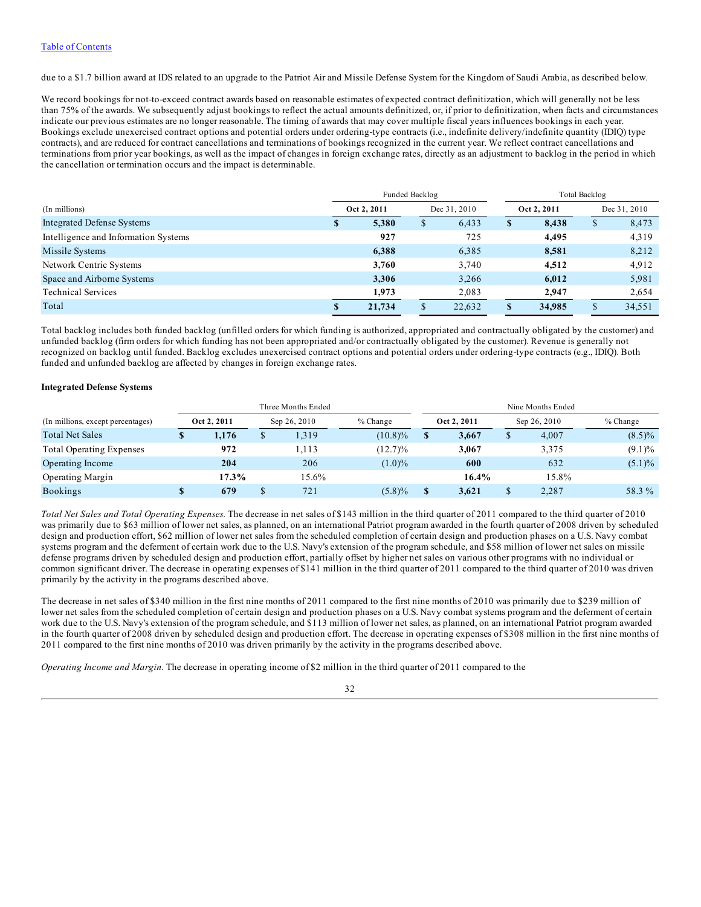due to a \$1.7 billion award at IDS related to an upgrade to the Patriot Air and Missile Defense System for the Kingdom of Saudi Arabia, as described below.

We record bookings for not-to-exceed contract awards based on reasonable estimates of expected contract definitization, which will generally not be less than 75% of the awards. We subsequently adjust bookings to reflect the actual amounts definitized, or, if prior to definitization, when facts and circumstances indicate our previous estimates are no longer reasonable. The timing of awards that may cover multiple fiscal years influences bookings in each year. Bookings exclude unexercised contract options and potential orders under ordering-type contracts (i.e., indefinite delivery/indefinite quantity (IDIQ) type contracts), and are reduced for contract cancellations and terminations of bookings recognized in the current year. We reflect contract cancellations and terminations from prior year bookings, as well as the impact of changes in foreign exchange rates, directly as an adjustment to backlog in the period in which the cancellation or termination occurs and the impact is determinable.

|                                      |             | Funded Backlog | Total Backlog |              |   |             |   |              |
|--------------------------------------|-------------|----------------|---------------|--------------|---|-------------|---|--------------|
| (In millions)                        | Oct 2, 2011 |                |               | Dec 31, 2010 |   | Oct 2, 2011 |   | Dec 31, 2010 |
| Integrated Defense Systems           | S           | 5.380          | \$            | 6.433        | S | 8,438       | S | 8,473        |
| Intelligence and Information Systems |             | 927            |               | 725          |   | 4,495       |   | 4,319        |
| Missile Systems                      |             | 6,388          |               | 6,385        |   | 8,581       |   | 8.212        |
| Network Centric Systems              |             | 3,760          |               | 3,740        |   | 4,512       |   | 4,912        |
| Space and Airborne Systems           |             | 3,306          |               | 3,266        |   | 6,012       |   | 5,981        |
| <b>Technical Services</b>            |             | 1,973          |               | 2,083        |   | 2,947       |   | 2,654        |
| Total                                | S           | 21,734         | \$            | 22,632       | S | 34,985      |   | 34,551       |

Total backlog includes both funded backlog (unfilled orders for which funding is authorized, appropriated and contractually obligated by the customer) and unfunded backlog (firm orders for which funding has not been appropriated and/or contractually obligated by the customer). Revenue is generally not recognized on backlog until funded. Backlog excludes unexercised contract options and potential orders under ordering-type contracts (e.g., IDIQ). Both funded and unfunded backlog are affected by changes in foreign exchange rates.

#### **Integrated Defense Systems**

|                                   |             |       | Three Months Ended |            | Nine Months Ended |          |              |       |            |  |
|-----------------------------------|-------------|-------|--------------------|------------|-------------------|----------|--------------|-------|------------|--|
| (In millions, except percentages) | Oct 2, 2011 |       | Sep 26, 2010       | $%$ Change | Oct 2, 2011       |          | Sep 26, 2010 |       | $%$ Change |  |
| <b>Total Net Sales</b>            |             | 1.176 | 1.319              | $(10.8)\%$ |                   | 3.667    | Φ            | 4.007 | $(8.5)\%$  |  |
| <b>Total Operating Expenses</b>   |             | 972   | 1.113              | $(12.7)\%$ |                   | 3,067    |              | 3,375 | $(9.1)\%$  |  |
| Operating Income                  |             | 204   | 206                | $(1.0)\%$  |                   | 600      |              | 632   | $(5.1)\%$  |  |
| <b>Operating Margin</b>           |             | 17.3% | 15.6%              |            |                   | $16.4\%$ |              | 15.8% |            |  |
| <b>Bookings</b>                   |             | 679   | 721                | (5.8)%     | S                 | 3.621    | ۰υ           | 2.287 | 58.3 %     |  |

*Total Net Sales and Total Operating Expenses.* The decrease in net sales of \$143 million in the third quarter of 2011 compared to the third quarter of 2010 was primarily due to \$63 million of lower net sales, as planned, on an international Patriot program awarded in the fourth quarter of 2008 driven by scheduled design and production effort, \$62 million of lower net sales from the scheduled completion of certain design and production phases on a U.S. Navy combat systems program and the deferment of certain work due to the U.S. Navy's extension of the program schedule, and \$58 million of lower net sales on missile defense programs driven by scheduled design and production effort, partially offset by higher net sales on various other programs with no individual or common significant driver. The decrease in operating expenses of \$141 million in the third quarter of 2011 compared to the third quarter of 2010 was driven primarily by the activity in the programs described above.

The decrease in net sales of \$340 million in the first nine months of 2011 compared to the first nine months of 2010 was primarily due to \$239 million of lower net sales from the scheduled completion of certain design and production phases on a U.S. Navy combat systems program and the deferment of certain work due to the U.S. Navy's extension of the program schedule, and \$113 million of lower net sales, as planned, on an international Patriot program awarded in the fourth quarter of 2008 driven by scheduled design and production effort. The decrease in operating expenses of \$308 million in the first nine months of 2011 compared to the first nine months of 2010 was driven primarily by the activity in the programs described above.

*Operating Income and Margin.* The decrease in operating income of \$2 million in the third quarter of 2011 compared to the

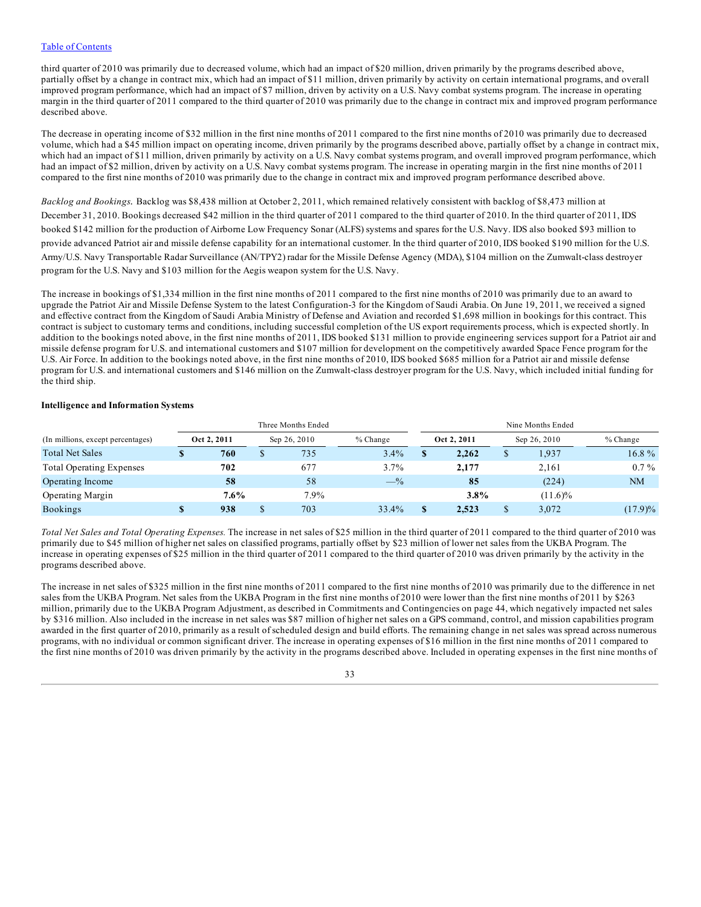third quarter of 2010 was primarily due to decreased volume, which had an impact of \$20 million, driven primarily by the programs described above, partially offset by a change in contract mix, which had an impact of \$11 million, driven primarily by activity on certain international programs, and overall improved program performance, which had an impact of \$7 million, driven by activity on a U.S. Navy combat systems program. The increase in operating margin in the third quarter of 2011 compared to the third quarter of 2010 was primarily due to the change in contract mix and improved program performance described above.

The decrease in operating income of \$32 million in the first nine months of 2011 compared to the first nine months of 2010 was primarily due to decreased volume, which had a \$45 million impact on operating income, driven primarily by the programs described above, partially offset by a change in contract mix, which had an impact of \$11 million, driven primarily by activity on a U.S. Navy combat systems program, and overall improved program performance, which had an impact of \$2 million, driven by activity on a U.S. Navy combat systems program. The increase in operating margin in the first nine months of 2011 compared to the first nine months of 2010 was primarily due to the change in contract mix and improved program performance described above.

*Backlog and Bookings.* Backlog was \$8,438 million at October 2, 2011, which remained relatively consistent with backlog of \$8,473 million at December 31, 2010. Bookings decreased \$42 million in the third quarter of 2011 compared to the third quarter of 2010. In the third quarter of 2011, IDS booked \$142 million for the production of Airborne Low Frequency Sonar (ALFS) systems and spares for the U.S. Navy. IDS also booked \$93 million to provide advanced Patriot air and missile defense capability for an international customer. In the third quarter of 2010, IDS booked \$190 million for the U.S. Army/U.S. Navy Transportable Radar Surveillance (AN/TPY2) radar for the Missile Defense Agency (MDA), \$104 million on the Zumwalt-class destroyer program for the U.S. Navy and \$103 million for the Aegis weapon system for the U.S. Navy.

The increase in bookings of \$1,334 million in the first nine months of 2011 compared to the first nine months of 2010 was primarily due to an award to upgrade the Patriot Air and Missile Defense System to the latest Configuration-3 for the Kingdom of Saudi Arabia. On June 19, 2011, we received a signed and effective contract from the Kingdom of Saudi Arabia Ministry of Defense and Aviation and recorded \$1,698 million in bookings for this contract. This contract is subject to customary terms and conditions, including successful completion of the US export requirements process, which is expected shortly. In addition to the bookings noted above, in the first nine months of 2011, IDS booked \$131 million to provide engineering services support for a Patriot air and missile defense program for U.S. and international customers and \$107 million for development on the competitively awarded Space Fence program for the U.S. Air Force. In addition to the bookings noted above, in the first nine months of 2010, IDS booked \$685 million for a Patriot air and missile defense program for U.S. and international customers and \$146 million on the Zumwalt-class destroyer program for the U.S. Navy, which included initial funding for the third ship.

#### **Intelligence and Information Systems**

|                                   |             |      |              | Three Months Ended |            | Nine Months Ended |       |              |            |            |  |
|-----------------------------------|-------------|------|--------------|--------------------|------------|-------------------|-------|--------------|------------|------------|--|
| (In millions, except percentages) | Oct 2, 2011 |      | Sep 26, 2010 |                    | $%$ Change | Oct 2, 2011       |       | Sep 26, 2010 |            | $%$ Change |  |
| <b>Total Net Sales</b>            |             | 760  | D            | 735                | 3.4%       | S                 | 2.262 | \$           | .937       | $16.8\%$   |  |
| <b>Total Operating Expenses</b>   |             | 702  |              | 677                | 3.7%       |                   | 2.177 |              | 2,161      | $0.7\%$    |  |
| Operating Income                  |             | 58   |              | 58                 | $-$ %      |                   | 85    |              | (224)      | <b>NM</b>  |  |
| <b>Operating Margin</b>           |             | 7.6% |              | 7.9%               |            |                   | 3.8%  |              | $(11.6)\%$ |            |  |
| <b>Bookings</b>                   |             | 938  |              | 703                | 33.4%      | S                 | 2.523 | \$           | 3.072      | (17.9)%    |  |

*Total Net Sales and Total Operating Expenses.* The increase in net sales of \$25 million in the third quarter of 2011 compared to the third quarter of 2010 was primarily due to \$45 million of higher net sales on classified programs, partially offset by \$23 million of lower net sales from the UKBA Program. The increase in operating expenses of \$25 million in the third quarter of 2011 compared to the third quarter of 2010 was driven primarily by the activity in the programs described above.

The increase in net sales of \$325 million in the first nine months of 2011 compared to the first nine months of 2010 was primarily due to the difference in net sales from the UKBA Program. Net sales from the UKBA Program in the first nine months of 2010 were lower than the first nine months of 2011 by \$263 million, primarily due to the UKBA Program Adjustment, as described in Commitments and Contingencies on page 44, which negatively impacted net sales by \$316 million. Also included in the increase in net sales was \$87 million of higher net sales on a GPS command, control, and mission capabilities program awarded in the first quarter of 2010, primarily as a result of scheduled design and build efforts. The remaining change in net sales was spread across numerous programs, with no individual or common significant driver. The increase in operating expenses of \$16 million in the first nine months of 2011 compared to the first nine months of 2010 was driven primarily by the activity in the programs described above. Included in operating expenses in the first nine months of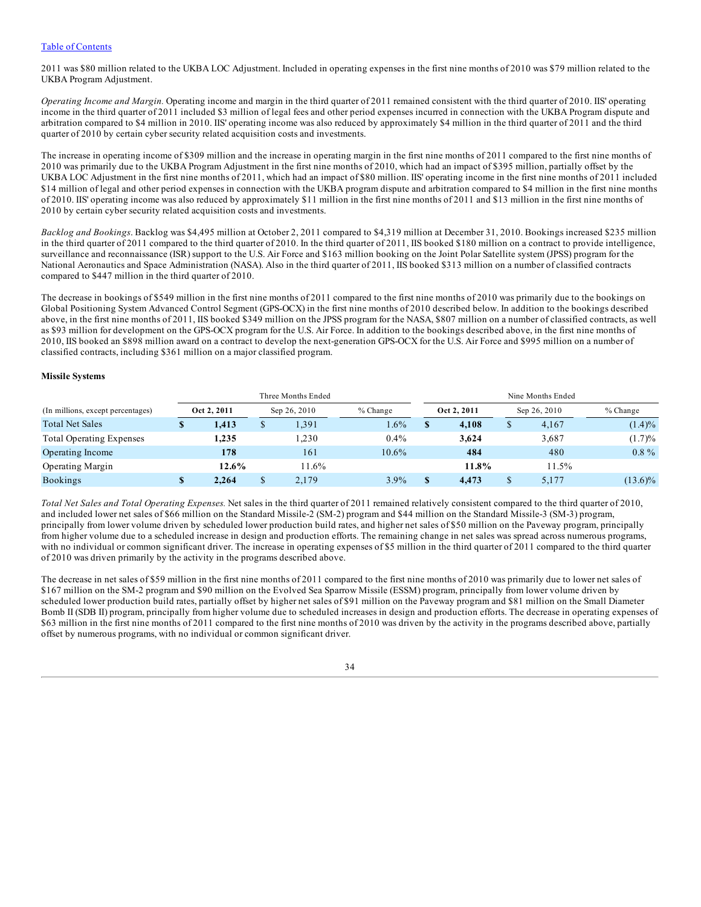2011 was \$80 million related to the UKBA LOC Adjustment. Included in operating expenses in the first nine months of 2010 was \$79 million related to the UKBA Program Adjustment.

*Operating Income and Margin.* Operating income and margin in the third quarter of 2011 remained consistent with the third quarter of 2010. IIS' operating income in the third quarter of 2011 included \$3 million of legal fees and other period expenses incurred in connection with the UKBA Program dispute and arbitration compared to \$4 million in 2010. IIS' operating income was also reduced by approximately \$4 million in the third quarter of 2011 and the third quarter of 2010 by certain cyber security related acquisition costs and investments.

The increase in operating income of \$309 million and the increase in operating margin in the first nine months of 2011 compared to the first nine months of 2010 was primarily due to the UKBA Program Adjustment in the first nine months of 2010, which had an impact of \$395 million, partially offset by the UKBA LOC Adjustment in the first nine months of 2011, which had an impact of \$80 million. IIS' operating income in the first nine months of 2011 included \$14 million of legal and other period expenses in connection with the UKBA program dispute and arbitration compared to \$4 million in the first nine months of 2010. IIS' operating income was also reduced by approximately \$11 million in the first nine months of 2011 and \$13 million in the first nine months of 2010 by certain cyber security related acquisition costs and investments.

*Backlog and Bookings*. Backlog was \$4,495 million at October 2, 2011 compared to \$4,319 million at December 31, 2010. Bookings increased \$235 million in the third quarter of 2011 compared to the third quarter of 2010. In the third quarter of 2011, IIS booked \$180 million on a contract to provide intelligence, surveillance and reconnaissance (ISR) support to the U.S. Air Force and \$163 million booking on the Joint Polar Satellite system (JPSS) program for the National Aeronautics and Space Administration (NASA). Also in the third quarter of 2011, IIS booked \$313 million on a number of classified contracts compared to \$447 million in the third quarter of 2010.

The decrease in bookings of \$549 million in the first nine months of 2011 compared to the first nine months of 2010 was primarily due to the bookings on Global Positioning System Advanced Control Segment (GPS-OCX) in the first nine months of 2010 described below. In addition to the bookings described above, in the first nine months of 2011, IIS booked \$349 million on the JPSS program for the NASA, \$807 million on a number of classified contracts, as well as \$93 million for development on the GPS-OCX program for the U.S. Air Force. In addition to the bookings described above, in the first nine months of 2010, IIS booked an \$898 million award on a contract to develop the next-generation GPS-OCX for the U.S. Air Force and \$995 million on a number of classified contracts, including \$361 million on a major classified program.

#### **Missile Systems**

|                                   |             |       | Three Months Ended |        | Nine Months Ended |             |       |              |          |            |
|-----------------------------------|-------------|-------|--------------------|--------|-------------------|-------------|-------|--------------|----------|------------|
| (In millions, except percentages) | Oct 2, 2011 |       | Sep 26, 2010       |        | $%$ Change        | Oct 2, 2011 |       | Sep 26, 2010 |          | $%$ Change |
| <b>Total Net Sales</b>            |             | 1.413 |                    | 391. ا | $.6\%$            | S           | 4,108 |              | 4,167    | $(1.4)\%$  |
| <b>Total Operating Expenses</b>   |             | 1.235 |                    | 1.230  | $0.4\%$           |             | 3,624 |              | 3,687    | (1.7)%     |
| Operating Income                  |             | 178   |                    | 161    | $10.6\%$          |             | 484   |              | 480      | $0.8\%$    |
| <b>Operating Margin</b>           |             | 12.6% |                    | 11.6%  |                   |             | 11.8% |              | $11.5\%$ |            |
| <b>Bookings</b>                   |             | 2.264 | D                  | 2.179  | 3.9%              |             | 4.473 |              | 5.177    | $(13.6)\%$ |

*Total Net Sales and Total Operating Expenses.* Net sales in the third quarter of 2011 remained relatively consistent compared to the third quarter of 2010, and included lower net sales of \$66 million on the Standard Missile-2 (SM-2) program and \$44 million on the Standard Missile-3 (SM-3) program, principally from lower volume driven by scheduled lower production build rates, and higher net sales of \$50 million on the Paveway program, principally from higher volume due to a scheduled increase in design and production efforts. The remaining change in net sales was spread across numerous programs, with no individual or common significant driver. The increase in operating expenses of \$5 million in the third quarter of 2011 compared to the third quarter of 2010 was driven primarily by the activity in the programs described above.

The decrease in net sales of \$59 million in the first nine months of 2011 compared to the first nine months of 2010 was primarily due to lower net sales of \$167 million on the SM-2 program and \$90 million on the Evolved Sea Sparrow Missile (ESSM) program, principally from lower volume driven by scheduled lower production build rates, partially offset by higher net sales of \$91 million on the Paveway program and \$81 million on the Small Diameter Bomb II (SDB II) program, principally from higher volume due to scheduled increases in design and production efforts. The decrease in operating expenses of \$63 million in the first nine months of 2011 compared to the first nine months of 2010 was driven by the activity in the programs described above, partially offset by numerous programs, with no individual or common significant driver.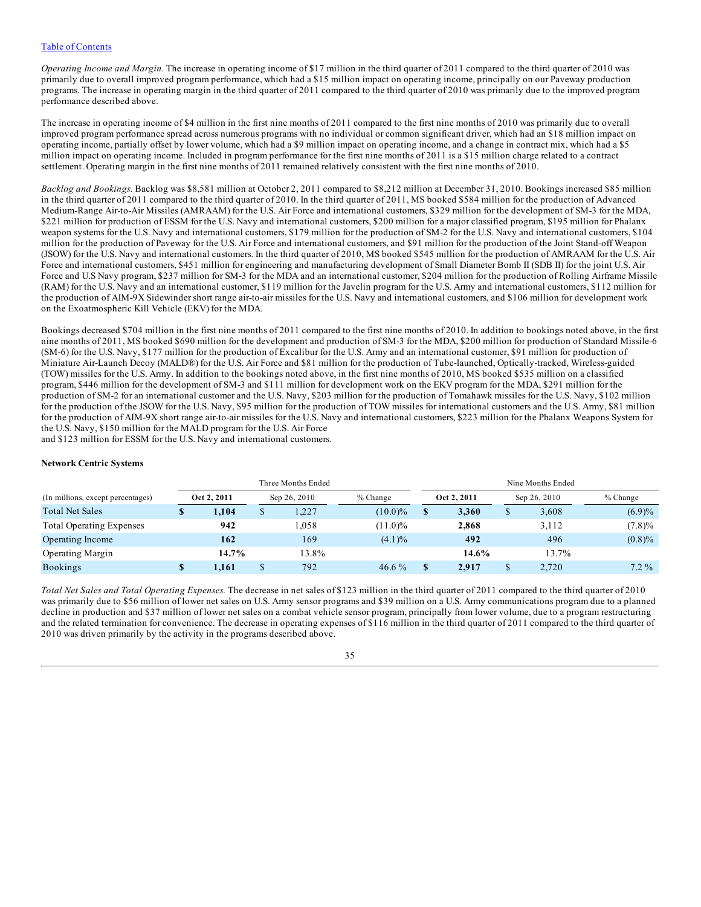*Operating Income and Margin.* The increase in operating income of \$17 million in the third quarter of 2011 compared to the third quarter of 2010 was primarily due to overall improved program performance, which had a \$15 million impact on operating income, principally on our Paveway production programs. The increase in operating margin in the third quarter of 2011 compared to the third quarter of 2010 was primarily due to the improved program performance described above.

The increase in operating income of \$4 million in the first nine months of 2011 compared to the first nine months of 2010 was primarily due to overall improved program performance spread across numerous programs with no individual or common significant driver, which had an \$18 million impact on operating income, partially offset by lower volume, which had a \$9 million impact on operating income, and a change in contract mix, which had a \$5 million impact on operating income. Included in program performance for the first nine months of 2011 is a \$15 million charge related to a contract settlement. Operating margin in the first nine months of 2011 remained relatively consistent with the first nine months of 2010.

*Backlog and Bookings.* Backlog was \$8,581 million at October 2, 2011 compared to \$8,212 million at December 31, 2010. Bookings increased \$85 million in the third quarter of 2011 compared to the third quarter of 2010. In the third quarter of 2011, MS booked \$584 million for the production of Advanced Medium-Range Air-to-Air Missiles (AMRAAM) for the U.S. Air Force and international customers, \$329 million for the development of SM-3 for the MDA, \$221 million for production of ESSM for the U.S. Navy and international customers, \$200 million for a major classified program, \$195 million for Phalanx weapon systems for the U.S. Navy and international customers, \$179 million for the production of SM-2 for the U.S. Navy and international customers, \$104 million for the production of Paveway for the U.S. Air Force and international customers, and \$91 million for the production of the Joint Stand-off Weapon (JSOW) for the U.S. Navy and international customers. In the third quarter of 2010, MS booked \$545 million for the production of AMRAAM for the U.S. Air Force and international customers, \$451 million for engineering and manufacturing development of Small Diameter Bomb II (SDB II) for the joint U.S. Air Force and U.S Navy program, \$237 million for SM-3 for the MDA and an international customer, \$204 million for the production of Rolling Airframe Missile (RAM) for the U.S. Navy and an international customer, \$119 million for the Javelin program for the U.S. Army and international customers, \$112 million for the production of AIM-9X Sidewinder short range air-to-air missiles for the U.S. Navy and international customers, and \$106 million for development work on the Exoatmospheric Kill Vehicle (EKV) for the MDA.

Bookings decreased \$704 million in the first nine months of 2011 compared to the first nine months of 2010. In addition to bookings noted above, in the first nine months of 2011, MS booked \$690 million for the development and production of SM-3 for the MDA, \$200 million for production of Standard Missile-6 (SM-6) for the U.S. Navy, \$177 million for the production of Excalibur for the U.S. Army and an international customer, \$91 million for production of Miniature Air-Launch Decoy (MALD®) for the U.S. Air Force and \$81 million for the production of Tube-launched, Optically-tracked, Wireless-guided (TOW) missiles for the U.S. Army. In addition to the bookings noted above, in the first nine months of 2010, MS booked \$535 million on a classified program, \$446 million for the development of SM-3 and \$111 million for development work on the EKV program for the MDA, \$291 million for the production of SM-2 for an international customer and the U.S. Navy, \$203 million for the production of Tomahawk missiles for the U.S. Navy, \$102 million for the production of the JSOW for the U.S. Navy, \$95 million for the production of TOW missiles for international customers and the U.S. Army, \$81 million for the production of AIM-9X short range air-to-air missiles for the U.S. Navy and international customers, \$223 million for the Phalanx Weapons System for the U.S. Navy, \$150 million for the MALD program for the U.S. Air Force and \$123 million for ESSM for the U.S. Navy and international customers.

#### **Network Centric Systems**

|                                   |   |             |    | Three Months Ended |            |   |             | Nine Months Ended |            |
|-----------------------------------|---|-------------|----|--------------------|------------|---|-------------|-------------------|------------|
| (In millions, except percentages) |   | Oct 2, 2011 |    | Sep 26, 2010       | $%$ Change |   | Oct 2, 2011 | Sep 26, 2010      | $%$ Change |
| <b>Total Net Sales</b>            | D | 1.104       | ۰D | 1.227              | $(10.0)\%$ | S | 3,360       | \$<br>3,608       | (6.9)%     |
| <b>Total Operating Expenses</b>   |   | 942         |    | 1.058              | $(11.0)\%$ |   | 2,868       | 3.112             | $(7.8)\%$  |
| Operating Income                  |   | 162         |    | 169                | $(4.1)\%$  |   | 492         | 496               | $(0.8)\%$  |
| Operating Margin                  |   | 14.7%       |    | 13.8%              |            |   | 14.6%       | 13.7%             |            |
| <b>Bookings</b>                   | æ | 1.161       | Ф  | 792                | $46.6\%$   | S | 2.917       | \$<br>2,720       | $7.2\%$    |

*Total Net Sales and Total Operating Expenses.* The decrease in net sales of \$123 million in the third quarter of 2011 compared to the third quarter of 2010 was primarily due to \$56 million of lower net sales on U.S. Army sensor programs and \$39 million on a U.S. Army communications program due to a planned decline in production and \$37 million of lower net sales on a combat vehicle sensor program, principally from lower volume, due to a program restructuring and the related termination for convenience. The decrease in operating expenses of \$116 million in the third quarter of 2011 compared to the third quarter of 2010 was driven primarily by the activity in the programs described above.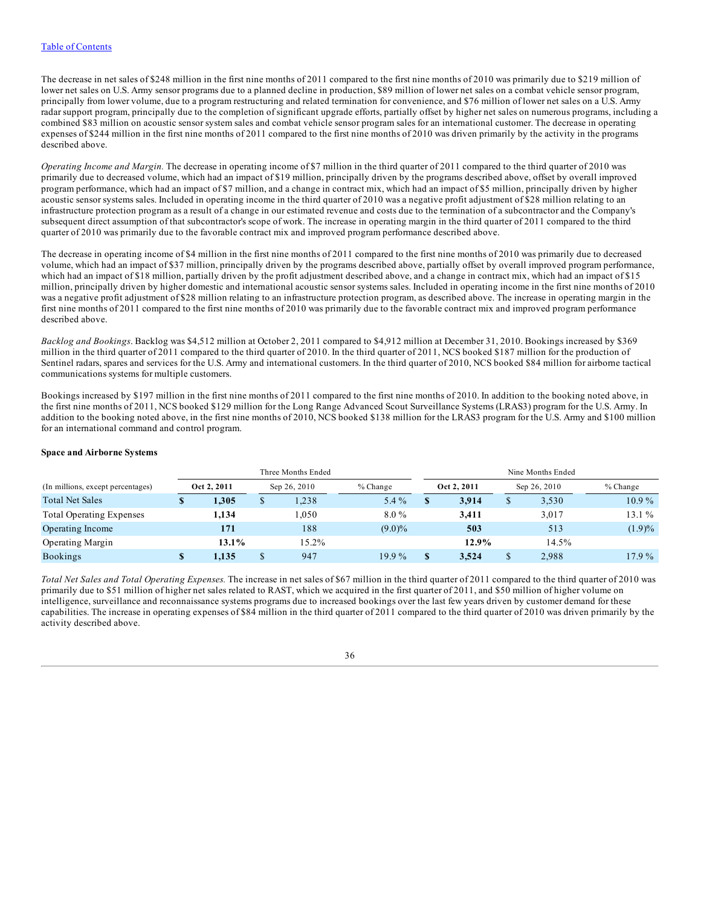The decrease in net sales of \$248 million in the first nine months of 2011 compared to the first nine months of 2010 was primarily due to \$219 million of lower net sales on U.S. Army sensor programs due to a planned decline in production, \$89 million of lower net sales on a combat vehicle sensor program, principally from lower volume, due to a program restructuring and related termination for convenience, and \$76 million of lower net sales on a U.S. Army radar support program, principally due to the completion of significant upgrade efforts, partially offset by higher net sales on numerous programs, including a combined \$83 million on acoustic sensor system sales and combat vehicle sensor program sales for an international customer. The decrease in operating expenses of \$244 million in the first nine months of 2011 compared to the first nine months of 2010 was driven primarily by the activity in the programs described above.

*Operating Income and Margin.* The decrease in operating income of \$7 million in the third quarter of 2011 compared to the third quarter of 2010 was primarily due to decreased volume, which had an impact of \$19 million, principally driven by the programs described above, offset by overall improved program performance, which had an impact of \$7 million, and a change in contract mix, which had an impact of \$5 million, principally driven by higher acoustic sensor systems sales. Included in operating income in the third quarter of 2010 was a negative profit adjustment of \$28 million relating to an infrastructure protection program as a result of a change in our estimated revenue and costs due to the termination of a subcontractor and the Company's subsequent direct assumption of that subcontractor's scope of work. The increase in operating margin in the third quarter of 2011 compared to the third quarter of 2010 was primarily due to the favorable contract mix and improved program performance described above.

The decrease in operating income of \$4 million in the first nine months of 2011 compared to the first nine months of 2010 was primarily due to decreased volume, which had an impact of \$37 million, principally driven by the programs described above, partially offset by overall improved program performance, which had an impact of \$18 million, partially driven by the profit adjustment described above, and a change in contract mix, which had an impact of \$15 million, principally driven by higher domestic and international acoustic sensor systems sales. Included in operating income in the first nine months of 2010 was a negative profit adjustment of \$28 million relating to an infrastructure protection program, as described above. The increase in operating margin in the first nine months of 2011 compared to the first nine months of 2010 was primarily due to the favorable contract mix and improved program performance described above.

*Backlog and Bookings*. Backlog was \$4,512 million at October 2, 2011 compared to \$4,912 million at December 31, 2010. Bookings increased by \$369 million in the third quarter of 2011 compared to the third quarter of 2010. In the third quarter of 2011, NCS booked \$187 million for the production of Sentinel radars, spares and services for the U.S. Army and international customers. In the third quarter of 2010, NCS booked \$84 million for airborne tactical communications systems for multiple customers.

Bookings increased by \$197 million in the first nine months of 2011 compared to the first nine months of 2010. In addition to the booking noted above, in the first nine months of 2011, NCS booked \$129 million for the Long Range Advanced Scout Surveillance Systems (LRAS3) program for the U.S. Army. In addition to the booking noted above, in the first nine months of 2010, NCS booked \$138 million for the LRAS3 program for the U.S. Army and \$100 million for an international command and control program.

#### **Space and Airborne Systems**

|                                   |             |               | Three Months Ended |            |             |         | Nine Months Ended |            |
|-----------------------------------|-------------|---------------|--------------------|------------|-------------|---------|-------------------|------------|
| (In millions, except percentages) | Oct 2, 2011 |               | Sep 26, 2010       | $%$ Change | Oct 2, 2011 |         | Sep 26, 2010      | $%$ Change |
| <b>Total Net Sales</b>            | 1.305       | $\sigma$<br>D | 1.238              | $5.4\%$    | 3.914       | ۰D      | 3,530             | $10.9\%$   |
| <b>Total Operating Expenses</b>   | 1.134       |               | 1.050              | $8.0\%$    | 3.411       |         | 3,017             | 13.1%      |
| Operating Income                  | 171         |               | 188                | $(9.0)\%$  | 503         |         | 513               | (1.9)%     |
| <b>Operating Margin</b>           | 13.1%       |               | 15.2%              |            | 12.9%       |         | 14.5%             |            |
| <b>Bookings</b>                   | 1.135       | $\sigma$      | 947                | $19.9\%$   | 3.524       | ¢<br>۰D | 2.988             | 17.9%      |

*Total Net Sales and Total Operating Expenses.* The increase in net sales of \$67 million in the third quarter of 2011 compared to the third quarter of 2010 was primarily due to \$51 million of higher net sales related to RAST, which we acquired in the first quarter of 2011, and \$50 million of higher volume on intelligence, surveillance and reconnaissance systems programs due to increased bookings over the last few years driven by customer demand for these capabilities. The increase in operating expenses of \$84 million in the third quarter of 2011 compared to the third quarter of 2010 was driven primarily by the activity described above.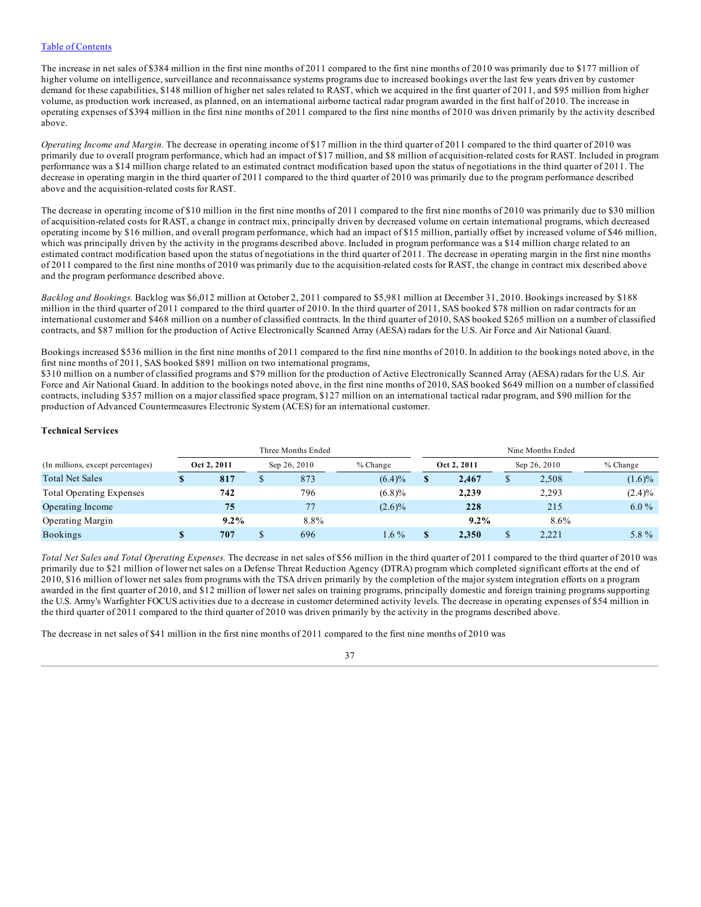The increase in net sales of \$384 million in the first nine months of 2011 compared to the first nine months of 2010 was primarily due to \$177 million of higher volume on intelligence, surveillance and reconnaissance systems programs due to increased bookings over the last few years driven by customer demand for these capabilities, \$148 million of higher net sales related to RAST, which we acquired in the first quarter of 2011, and \$95 million from higher volume, as production work increased, as planned, on an international airborne tactical radar program awarded in the first half of 2010. The increase in operating expenses of \$394 million in the first nine months of 2011 compared to the first nine months of 2010 was driven primarily by the activity described above.

*Operating Income and Margin.* The decrease in operating income of \$17 million in the third quarter of 2011 compared to the third quarter of 2010 was primarily due to overall program performance, which had an impact of \$17 million, and \$8 million of acquisition-related costs for RAST. Included in program performance was a \$14 million charge related to an estimated contract modification based upon the status of negotiations in the third quarter of 2011. The decrease in operating margin in the third quarter of 2011 compared to the third quarter of 2010 was primarily due to the program performance described above and the acquisition-related costs for RAST.

The decrease in operating income of \$10 million in the first nine months of 2011 compared to the first nine months of 2010 was primarily due to \$30 million of acquisition-related costs for RAST, a change in contract mix, principally driven by decreased volume on certain international programs, which decreased operating income by \$16 million, and overall program performance, which had an impact of \$15 million, partially offset by increased volume of \$46 million, which was principally driven by the activity in the programs described above. Included in program performance was a \$14 million charge related to an estimated contract modification based upon the status of negotiations in the third quarter of 2011. The decrease in operating margin in the first nine months of 2011 compared to the first nine months of 2010 was primarily due to the acquisition-related costs for RAST, the change in contract mix described above and the program performance described above.

*Backlog and Bookings.* Backlog was \$6,012 million at October 2, 2011 compared to \$5,981 million at December 31, 2010. Bookings increased by \$188 million in the third quarter of 2011 compared to the third quarter of 2010. In the third quarter of 2011, SAS booked \$78 million on radar contracts for an international customer and \$468 million on a number of classified contracts. In the third quarter of 2010, SAS booked \$265 million on a number of classified contracts, and \$87 million for the production of Active Electronically Scanned Array (AESA) radars for the U.S. Air Force and Air National Guard.

Bookings increased \$536 million in the first nine months of 2011 compared to the first nine months of 2010. In addition to the bookings noted above, in the first nine months of 2011, SAS booked \$891 million on two international programs,

\$310 million on a number of classified programs and \$79 million for the production of Active Electronically Scanned Array (AESA) radars for the U.S. Air Force and Air National Guard. In addition to the bookings noted above, in the first nine months of 2010, SAS booked \$649 million on a number of classified contracts, including \$357 million on a major classified space program, \$127 million on an international tactical radar program, and \$90 million for the production of Advanced Countermeasures Electronic System (ACES) for an international customer.

#### **Technical Services**

|                                   |             | Three Months Ended |            |   |             |    | Nine Months Ended |            |
|-----------------------------------|-------------|--------------------|------------|---|-------------|----|-------------------|------------|
| (In millions, except percentages) | Oct 2, 2011 | Sep 26, 2010       | $%$ Change |   | Oct 2, 2011 |    | Sep 26, 2010      | $%$ Change |
| <b>Total Net Sales</b>            | 817         | 873                | $(6.4)\%$  | S | 2.467       | D  | 2,508             | $(1.6)\%$  |
| <b>Total Operating Expenses</b>   | 742         | 796                | $(6.8)\%$  |   | 2.239       |    | 2,293             | $(2.4)\%$  |
| Operating Income                  | 75          | 77                 | $(2.6)\%$  |   | 228         |    | 215               | $6.0\%$    |
| <b>Operating Margin</b>           | $9.2\%$     | 8.8%               |            |   | $9.2\%$     |    | 8.6%              |            |
| <b>Bookings</b>                   | 707         | 696                | $1.6\%$    |   | 2.350       | ۰D | 2.221             | 5.8%       |

*Total Net Sales and Total Operating Expenses.* The decrease in net sales of \$56 million in the third quarter of 2011 compared to the third quarter of 2010 was primarily due to \$21 million of lower net sales on a Defense Threat Reduction Agency (DTRA) program which completed significant efforts at the end of 2010, \$16 million of lower net sales from programs with the TSA driven primarily by the completion of the major system integration efforts on a program awarded in the first quarter of 2010, and \$12 million of lower net sales on training programs, principally domestic and foreign training programs supporting the U.S. Army's Warfighter FOCUS activities due to a decrease in customer determined activity levels. The decrease in operating expenses of \$54 million in the third quarter of 2011 compared to the third quarter of 2010 was driven primarily by the activity in the programs described above.

The decrease in net sales of \$41 million in the first nine months of 2011 compared to the first nine months of 2010 was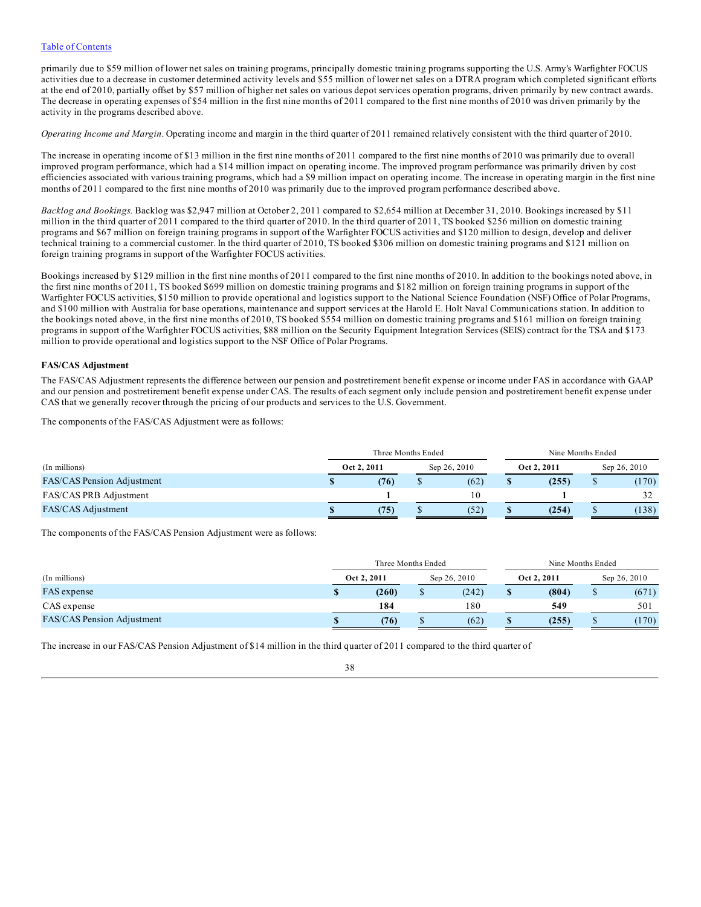primarily due to \$59 million of lower net sales on training programs, principally domestic training programs supporting the U.S. Army's Warfighter FOCUS activities due to a decrease in customer determined activity levels and \$55 million of lower net sales on a DTRA program which completed significant efforts at the end of 2010, partially offset by \$57 million of higher net sales on various depot services operation programs, driven primarily by new contract awards. The decrease in operating expenses of \$54 million in the first nine months of 2011 compared to the first nine months of 2010 was driven primarily by the activity in the programs described above.

*Operating Income and Margin*. Operating income and margin in the third quarter of 2011 remained relatively consistent with the third quarter of 2010.

The increase in operating income of \$13 million in the first nine months of 2011 compared to the first nine months of 2010 was primarily due to overall improved program performance, which had a \$14 million impact on operating income. The improved program performance was primarily driven by cost efficiencies associated with various training programs, which had a \$9 million impact on operating income. The increase in operating margin in the first nine months of 2011 compared to the first nine months of 2010 was primarily due to the improved program performance described above.

*Backlog and Bookings.* Backlog was \$2,947 million at October 2, 2011 compared to \$2,654 million at December 31, 2010. Bookings increased by \$11 million in the third quarter of 2011 compared to the third quarter of 2010. In the third quarter of 2011, TS booked \$256 million on domestic training programs and \$67 million on foreign training programs in support of the Warfighter FOCUS activities and \$120 million to design, develop and deliver technical training to a commercial customer. In the third quarter of 2010, TS booked \$306 million on domestic training programs and \$121 million on foreign training programs in support of the Warfighter FOCUS activities.

Bookings increased by \$129 million in the first nine months of 2011 compared to the first nine months of 2010. In addition to the bookings noted above, in the first nine months of 2011, TS booked \$699 million on domestic training programs and \$182 million on foreign training programs in support of the Warfighter FOCUS activities, \$150 million to provide operational and logistics support to the National Science Foundation (NSF) Office of Polar Programs, and \$100 million with Australia for base operations, maintenance and support services at the Harold E. Holt Naval Communications station. In addition to the bookings noted above, in the first nine months of 2010, TS booked \$554 million on domestic training programs and \$161 million on foreign training programs in support of the Warfighter FOCUS activities, \$88 million on the Security Equipment Integration Services (SEIS) contract for the TSA and \$173 million to provide operational and logistics support to the NSF Office of Polar Programs.

#### **FAS/CAS Adjustment**

The FAS/CAS Adjustment represents the difference between our pension and postretirement benefit expense or income under FAS in accordance with GAAP and our pension and postretirement benefit expense under CAS. The results of each segment only include pension and postretirement benefit expense under CAS that we generally recover through the pricing of our products and services to the U.S. Government.

The components of the FAS/CAS Adjustment were as follows:

|                                   | Three Months Ended |      |  |              |  | Nine Months Ended |  |              |  |
|-----------------------------------|--------------------|------|--|--------------|--|-------------------|--|--------------|--|
| (In millions)                     | Oct 2, 2011        |      |  | Sep 26, 2010 |  | Oct 2, 2011       |  | Sep 26, 2010 |  |
| <b>FAS/CAS Pension Adjustment</b> |                    | (76) |  | (62)         |  | (255)             |  | (170)        |  |
| FAS/CAS PRB Adjustment            |                    |      |  | 10           |  |                   |  | 32           |  |
| FAS/CAS Adjustment                |                    | (75) |  | (52)         |  | (254)             |  | (138)        |  |

The components of the FAS/CAS Pension Adjustment were as follows:

|                                   | Three Months Ended |       |              |       |             |       | Nine Months Ended |       |  |
|-----------------------------------|--------------------|-------|--------------|-------|-------------|-------|-------------------|-------|--|
| (In millions)                     | Oct 2, 2011        |       | Sep 26, 2010 |       | Oct 2, 2011 |       | Sep 26, 2010      |       |  |
| FAS expense                       |                    | (260) | Φ            | (242) |             | (804) |                   | (671) |  |
| CAS expense                       |                    | 184   |              | 180   |             | 549   |                   | 501   |  |
| <b>FAS/CAS Pension Adjustment</b> |                    | (76)  | Ф            | (62)  | w           | (255) |                   | (170) |  |

The increase in our FAS/CAS Pension Adjustment of \$14 million in the third quarter of 2011 compared to the third quarter of

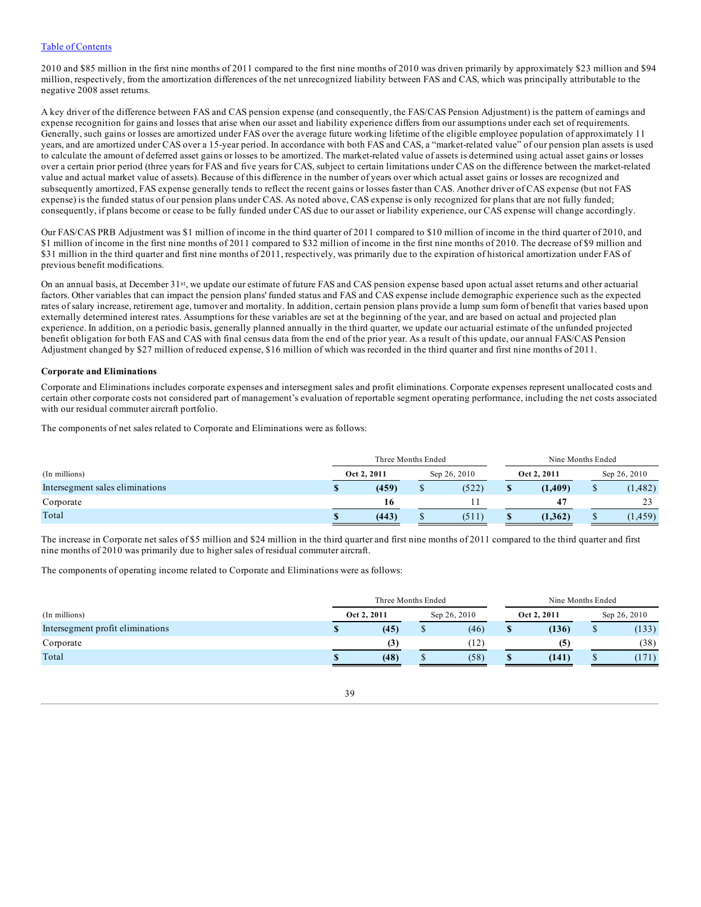2010 and \$85 million in the first nine months of 2011 compared to the first nine months of 2010 was driven primarily by approximately \$23 million and \$94 million, respectively, from the amortization differences of the net unrecognized liability between FAS and CAS, which was principally attributable to the negative 2008 asset returns.

A key driver of the difference between FAS and CAS pension expense (and consequently, the FAS/CAS Pension Adjustment) is the pattern of earnings and expense recognition for gains and losses that arise when our asset and liability experience differs from our assumptions under each set of requirements. Generally, such gains or losses are amortized under FAS over the average future working lifetime of the eligible employee population of approximately 11 years, and are amortized under CAS over a 15-year period. In accordance with both FAS and CAS, a "market-related value" of our pension plan assets is used to calculate the amount of deferred asset gains or losses to be amortized. The market-related value of assets is determined using actual asset gains or losses over a certain prior period (three years for FAS and five years for CAS, subject to certain limitations under CAS on the difference between the market-related value and actual market value of assets). Because of this difference in the number of years over which actual asset gains or losses are recognized and subsequently amortized, FAS expense generally tends to reflect the recent gains or losses faster than CAS. Another driver of CAS expense (but not FAS expense) is the funded status of our pension plans under CAS. As noted above, CAS expense is only recognized for plans that are not fully funded; consequently, if plans become or cease to be fully funded under CAS due to our asset or liability experience, our CAS expense will change accordingly.

Our FAS/CAS PRB Adjustment was \$1 million of income in the third quarter of 2011 compared to \$10 million of income in the third quarter of 2010, and \$1 million of income in the first nine months of 2011 compared to \$32 million of income in the first nine months of 2010. The decrease of \$9 million and \$31 million in the third quarter and first nine months of 2011, respectively, was primarily due to the expiration of historical amortization under FAS of previous benefit modifications.

On an annual basis, at December 31<sup>st</sup>, we update our estimate of future FAS and CAS pension expense based upon actual asset returns and other actuarial factors. Other variables that can impact the pension plans' funded status and FAS and CAS expense include demographic experience such as the expected rates of salary increase, retirement age, turnover and mortality. In addition, certain pension plans provide a lump sum form of benefit that varies based upon externally determined interest rates. Assumptions for these variables are set at the beginning of the year, and are based on actual and projected plan experience. In addition, on a periodic basis, generally planned annually in the third quarter, we update our actuarial estimate of the unfunded projected benefit obligation for both FAS and CAS with final census data from the end of the prior year. As a result of this update, our annual FAS/CAS Pension Adjustment changed by \$27 million of reduced expense, \$16 million of which was recorded in the third quarter and first nine months of 2011.

#### **Corporate and Eliminations**

Corporate and Eliminations includes corporate expenses and intersegment sales and profit eliminations. Corporate expenses represent unallocated costs and certain other corporate costs not considered part of management's evaluation of reportable segment operating performance, including the net costs associated with our residual commuter aircraft portfolio.

The components of net sales related to Corporate and Eliminations were as follows:

|                                 | Three Months Ended |             |   |              |  | Nine Months Ended |  |              |  |
|---------------------------------|--------------------|-------------|---|--------------|--|-------------------|--|--------------|--|
| (In millions)                   |                    | Oct 2, 2011 |   | Sep 26, 2010 |  | Oct 2, 2011       |  | Sep 26, 2010 |  |
| Intersegment sales eliminations |                    | (459)       | Φ | (522)        |  | (1,409)           |  | (1, 482)     |  |
| Corporate                       |                    | 16          |   |              |  | 47                |  | 23           |  |
| Total                           |                    | (443)       |   | (511)        |  | (1,362)           |  | (1, 459)     |  |

The increase in Corporate net sales of \$5 million and \$24 million in the third quarter and first nine months of 2011 compared to the third quarter and first nine months of 2010 was primarily due to higher sales of residual commuter aircraft.

The components of operating income related to Corporate and Eliminations were as follows:

|                                  | Three Months Ended |      |  |              | Nine Months Ended |             |  |              |
|----------------------------------|--------------------|------|--|--------------|-------------------|-------------|--|--------------|
| (In millions)                    | Oct 2, 2011        |      |  | Sep 26, 2010 |                   | Oct 2, 2011 |  | Sep 26, 2010 |
| Intersegment profit eliminations | w                  | (45) |  | (46)         |                   | (136)       |  | (133)        |
| Corporate                        |                    | (3)  |  | (12)         |                   | (5)         |  | (38)         |
| Total                            |                    | (48) |  | (58)         |                   | (141)       |  | (171)        |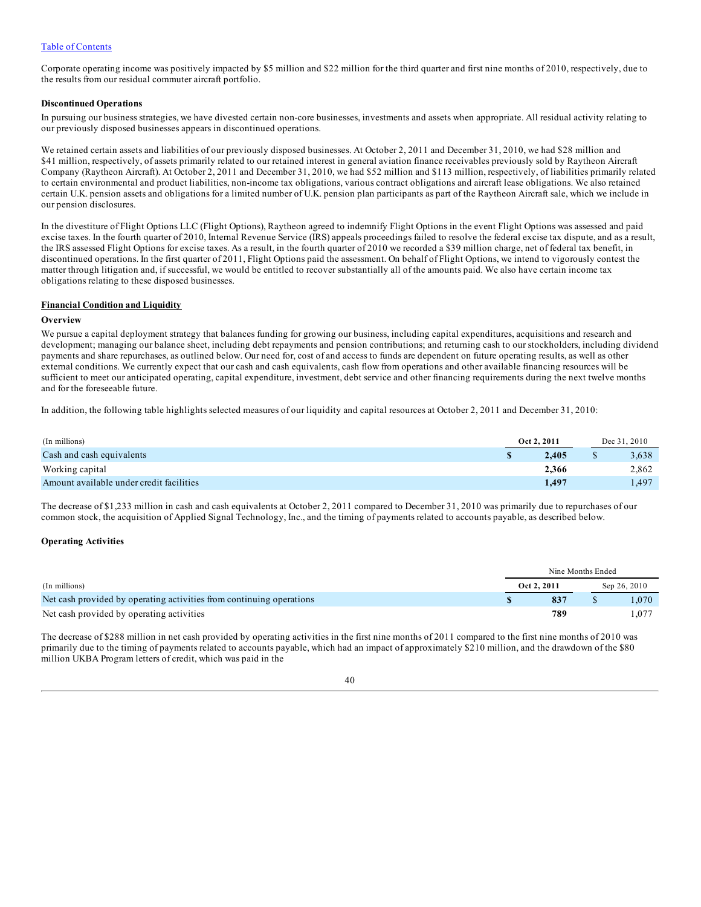Corporate operating income was positively impacted by \$5 million and \$22 million for the third quarter and first nine months of 2010, respectively, due to the results from our residual commuter aircraft portfolio.

#### **Discontinued Operations**

In pursuing our business strategies, we have divested certain non-core businesses, investments and assets when appropriate. All residual activity relating to our previously disposed businesses appears in discontinued operations.

We retained certain assets and liabilities of our previously disposed businesses. At October 2, 2011 and December 31, 2010, we had \$28 million and \$41 million, respectively, of assets primarily related to our retained interest in general aviation finance receivables previously sold by Raytheon Aircraft Company (Raytheon Aircraft). At October 2, 2011 and December 31, 2010, we had \$52 million and \$113 million, respectively, of liabilities primarily related to certain environmental and product liabilities, non-income tax obligations, various contract obligations and aircraft lease obligations. We also retained certain U.K. pension assets and obligations for a limited number of U.K. pension plan participants as part of the Raytheon Aircraft sale, which we include in our pension disclosures.

In the divestiture of Flight Options LLC (Flight Options), Raytheon agreed to indemnify Flight Options in the event Flight Options was assessed and paid excise taxes. In the fourth quarter of 2010, Internal Revenue Service (IRS) appeals proceedings failed to resolve the federal excise tax dispute, and as a result, the IRS assessed Flight Options for excise taxes. As a result, in the fourth quarter of 2010 we recorded a \$39 million charge, net of federal tax benefit, in discontinued operations. In the first quarter of 2011, Flight Options paid the assessment. On behalf of Flight Options, we intend to vigorously contest the matter through litigation and, if successful, we would be entitled to recover substantially all of the amounts paid. We also have certain income tax obligations relating to these disposed businesses.

#### **Financial Condition and Liquidity**

#### **Overview**

We pursue a capital deployment strategy that balances funding for growing our business, including capital expenditures, acquisitions and research and development; managing our balance sheet, including debt repayments and pension contributions; and returning cash to our stockholders, including dividend payments and share repurchases, as outlined below. Our need for, cost of and access to funds are dependent on future operating results, as well as other external conditions. We currently expect that our cash and cash equivalents, cash flow from operations and other available financing resources will be sufficient to meet our anticipated operating, capital expenditure, investment, debt service and other financing requirements during the next twelve months and for the foreseeable future.

In addition, the following table highlights selected measures of our liquidity and capital resources at October 2, 2011 and December 31, 2010:

| (In millions)                            | Oct 2, 2011 |       | Dec 31, 2010 |
|------------------------------------------|-------------|-------|--------------|
| Cash and cash equivalents                |             | 2.405 | 3,638        |
| Working capital                          |             | 2.366 | 2,862        |
| Amount available under credit facilities |             | 1.497 | 1,497        |

The decrease of \$1,233 million in cash and cash equivalents at October 2, 2011 compared to December 31, 2010 was primarily due to repurchases of our common stock, the acquisition of Applied Signal Technology, Inc., and the timing of payments related to accounts payable, as described below.

#### **Operating Activities**

|                                                                      |  | Nine Months Ended |  |       |  |              |
|----------------------------------------------------------------------|--|-------------------|--|-------|--|--------------|
| (In millions)                                                        |  | Oct 2, 2011       |  |       |  | Sep 26, 2010 |
| Net cash provided by operating activities from continuing operations |  | 837               |  | 1.070 |  |              |
| Net cash provided by operating activities                            |  | 789               |  | .077  |  |              |

The decrease of \$288 million in net cash provided by operating activities in the first nine months of 2011 compared to the first nine months of 2010 was primarily due to the timing of payments related to accounts payable, which had an impact of approximately \$210 million, and the drawdown of the \$80 million UKBA Program letters of credit, which was paid in the

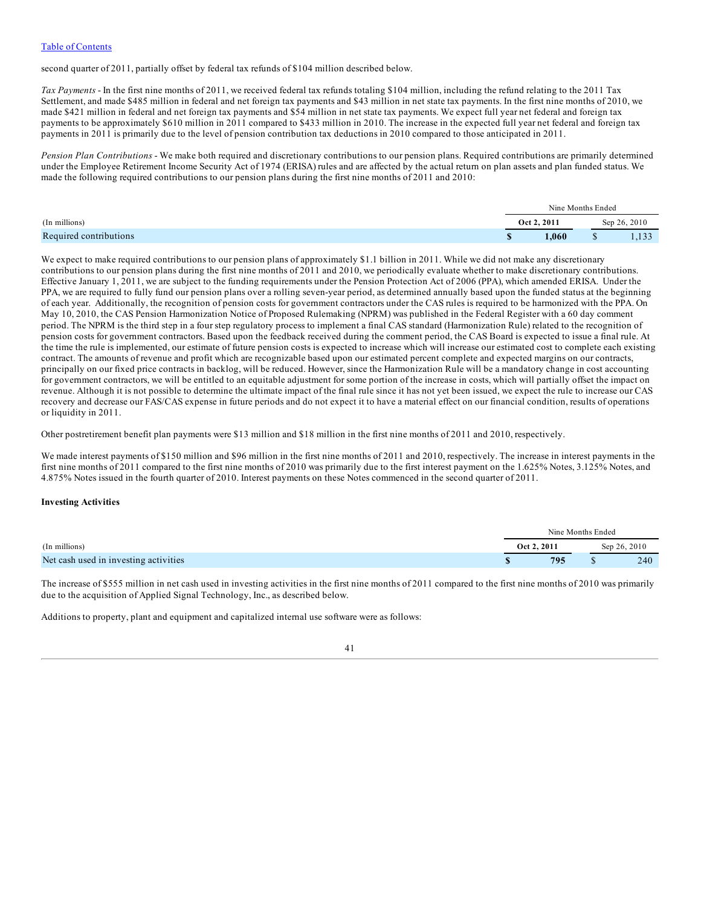second quarter of 2011, partially offset by federal tax refunds of \$104 million described below.

*Tax Payments* - In the first nine months of 2011, we received federal tax refunds totaling \$104 million, including the refund relating to the 2011 Tax Settlement, and made \$485 million in federal and net foreign tax payments and \$43 million in net state tax payments. In the first nine months of 2010, we made \$421 million in federal and net foreign tax payments and \$54 million in net state tax payments. We expect full year net federal and foreign tax payments to be approximately \$610 million in 2011 compared to \$433 million in 2010. The increase in the expected full year net federal and foreign tax payments in 2011 is primarily due to the level of pension contribution tax deductions in 2010 compared to those anticipated in 2011.

*Pension Plan Contributions* - We make both required and discretionary contributions to our pension plans. Required contributions are primarily determined under the Employee Retirement Income Security Act of 1974 (ERISA) rules and are affected by the actual return on plan assets and plan funded status. We made the following required contributions to our pension plans during the first nine months of 2011 and 2010:

|                        |             | Nine Months Ended |              |
|------------------------|-------------|-------------------|--------------|
| (In millions)          | Oct 2, 2011 |                   | Sep 26, 2010 |
| Required contributions | 1.060       |                   | 1,133        |

We expect to make required contributions to our pension plans of approximately \$1.1 billion in 2011. While we did not make any discretionary contributions to our pension plans during the first nine months of 2011 and 2010, we periodically evaluate whether to make discretionary contributions. Effective January 1, 2011, we are subject to the funding requirements under the Pension Protection Act of 2006 (PPA), which amended ERISA. Under the PPA, we are required to fully fund our pension plans over a rolling seven-year period, as determined annually based upon the funded status at the beginning of each year. Additionally, the recognition of pension costs for government contractors under the CAS rules is required to be harmonized with the PPA. On May 10, 2010, the CAS Pension Harmonization Notice of Proposed Rulemaking (NPRM) was published in the Federal Register with a 60 day comment period. The NPRM is the third step in a four step regulatory process to implement a final CAS standard (Harmonization Rule) related to the recognition of pension costs for government contractors. Based upon the feedback received during the comment period, the CAS Board is expected to issue a final rule. At the time the rule is implemented, our estimate of future pension costs is expected to increase which will increase our estimated cost to complete each existing contract. The amounts of revenue and profit which are recognizable based upon our estimated percent complete and expected margins on our contracts, principally on our fixed price contracts in backlog, will be reduced. However, since the Harmonization Rule will be a mandatory change in cost accounting for government contractors, we will be entitled to an equitable adjustment for some portion of the increase in costs, which will partially offset the impact on revenue. Although it is not possible to determine the ultimate impact of the final rule since it has not yet been issued, we expect the rule to increase our CAS recovery and decrease our FAS/CAS expense in future periods and do not expect it to have a material effect on our financial condition, results of operations or liquidity in 2011.

Other postretirement benefit plan payments were \$13 million and \$18 million in the first nine months of 2011 and 2010, respectively.

We made interest payments of \$150 million and \$96 million in the first nine months of 2011 and 2010, respectively. The increase in interest payments in the first nine months of 2011 compared to the first nine months of 2010 was primarily due to the first interest payment on the 1.625% Notes, 3.125% Notes, and 4.875% Notes issued in the fourth quarter of 2010. Interest payments on these Notes commenced in the second quarter of 2011.

#### **Investing Activities**

|                                       |  | Nine Months Ended |              |
|---------------------------------------|--|-------------------|--------------|
| (In millions)                         |  | Oct 2, 2011       | Sep 26, 2010 |
| Net cash used in investing activities |  | 795               | 240          |

The increase of \$555 million in net cash used in investing activities in the first nine months of 2011 compared to the first nine months of 2010 was primarily due to the acquisition of Applied Signal Technology, Inc., as described below.

Additions to property, plant and equipment and capitalized internal use software were as follows: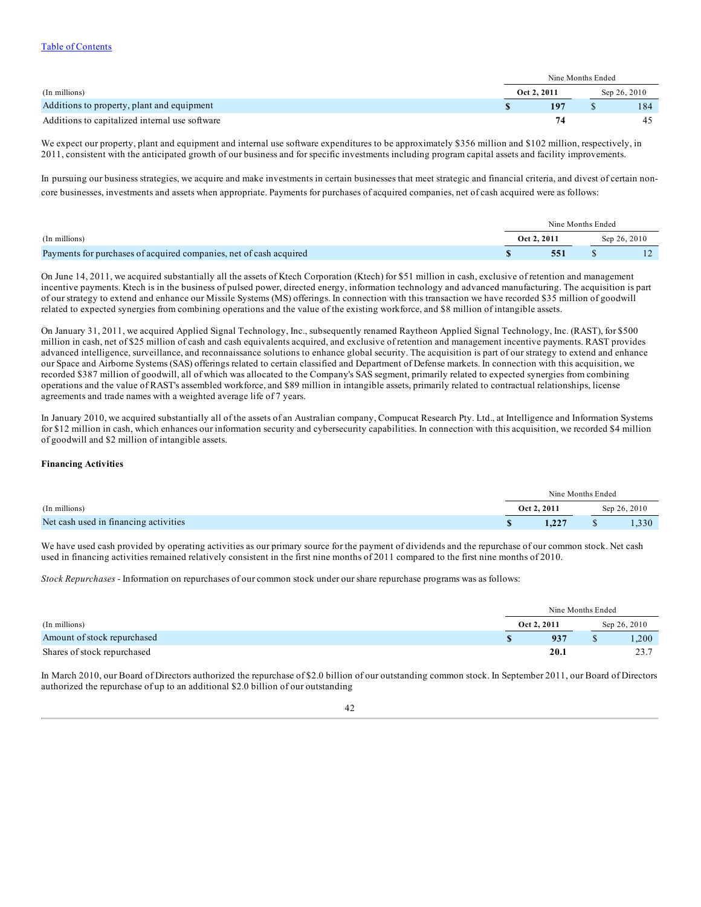|                                                |             |     | Nine Months Ended |              |  |
|------------------------------------------------|-------------|-----|-------------------|--------------|--|
| (In millions)                                  | Oct 2, 2011 |     |                   | Sep 26, 2010 |  |
| Additions to property, plant and equipment     |             | 197 |                   | 184          |  |
| Additions to capitalized internal use software |             |     |                   |              |  |

We expect our property, plant and equipment and internal use software expenditures to be approximately \$356 million and \$102 million, respectively, in 2011, consistent with the anticipated growth of our business and for specific investments including program capital assets and facility improvements.

In pursuing our business strategies, we acquire and make investments in certain businesses that meet strategic and financial criteria, and divest of certain noncore businesses, investments and assets when appropriate. Payments for purchases of acquired companies, net of cash acquired were as follows:

|                                                                    | Nine Months Ended |     |  |              |  |  |
|--------------------------------------------------------------------|-------------------|-----|--|--------------|--|--|
| (In millions)                                                      | Oct 2, 2011       |     |  | Sep 26, 2010 |  |  |
| Payments for purchases of acquired companies, net of cash acquired |                   | 551 |  |              |  |  |

On June 14, 2011, we acquired substantially all the assets of Ktech Corporation (Ktech) for \$51 million in cash, exclusive of retention and management incentive payments. Ktech is in the business of pulsed power, directed energy, information technology and advanced manufacturing. The acquisition is part of our strategy to extend and enhance our Missile Systems (MS) offerings. In connection with this transaction we have recorded \$35 million of goodwill related to expected synergies from combining operations and the value of the existing workforce, and \$8 million of intangible assets.

On January 31, 2011, we acquired Applied Signal Technology, Inc., subsequently renamed Raytheon Applied Signal Technology, Inc. (RAST), for \$500 million in cash, net of \$25 million of cash and cash equivalents acquired, and exclusive of retention and management incentive payments. RAST provides advanced intelligence, surveillance, and reconnaissance solutions to enhance global security. The acquisition is part of our strategy to extend and enhance our Space and Airborne Systems (SAS) offerings related to certain classified and Department of Defense markets. In connection with this acquisition, we recorded \$387 million of goodwill, all of which was allocated to the Company's SAS segment, primarily related to expected synergies from combining operations and the value of RAST's assembled workforce, and \$89 million in intangible assets, primarily related to contractual relationships, license agreements and trade names with a weighted average life of 7 years.

In January 2010, we acquired substantially all of the assets of an Australian company, Compucat Research Pty. Ltd., at Intelligence and Information Systems for \$12 million in cash, which enhances our information security and cybersecurity capabilities. In connection with this acquisition, we recorded \$4 million of goodwill and \$2 million of intangible assets.

#### **Financing Activities**

|                                       | Nine Months Ended |              |  |       |
|---------------------------------------|-------------------|--------------|--|-------|
| (In millions)                         | Oct 2, 2011       | Sep 26, 2010 |  |       |
| Net cash used in financing activities | 1.227             |              |  | 1,330 |

We have used cash provided by operating activities as our primary source for the payment of dividends and the repurchase of our common stock. Net cash used in financing activities remained relatively consistent in the first nine months of 2011 compared to the first nine months of 2010.

*Stock Repurchases* - Information on repurchases of our common stock under our share repurchase programs was as follows:

|                             |             | Nine Months Ended |              |  |
|-----------------------------|-------------|-------------------|--------------|--|
| (In millions)               | Oct 2, 2011 |                   | Sep 26, 2010 |  |
| Amount of stock repurchased | 937         |                   | 1,200        |  |
| Shares of stock repurchased | 20.1        |                   |              |  |

In March 2010, our Board of Directors authorized the repurchase of \$2.0 billion of our outstanding common stock. In September 2011, our Board of Directors authorized the repurchase of up to an additional \$2.0 billion of our outstanding

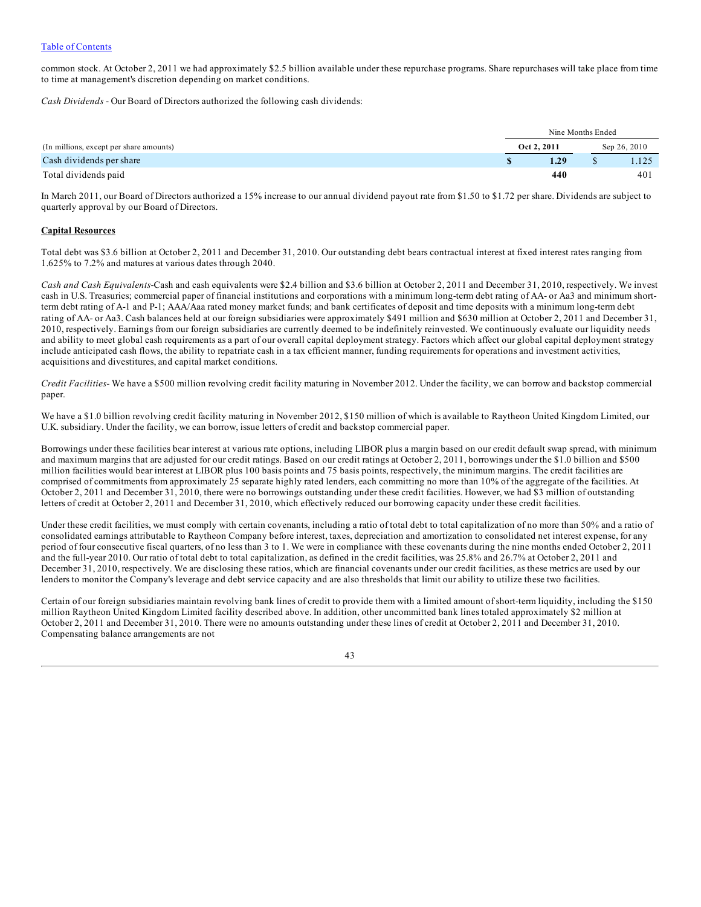common stock. At October 2, 2011 we had approximately \$2.5 billion available under these repurchase programs. Share repurchases will take place from time to time at management's discretion depending on market conditions.

*Cash Dividends* - Our Board of Directors authorized the following cash dividends:

|                                         |             | Nine Months Ended |              |
|-----------------------------------------|-------------|-------------------|--------------|
| (In millions, except per share amounts) | Oct 2, 2011 |                   | Sep 26, 2010 |
| Cash dividends per share                | 1.29        |                   | 1.125        |
| Total dividends paid                    | 440         |                   |              |

In March 2011, our Board of Directors authorized a 15% increase to our annual dividend payout rate from \$1.50 to \$1.72 per share. Dividends are subject to quarterly approval by our Board of Directors.

#### **Capital Resources**

Total debt was \$3.6 billion at October 2, 2011 and December 31, 2010. Our outstanding debt bears contractual interest at fixed interest rates ranging from 1.625% to 7.2% and matures at various dates through 2040.

*Cash and Cash Equivalents*-Cash and cash equivalents were \$2.4 billion and \$3.6 billion at October 2, 2011 and December 31, 2010, respectively. We invest cash in U.S. Treasuries; commercial paper of financial institutions and corporations with a minimum long-term debt rating of AA- or Aa3 and minimum shortterm debt rating of A-1 and P-1; AAA/Aaa rated money market funds; and bank certificates of deposit and time deposits with a minimum long-term debt rating of AA- or Aa3. Cash balances held at our foreign subsidiaries were approximately \$491 million and \$630 million at October 2, 2011 and December 31, 2010, respectively. Earnings from our foreign subsidiaries are currently deemed to be indefinitely reinvested. We continuously evaluate our liquidity needs and ability to meet global cash requirements as a part of our overall capital deployment strategy. Factors which affect our global capital deployment strategy include anticipated cash flows, the ability to repatriate cash in a tax efficient manner, funding requirements for operations and investment activities, acquisitions and divestitures, and capital market conditions.

*Credit Facilities*- We have a \$500 million revolving credit facility maturing in November 2012. Under the facility, we can borrow and backstop commercial paper.

We have a \$1.0 billion revolving credit facility maturing in November 2012, \$150 million of which is available to Raytheon United Kingdom Limited, our U.K. subsidiary. Under the facility, we can borrow, issue letters of credit and backstop commercial paper.

Borrowings under these facilities bear interest at various rate options, including LIBOR plus a margin based on our credit default swap spread, with minimum and maximum margins that are adjusted for our credit ratings. Based on our credit ratings at October 2, 2011, borrowings under the \$1.0 billion and \$500 million facilities would bear interest at LIBOR plus 100 basis points and 75 basis points, respectively, the minimum margins. The credit facilities are comprised of commitments from approximately 25 separate highly rated lenders, each committing no more than 10% of the aggregate of the facilities. At October 2, 2011 and December 31, 2010, there were no borrowings outstanding under these credit facilities. However, we had \$3 million of outstanding letters of credit at October 2, 2011 and December 31, 2010, which effectively reduced our borrowing capacity under these credit facilities.

Under these credit facilities, we must comply with certain covenants, including a ratio of total debt to total capitalization of no more than 50% and a ratio of consolidated earnings attributable to Raytheon Company before interest, taxes, depreciation and amortization to consolidated net interest expense, for any period of four consecutive fiscal quarters, of no less than 3 to 1. We were in compliance with these covenants during the nine months ended October 2, 2011 and the full-year 2010. Our ratio of total debt to total capitalization, as defined in the credit facilities, was 25.8% and 26.7% at October 2, 2011 and December 31, 2010, respectively. We are disclosing these ratios, which are financial covenants under our credit facilities, as these metrics are used by our lenders to monitor the Company's leverage and debt service capacity and are also thresholds that limit our ability to utilize these two facilities.

Certain of our foreign subsidiaries maintain revolving bank lines of credit to provide them with a limited amount of short-term liquidity, including the \$150 million Raytheon United Kingdom Limited facility described above. In addition, other uncommitted bank lines totaled approximately \$2 million at October 2, 2011 and December 31, 2010. There were no amounts outstanding under these lines of credit at October 2, 2011 and December 31, 2010. Compensating balance arrangements are not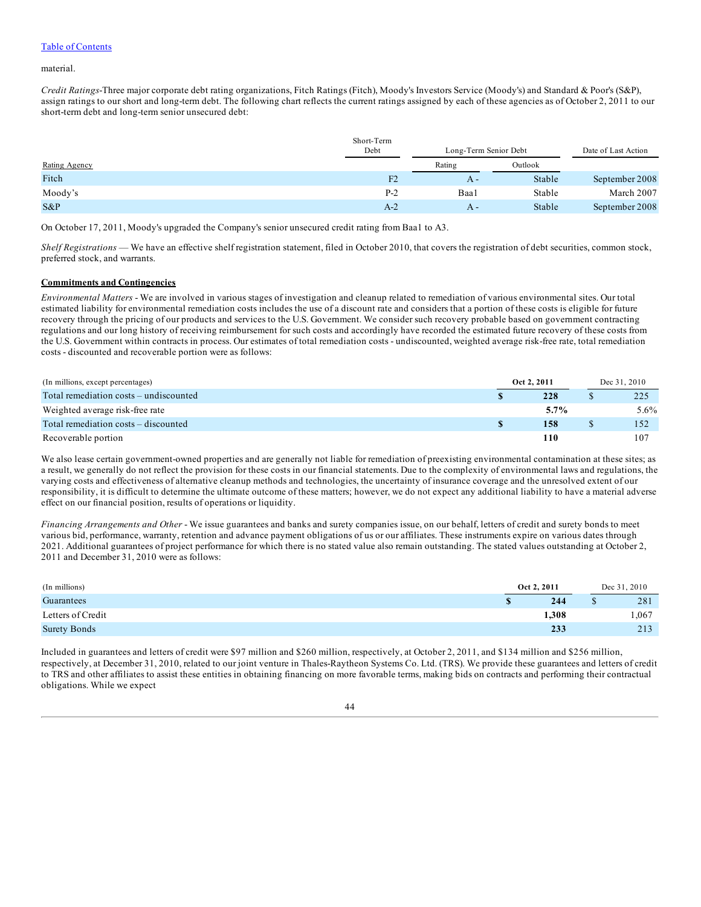material.

*Credit Ratings*-Three major corporate debt rating organizations, Fitch Ratings (Fitch), Moody's Investors Service (Moody's) and Standard & Poor's (S&P), assign ratings to our short and long-term debt. The following chart reflects the current ratings assigned by each of these agencies as of October 2, 2011 to our short-term debt and long-term senior unsecured debt:

|               | Short-Term<br>Debt | Long-Term Senior Debt |         | Date of Last Action |
|---------------|--------------------|-----------------------|---------|---------------------|
| Rating Agency |                    | Rating                | Outlook |                     |
| Fitch         | F <sub>2</sub>     | $A -$                 | Stable  | September 2008      |
| Moody's       | $P-2$              | Baa1                  | Stable  | March 2007          |
| S&P           | $A-2$              | $A -$                 | Stable  | September 2008      |

On October 17, 2011, Moody's upgraded the Company's senior unsecured credit rating from Baa1 to A3.

*Shelf Registrations* — We have an effective shelf registration statement, filed in October 2010, that covers the registration of debt securities, common stock, preferred stock, and warrants.

#### **Commitments and Contingencies**

*Environmental Matters* - We are involved in various stages of investigation and cleanup related to remediation of various environmental sites. Our total estimated liability for environmental remediation costs includes the use of a discount rate and considers that a portion of these costs is eligible for future recovery through the pricing of our products and services to the U.S. Government. We consider such recovery probable based on government contracting regulations and our long history of receiving reimbursement for such costs and accordingly have recorded the estimated future recovery of these costs from the U.S. Government within contracts in process. Our estimates of total remediation costs - undiscounted, weighted average risk-free rate, total remediation costs - discounted and recoverable portion were as follows:

| (In millions, except percentages)      | Oct 2, 2011 |  |         |
|----------------------------------------|-------------|--|---------|
| Total remediation costs – undiscounted | 228         |  | 225     |
| Weighted average risk-free rate        | $5.7\%$     |  | $5.6\%$ |
| Total remediation costs – discounted   | 158         |  | 152     |
| Recoverable portion                    | 110         |  | 107     |

We also lease certain government-owned properties and are generally not liable for remediation of preexisting environmental contamination at these sites; as a result, we generally do not reflect the provision for these costs in our financial statements. Due to the complexity of environmental laws and regulations, the varying costs and effectiveness of alternative cleanup methods and technologies, the uncertainty of insurance coverage and the unresolved extent of our responsibility, it is difficult to determine the ultimate outcome of these matters; however, we do not expect any additional liability to have a material adverse effect on our financial position, results of operations or liquidity.

*Financing Arrangements and Other* - We issue guarantees and banks and surety companies issue, on our behalf, letters of credit and surety bonds to meet various bid, performance, warranty, retention and advance payment obligations of us or our affiliates. These instruments expire on various dates through 2021. Additional guarantees of project performance for which there is no stated value also remain outstanding. The stated values outstanding at October 2, 2011 and December 31, 2010 were as follows:

| (In millions)       | Oct 2, 2011 | Dec 31, 2010 |  |  |
|---------------------|-------------|--------------|--|--|
| Guarantees          | 244         | 281          |  |  |
| Letters of Credit   | 1,308       | .067         |  |  |
| <b>Surety Bonds</b> | 233         | 213          |  |  |

Included in guarantees and letters of credit were \$97 million and \$260 million, respectively, at October 2, 2011, and \$134 million and \$256 million, respectively, at December 31, 2010, related to our joint venture in Thales-Raytheon Systems Co. Ltd. (TRS). We provide these guarantees and letters of credit to TRS and other affiliates to assist these entities in obtaining financing on more favorable terms, making bids on contracts and performing their contractual obligations. While we expect

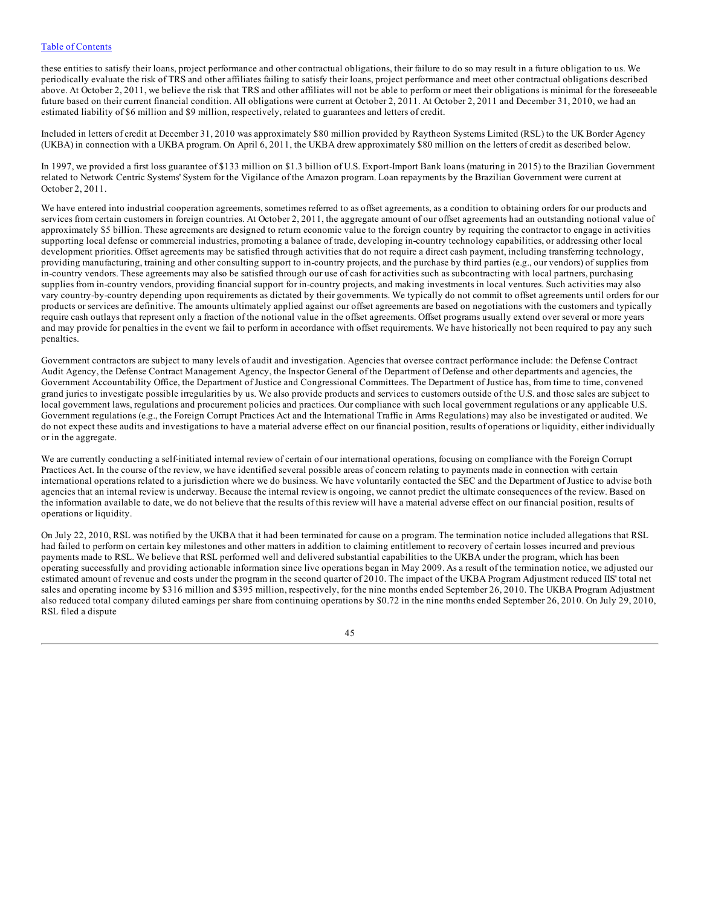these entities to satisfy their loans, project performance and other contractual obligations, their failure to do so may result in a future obligation to us. We periodically evaluate the risk of TRS and other affiliates failing to satisfy their loans, project performance and meet other contractual obligations described above. At October 2, 2011, we believe the risk that TRS and other affiliates will not be able to perform or meet their obligations is minimal for the foreseeable future based on their current financial condition. All obligations were current at October 2, 2011. At October 2, 2011 and December 31, 2010, we had an estimated liability of \$6 million and \$9 million, respectively, related to guarantees and letters of credit.

Included in letters of credit at December 31, 2010 was approximately \$80 million provided by Raytheon Systems Limited (RSL) to the UK Border Agency (UKBA) in connection with a UKBA program. On April 6, 2011, the UKBA drew approximately \$80 million on the letters of credit as described below.

In 1997, we provided a first loss guarantee of \$133 million on \$1.3 billion of U.S. Export-Import Bank loans (maturing in 2015) to the Brazilian Government related to Network Centric Systems' System for the Vigilance of the Amazon program. Loan repayments by the Brazilian Government were current at October 2, 2011.

We have entered into industrial cooperation agreements, sometimes referred to as offset agreements, as a condition to obtaining orders for our products and services from certain customers in foreign countries. At October 2, 2011, the aggregate amount of our offset agreements had an outstanding notional value of approximately \$5 billion. These agreements are designed to return economic value to the foreign country by requiring the contractor to engage in activities supporting local defense or commercial industries, promoting a balance of trade, developing in-country technology capabilities, or addressing other local development priorities. Offset agreements may be satisfied through activities that do not require a direct cash payment, including transferring technology, providing manufacturing, training and other consulting support to in-country projects, and the purchase by third parties (e.g., our vendors) of supplies from in-country vendors. These agreements may also be satisfied through our use of cash for activities such as subcontracting with local partners, purchasing supplies from in-country vendors, providing financial support for in-country projects, and making investments in local ventures. Such activities may also vary country-by-country depending upon requirements as dictated by their governments. We typically do not commit to offset agreements until orders for our products or services are definitive. The amounts ultimately applied against our offset agreements are based on negotiations with the customers and typically require cash outlays that represent only a fraction of the notional value in the offset agreements. Offset programs usually extend over several or more years and may provide for penalties in the event we fail to perform in accordance with offset requirements. We have historically not been required to pay any such penalties.

Government contractors are subject to many levels of audit and investigation. Agencies that oversee contract performance include: the Defense Contract Audit Agency, the Defense Contract Management Agency, the Inspector General of the Department of Defense and other departments and agencies, the Government Accountability Office, the Department of Justice and Congressional Committees. The Department of Justice has, from time to time, convened grand juries to investigate possible irregularities by us. We also provide products and services to customers outside of the U.S. and those sales are subject to local government laws, regulations and procurement policies and practices. Our compliance with such local government regulations or any applicable U.S. Government regulations (e.g., the Foreign Corrupt Practices Act and the International Traffic in Arms Regulations) may also be investigated or audited. We do not expect these audits and investigations to have a material adverse effect on our financial position, results of operations or liquidity, either individually or in the aggregate.

We are currently conducting a self-initiated internal review of certain of our international operations, focusing on compliance with the Foreign Corrupt Practices Act. In the course of the review, we have identified several possible areas of concern relating to payments made in connection with certain international operations related to a jurisdiction where we do business. We have voluntarily contacted the SEC and the Department of Justice to advise both agencies that an internal review is underway. Because the internal review is ongoing, we cannot predict the ultimate consequences of the review. Based on the information available to date, we do not believe that the results of this review will have a material adverse effect on our financial position, results of operations or liquidity.

On July 22, 2010, RSL was notified by the UKBA that it had been terminated for cause on a program. The termination notice included allegations that RSL had failed to perform on certain key milestones and other matters in addition to claiming entitlement to recovery of certain losses incurred and previous payments made to RSL. We believe that RSL performed well and delivered substantial capabilities to the UKBA under the program, which has been operating successfully and providing actionable information since live operations began in May 2009. As a result of the termination notice, we adjusted our estimated amount of revenue and costs under the program in the second quarter of 2010. The impact of the UKBA Program Adjustment reduced IIS' total net sales and operating income by \$316 million and \$395 million, respectively, for the nine months ended September 26, 2010. The UKBA Program Adjustment also reduced total company diluted earnings per share from continuing operations by \$0.72 in the nine months ended September 26, 2010. On July 29, 2010, RSL filed a dispute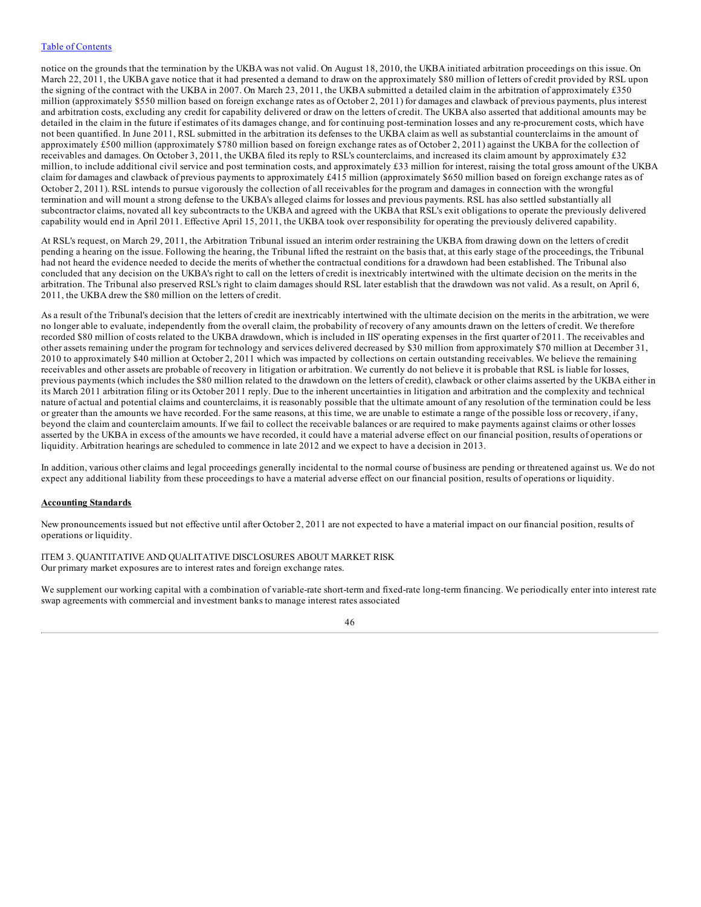<span id="page-45-0"></span>notice on the grounds that the termination by the UKBA was not valid. On August 18, 2010, the UKBA initiated arbitration proceedings on this issue. On March 22, 2011, the UKBA gave notice that it had presented a demand to draw on the approximately \$80 million of letters of credit provided by RSL upon the signing of the contract with the UKBA in 2007. On March 23, 2011, the UKBA submitted a detailed claim in the arbitration of approximately £350 million (approximately \$550 million based on foreign exchange rates as of October 2, 2011) for damages and clawback of previous payments, plus interest and arbitration costs, excluding any credit for capability delivered or draw on the letters of credit. The UKBA also asserted that additional amounts may be detailed in the claim in the future if estimates of its damages change, and for continuing post-termination losses and any re-procurement costs, which have not been quantified. In June 2011, RSL submitted in the arbitration its defenses to the UKBA claim as well as substantial counterclaims in the amount of approximately £500 million (approximately \$780 million based on foreign exchange rates as of October 2, 2011) against the UKBA for the collection of receivables and damages. On October 3, 2011, the UKBA filed its reply to RSL's counterclaims, and increased its claim amount by approximately £32 million, to include additional civil service and post termination costs, and approximately £33 million for interest, raising the total gross amount of the UKBA claim for damages and clawback of previous payments to approximately £415 million (approximately \$650 million based on foreign exchange rates as of October 2, 2011). RSL intends to pursue vigorously the collection of all receivables for the program and damages in connection with the wrongful termination and will mount a strong defense to the UKBA's alleged claims for losses and previous payments. RSL has also settled substantially all subcontractor claims, novated all key subcontracts to the UKBA and agreed with the UKBA that RSL's exit obligations to operate the previously delivered capability would end in April 2011. Effective April 15, 2011, the UKBA took over responsibility for operating the previously delivered capability.

At RSL's request, on March 29, 2011, the Arbitration Tribunal issued an interim order restraining the UKBA from drawing down on the letters of credit pending a hearing on the issue. Following the hearing, the Tribunal lifted the restraint on the basis that, at this early stage of the proceedings, the Tribunal had not heard the evidence needed to decide the merits of whether the contractual conditions for a drawdown had been established. The Tribunal also concluded that any decision on the UKBA's right to call on the letters of credit is inextricably intertwined with the ultimate decision on the merits in the arbitration. The Tribunal also preserved RSL's right to claim damages should RSL later establish that the drawdown was not valid. As a result, on April 6, 2011, the UKBA drew the \$80 million on the letters of credit.

As a result of the Tribunal's decision that the letters of credit are inextricably intertwined with the ultimate decision on the merits in the arbitration, we were no longer able to evaluate, independently from the overall claim, the probability of recovery of any amounts drawn on the letters of credit. We therefore recorded \$80 million of costs related to the UKBA drawdown, which is included in IIS' operating expenses in the first quarter of 2011. The receivables and other assets remaining under the program for technology and services delivered decreased by \$30 million from approximately \$70 million at December 31, 2010 to approximately \$40 million at October 2, 2011 which was impacted by collections on certain outstanding receivables. We believe the remaining receivables and other assets are probable of recovery in litigation or arbitration. We currently do not believe it is probable that RSL is liable for losses, previous payments (which includes the \$80 million related to the drawdown on the letters of credit), clawback or other claims asserted by the UKBA either in its March 2011 arbitration filing or its October 2011 reply. Due to the inherent uncertainties in litigation and arbitration and the complexity and technical nature of actual and potential claims and counterclaims, it is reasonably possible that the ultimate amount of any resolution of the termination could be less or greater than the amounts we have recorded. For the same reasons, at this time, we are unable to estimate a range of the possible loss or recovery, if any, beyond the claim and counterclaim amounts. If we fail to collect the receivable balances or are required to make payments against claims or other losses asserted by the UKBA in excess of the amounts we have recorded, it could have a material adverse effect on our financial position, results of operations or liquidity. Arbitration hearings are scheduled to commence in late 2012 and we expect to have a decision in 2013.

In addition, various other claims and legal proceedings generally incidental to the normal course of business are pending or threatened against us. We do not expect any additional liability from these proceedings to have a material adverse effect on our financial position, results of operations or liquidity.

#### **Accounting Standards**

New pronouncements issued but not effective until after October 2, 2011 are not expected to have a material impact on our financial position, results of operations or liquidity.

ITEM 3. QUANTITATIVE AND QUALITATIVE DISCLOSURES ABOUT MARKET RISK Our primary market exposures are to interest rates and foreign exchange rates.

We supplement our working capital with a combination of variable-rate short-term and fixed-rate long-term financing. We periodically enter into interest rate swap agreements with commercial and investment banks to manage interest rates associated

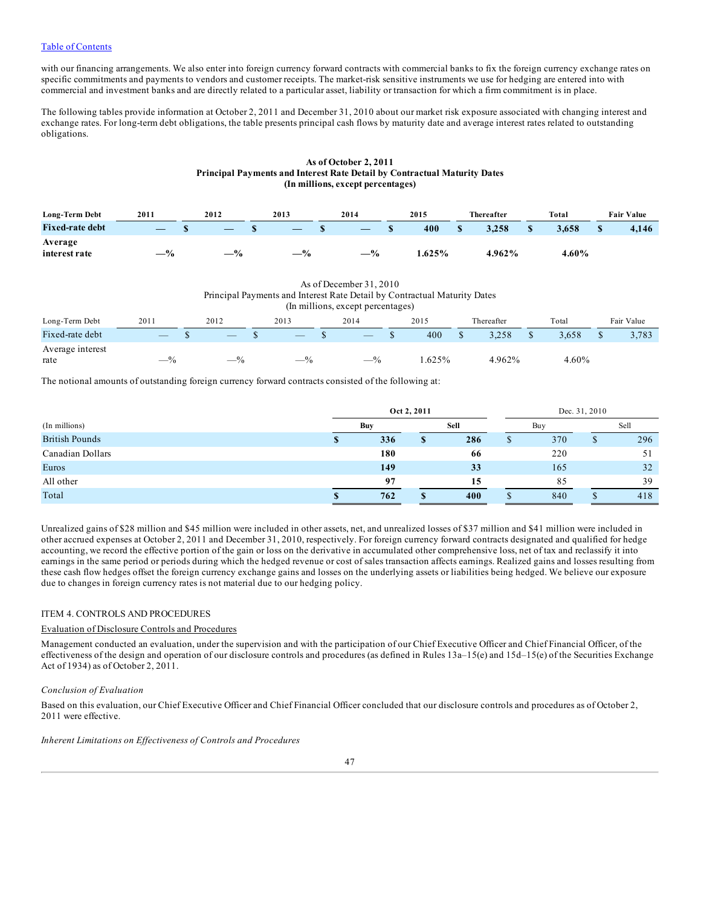<span id="page-46-0"></span>with our financing arrangements. We also enter into foreign currency forward contracts with commercial banks to fix the foreign currency exchange rates on specific commitments and payments to vendors and customer receipts. The market-risk sensitive instruments we use for hedging are entered into with commercial and investment banks and are directly related to a particular asset, liability or transaction for which a firm commitment is in place.

The following tables provide information at October 2, 2011 and December 31, 2010 about our market risk exposure associated with changing interest and exchange rates. For long-term debt obligations, the table presents principal cash flows by maturity date and average interest rates related to outstanding obligations.

#### **As of October 2, 2011 Principal Payments and Interest Rate Detail by Contractual Maturity Dates (In millions, except percentages)**

| Long-Term Debt           | 2011                           | 2012 | 2013                           | 2014  | 2015   | <b>Thereafter</b> | Total | <b>Fair Value</b> |
|--------------------------|--------------------------------|------|--------------------------------|-------|--------|-------------------|-------|-------------------|
| <b>Fixed-rate debt</b>   |                                |      |                                |       | 400    | 3.258             | 3.658 | 4,146             |
| Average<br>interest rate | $\overline{\phantom{a}}$<br>70 | 70   | $\overline{\phantom{a}}$<br>70 | $-$ % | 1.625% | 4.962%            | 4.60% |                   |

| As of December $31, 2010$                                                 |
|---------------------------------------------------------------------------|
| Principal Payments and Interest Rate Detail by Contractual Maturity Dates |
| (In millions, except percentages)                                         |

| Long-Term Debt           | 2011 | 2012             | 2013 | 2014                           | 2015  | Thereafter | Total | Fair Value |
|--------------------------|------|------------------|------|--------------------------------|-------|------------|-------|------------|
| Fixed-rate debt          |      |                  |      |                                | 400   | 3.258      | 3.658 | 3,783      |
| Average interest<br>rate | $-$  | $\sim$ 0/<br>$-$ | $-$  | ″∩<br>$\overline{\phantom{a}}$ | .625% | 4.962%     | 4.60% |            |

The notional amounts of outstanding foreign currency forward contracts consisted of the following at:

|                       |            |     | Oct 2, 2011 |      | Dec. 31, 2010 |     |   |      |
|-----------------------|------------|-----|-------------|------|---------------|-----|---|------|
| (In millions)         | <b>Buy</b> |     |             | Sell |               | Buy |   | Sell |
| <b>British Pounds</b> |            | 336 | $\mathbf s$ | 286  |               | 370 | D | 296  |
| Canadian Dollars      |            | 180 |             | 66   |               | 220 |   | 51   |
| Euros                 |            | 149 |             | 33   |               | 165 |   | 32   |
| All other             |            | 97  |             | 15   |               | 85  |   | 39   |
| Total                 |            | 762 | \$          | 400  |               | 840 |   | 418  |

Unrealized gains of \$28 million and \$45 million were included in other assets, net, and unrealized losses of \$37 million and \$41 million were included in other accrued expenses at October 2, 2011 and December 31, 2010, respectively. For foreign currency forward contracts designated and qualified for hedge accounting, we record the effective portion of the gain or loss on the derivative in accumulated other comprehensive loss, net of tax and reclassify it into earnings in the same period or periods during which the hedged revenue or cost of sales transaction affects earnings. Realized gains and losses resulting from these cash flow hedges offset the foreign currency exchange gains and losses on the underlying assets or liabilities being hedged. We believe our exposure due to changes in foreign currency rates is not material due to our hedging policy.

#### ITEM 4. CONTROLS AND PROCEDURES

#### Evaluation of Disclosure Controls and Procedures

Management conducted an evaluation, under the supervision and with the participation of our Chief Executive Officer and Chief Financial Officer, of the effectiveness of the design and operation of our disclosure controls and procedures (as defined in Rules 13a–15(e) and 15d–15(e) of the Securities Exchange Act of 1934) as of October 2, 2011.

#### *Conclusion of Evaluation*

Based on this evaluation, our Chief Executive Officer and Chief Financial Officer concluded that our disclosure controls and procedures as of October 2, 2011 were effective.

*Inherent Limitations on Ef ectiveness of Controls and Procedures*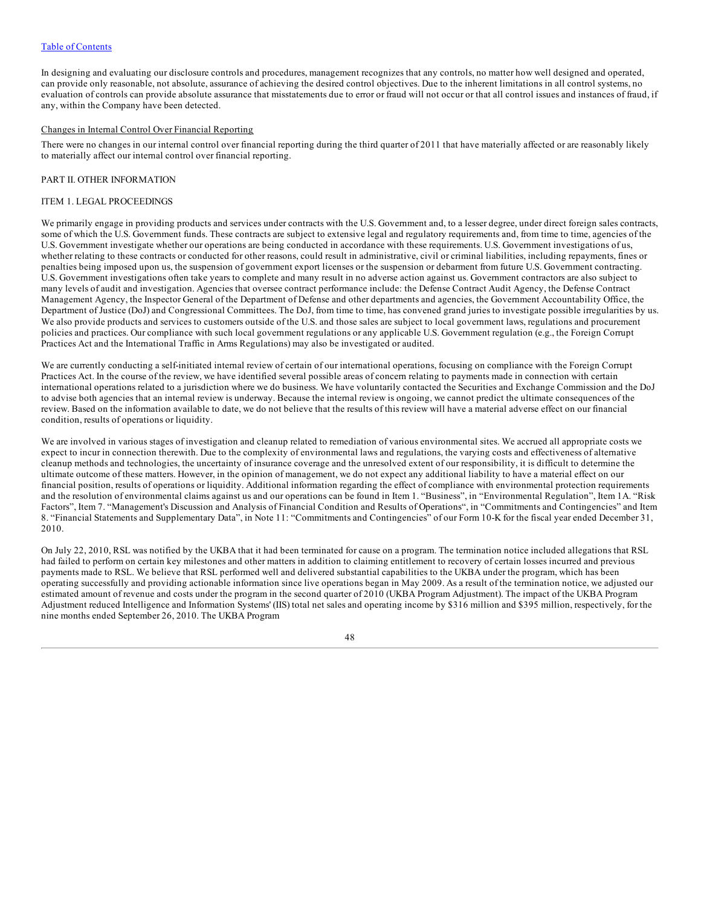<span id="page-47-0"></span>In designing and evaluating our disclosure controls and procedures, management recognizes that any controls, no matter how well designed and operated, can provide only reasonable, not absolute, assurance of achieving the desired control objectives. Due to the inherent limitations in all control systems, no evaluation of controls can provide absolute assurance that misstatements due to error or fraud will not occur or that all control issues and instances of fraud, if any, within the Company have been detected.

#### Changes in Internal Control Over Financial Reporting

There were no changes in our internal control over financial reporting during the third quarter of 2011 that have materially affected or are reasonably likely to materially affect our internal control over financial reporting.

#### PART II. OTHER INFORMATION

# ITEM 1. LEGAL PROCEEDINGS

We primarily engage in providing products and services under contracts with the U.S. Government and, to a lesser degree, under direct foreign sales contracts, some of which the U.S. Government funds. These contracts are subject to extensive legal and regulatory requirements and, from time to time, agencies of the U.S. Government investigate whether our operations are being conducted in accordance with these requirements. U.S. Government investigations of us, whether relating to these contracts or conducted for other reasons, could result in administrative, civil or criminal liabilities, including repayments, fines or penalties being imposed upon us, the suspension of government export licenses or the suspension or debarment from future U.S. Government contracting. U.S. Government investigations often take years to complete and many result in no adverse action against us. Government contractors are also subject to many levels of audit and investigation. Agencies that oversee contract performance include: the Defense Contract Audit Agency, the Defense Contract Management Agency, the Inspector General of the Department of Defense and other departments and agencies, the Government Accountability Office, the Department of Justice (DoJ) and Congressional Committees. The DoJ, from time to time, has convened grand juries to investigate possible irregularities by us. We also provide products and services to customers outside of the U.S. and those sales are subject to local government laws, regulations and procurement policies and practices. Our compliance with such local government regulations or any applicable U.S. Government regulation (e.g., the Foreign Corrupt Practices Act and the International Traffic in Arms Regulations) may also be investigated or audited.

We are currently conducting a self-initiated internal review of certain of our international operations, focusing on compliance with the Foreign Corrupt Practices Act. In the course of the review, we have identified several possible areas of concern relating to payments made in connection with certain international operations related to a jurisdiction where we do business. We have voluntarily contacted the Securities and Exchange Commission and the DoJ to advise both agencies that an internal review is underway. Because the internal review is ongoing, we cannot predict the ultimate consequences of the review. Based on the information available to date, we do not believe that the results of this review will have a material adverse effect on our financial condition, results of operations or liquidity.

We are involved in various stages of investigation and cleanup related to remediation of various environmental sites. We accrued all appropriate costs we expect to incur in connection therewith. Due to the complexity of environmental laws and regulations, the varying costs and effectiveness of alternative cleanup methods and technologies, the uncertainty of insurance coverage and the unresolved extent of our responsibility, it is difficult to determine the ultimate outcome of these matters. However, in the opinion of management, we do not expect any additional liability to have a material effect on our financial position, results of operations or liquidity. Additional information regarding the effect of compliance with environmental protection requirements and the resolution of environmental claims against us and our operations can be found in Item 1. "Business", in "Environmental Regulation", Item 1A. "Risk Factors", Item 7. "Management's Discussion and Analysis of Financial Condition and Results of Operations", in "Commitments and Contingencies" and Item 8. "Financial Statements and Supplementary Data", in Note 11: "Commitments and Contingencies" of our Form 10-K for the fiscal year ended December 31, 2010.

On July 22, 2010, RSL was notified by the UKBA that it had been terminated for cause on a program. The termination notice included allegations that RSL had failed to perform on certain key milestones and other matters in addition to claiming entitlement to recovery of certain losses incurred and previous payments made to RSL. We believe that RSL performed well and delivered substantial capabilities to the UKBA under the program, which has been operating successfully and providing actionable information since live operations began in May 2009. As a result of the termination notice, we adjusted our estimated amount of revenue and costs under the program in the second quarter of 2010 (UKBA Program Adjustment). The impact of the UKBA Program Adjustment reduced Intelligence and Information Systems' (IIS) total net sales and operating income by \$316 million and \$395 million, respectively, for the nine months ended September 26, 2010. The UKBA Program

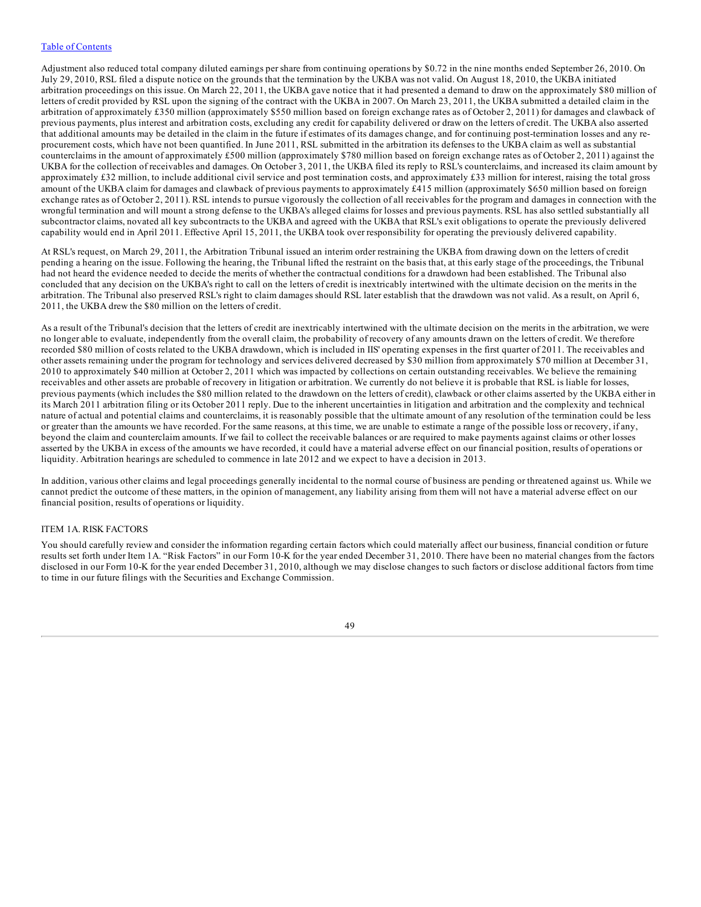<span id="page-48-0"></span>Adjustment also reduced total company diluted earnings per share from continuing operations by \$0.72 in the nine months ended September 26, 2010. On July 29, 2010, RSL filed a dispute notice on the grounds that the termination by the UKBA was not valid. On August 18, 2010, the UKBA initiated arbitration proceedings on this issue. On March 22, 2011, the UKBA gave notice that it had presented a demand to draw on the approximately \$80 million of letters of credit provided by RSL upon the signing of the contract with the UKBA in 2007. On March 23, 2011, the UKBA submitted a detailed claim in the arbitration of approximately £350 million (approximately \$550 million based on foreign exchange rates as of October 2, 2011) for damages and clawback of previous payments, plus interest and arbitration costs, excluding any credit for capability delivered or draw on the letters of credit. The UKBA also asserted that additional amounts may be detailed in the claim in the future if estimates of its damages change, and for continuing post-termination losses and any reprocurement costs, which have not been quantified. In June 2011, RSL submitted in the arbitration its defenses to the UKBA claim as well as substantial counterclaims in the amount of approximately £500 million (approximately \$780 million based on foreign exchange rates as of October 2, 2011) against the UKBA for the collection of receivables and damages. On October 3, 2011, the UKBA filed its reply to RSL's counterclaims, and increased its claim amount by approximately £32 million, to include additional civil service and post termination costs, and approximately £33 million for interest, raising the total gross amount of the UKBA claim for damages and clawback of previous payments to approximately £415 million (approximately \$650 million based on foreign exchange rates as of October 2, 2011). RSL intends to pursue vigorously the collection of all receivables for the program and damages in connection with the wrongful termination and will mount a strong defense to the UKBA's alleged claims for losses and previous payments. RSL has also settled substantially all subcontractor claims, novated all key subcontracts to the UKBA and agreed with the UKBA that RSL's exit obligations to operate the previously delivered capability would end in April 2011. Effective April 15, 2011, the UKBA took over responsibility for operating the previously delivered capability.

At RSL's request, on March 29, 2011, the Arbitration Tribunal issued an interim order restraining the UKBA from drawing down on the letters of credit pending a hearing on the issue. Following the hearing, the Tribunal lifted the restraint on the basis that, at this early stage of the proceedings, the Tribunal had not heard the evidence needed to decide the merits of whether the contractual conditions for a drawdown had been established. The Tribunal also concluded that any decision on the UKBA's right to call on the letters of credit is inextricably intertwined with the ultimate decision on the merits in the arbitration. The Tribunal also preserved RSL's right to claim damages should RSL later establish that the drawdown was not valid. As a result, on April 6, 2011, the UKBA drew the \$80 million on the letters of credit.

As a result of the Tribunal's decision that the letters of credit are inextricably intertwined with the ultimate decision on the merits in the arbitration, we were no longer able to evaluate, independently from the overall claim, the probability of recovery of any amounts drawn on the letters of credit. We therefore recorded \$80 million of costs related to the UKBA drawdown, which is included in IIS' operating expenses in the first quarter of 2011. The receivables and other assets remaining under the program for technology and services delivered decreased by \$30 million from approximately \$70 million at December 31, 2010 to approximately \$40 million at October 2, 2011 which was impacted by collections on certain outstanding receivables. We believe the remaining receivables and other assets are probable of recovery in litigation or arbitration. We currently do not believe it is probable that RSL is liable for losses, previous payments (which includes the \$80 million related to the drawdown on the letters of credit), clawback or other claims asserted by the UKBA either in its March 2011 arbitration filing or its October 2011 reply. Due to the inherent uncertainties in litigation and arbitration and the complexity and technical nature of actual and potential claims and counterclaims, it is reasonably possible that the ultimate amount of any resolution of the termination could be less or greater than the amounts we have recorded. For the same reasons, at this time, we are unable to estimate a range of the possible loss or recovery, if any, beyond the claim and counterclaim amounts. If we fail to collect the receivable balances or are required to make payments against claims or other losses asserted by the UKBA in excess of the amounts we have recorded, it could have a material adverse effect on our financial position, results of operations or liquidity. Arbitration hearings are scheduled to commence in late 2012 and we expect to have a decision in 2013.

In addition, various other claims and legal proceedings generally incidental to the normal course of business are pending or threatened against us. While we cannot predict the outcome of these matters, in the opinion of management, any liability arising from them will not have a material adverse effect on our financial position, results of operations or liquidity.

#### ITEM 1A. RISK FACTORS

You should carefully review and consider the information regarding certain factors which could materially affect our business, financial condition or future results set forth under Item 1A. "Risk Factors" in our Form 10-K for the year ended December 31, 2010. There have been no material changes from the factors disclosed in our Form 10-K for the year ended December 31, 2010, although we may disclose changes to such factors or disclose additional factors from time to time in our future filings with the Securities and Exchange Commission.

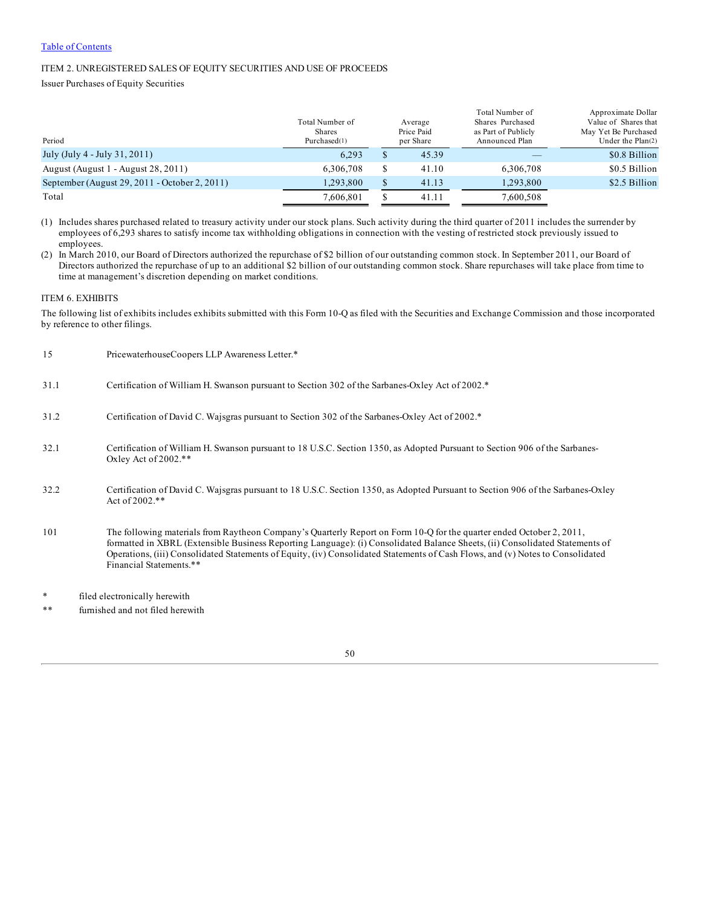#### <span id="page-49-0"></span>ITEM 2. UNREGISTERED SALES OF EQUITY SECURITIES AND USE OF PROCEEDS

Issuer Purchases of Equity Securities

| Total Number of<br><b>Shares</b><br>Purchased(1) | Average<br>Price Paid<br>per Share | Total Number of<br>Shares Purchased<br>as Part of Publicly<br>Announced Plan | Approximate Dollar<br>Value of Shares that<br>May Yet Be Purchased<br>Under the $Plan(2)$ |
|--------------------------------------------------|------------------------------------|------------------------------------------------------------------------------|-------------------------------------------------------------------------------------------|
| 6.293                                            | 45.39                              |                                                                              | \$0.8 Billion                                                                             |
| 6.306.708                                        | 41.10                              | 6.306.708                                                                    | \$0.5 Billion                                                                             |
| 1.293.800                                        | 41.13                              | 1,293,800                                                                    | \$2.5 Billion                                                                             |
| 7.606.801                                        | 41.11                              | 7.600.508                                                                    |                                                                                           |
|                                                  |                                    |                                                                              |                                                                                           |

(1) Includes shares purchased related to treasury activity under our stock plans. Such activity during the third quarter of 2011 includes the surrender by employees of 6,293 shares to satisfy income tax withholding obligations in connection with the vesting of restricted stock previously issued to employees.

(2) In March 2010, our Board of Directors authorized the repurchase of \$2 billion of our outstanding common stock. In September 2011, our Board of Directors authorized the repurchase of up to an additional \$2 billion of our outstanding common stock. Share repurchases will take place from time to time at management's discretion depending on market conditions.

#### ITEM 6. EXHIBITS

The following list of exhibits includes exhibits submitted with this Form 10-Q as filed with the Securities and Exchange Commission and those incorporated by reference to other filings.

| 15   | PricewaterhouseCoopers LLP Awareness Letter.*                                                                                                                                                                                                                                                                                                                                                                     |
|------|-------------------------------------------------------------------------------------------------------------------------------------------------------------------------------------------------------------------------------------------------------------------------------------------------------------------------------------------------------------------------------------------------------------------|
| 31.1 | Certification of William H. Swanson pursuant to Section 302 of the Sarbanes-Oxley Act of 2002.*                                                                                                                                                                                                                                                                                                                   |
| 31.2 | Certification of David C. Wajsgras pursuant to Section 302 of the Sarbanes-Oxley Act of 2002.*                                                                                                                                                                                                                                                                                                                    |
| 32.1 | Certification of William H. Swanson pursuant to 18 U.S.C. Section 1350, as Adopted Pursuant to Section 906 of the Sarbanes-<br>Oxley Act of 2002.**                                                                                                                                                                                                                                                               |
| 32.2 | Certification of David C. Waisgras pursuant to 18 U.S.C. Section 1350, as Adopted Pursuant to Section 906 of the Sarbanes-Oxley<br>Act of 2002.**                                                                                                                                                                                                                                                                 |
| 101  | The following materials from Raytheon Company's Quarterly Report on Form 10-Q for the quarter ended October 2, 2011,<br>formatted in XBRL (Extensible Business Reporting Language): (i) Consolidated Balance Sheets, (ii) Consolidated Statements of<br>Operations, (iii) Consolidated Statements of Equity, (iv) Consolidated Statements of Cash Flows, and (v) Notes to Consolidated<br>Financial Statements.** |

- \* filed electronically herewith
- \*\* furnished and not filed herewith

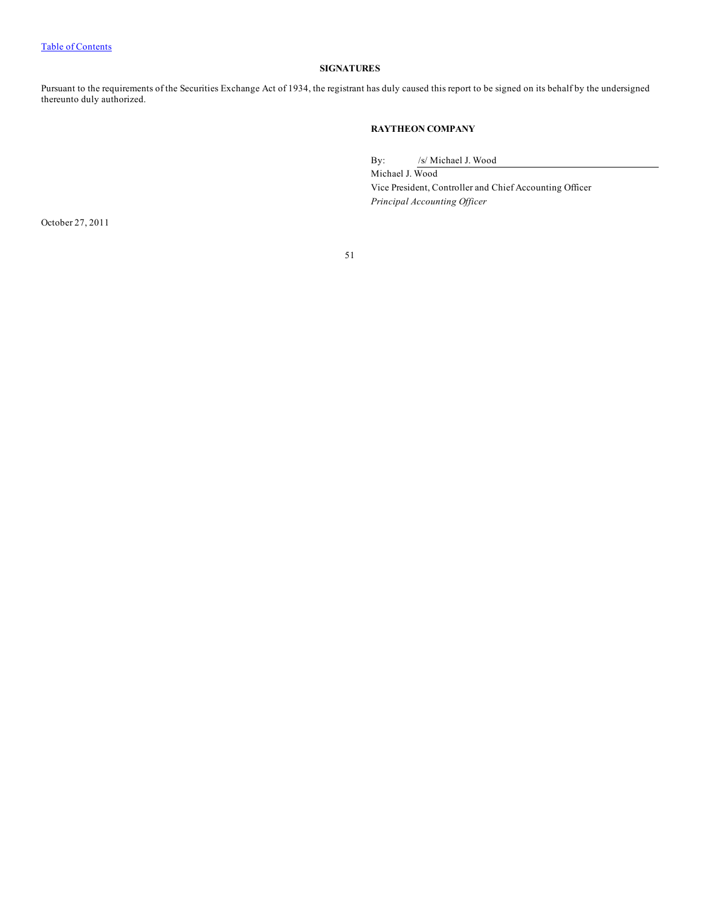# **SIGNATURES**

<span id="page-50-0"></span>Pursuant to the requirements of the Securities Exchange Act of 1934, the registrant has duly caused this report to be signed on its behalf by the undersigned thereunto duly authorized.

# **RAYTHEON COMPANY**

By: /s/ Michael J. Wood

Michael J. Wood Vice President, Controller and Chief Accounting Officer *Principal Accounting Of icer*

October 27, 2011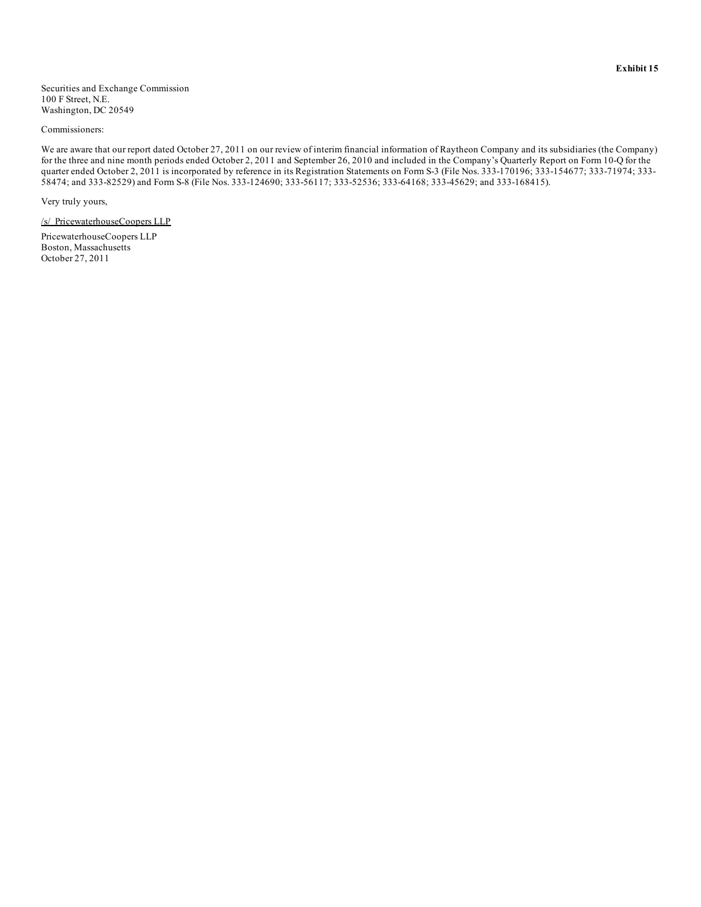Securities and Exchange Commission 100 F Street, N.E. Washington, DC 20549

#### Commissioners:

We are aware that our report dated October 27, 2011 on our review of interim financial information of Raytheon Company and its subsidiaries (the Company) for the three and nine month periods ended October 2, 2011 and September 26, 2010 and included in the Company's Quarterly Report on Form 10-Q for the quarter ended October 2, 2011 is incorporated by reference in its Registration Statements on Form S-3 (File Nos. 333-170196; 333-154677; 333-71974; 333-58474; and 333-82529) and Form S-8 (File Nos. 333-124690; 333-56117; 333-52536; 333-64168; 333-45629; and 333-168415).

Very truly yours,

/s/ PricewaterhouseCoopers LLP

PricewaterhouseCoopers LLP Boston, Massachusetts October 27, 2011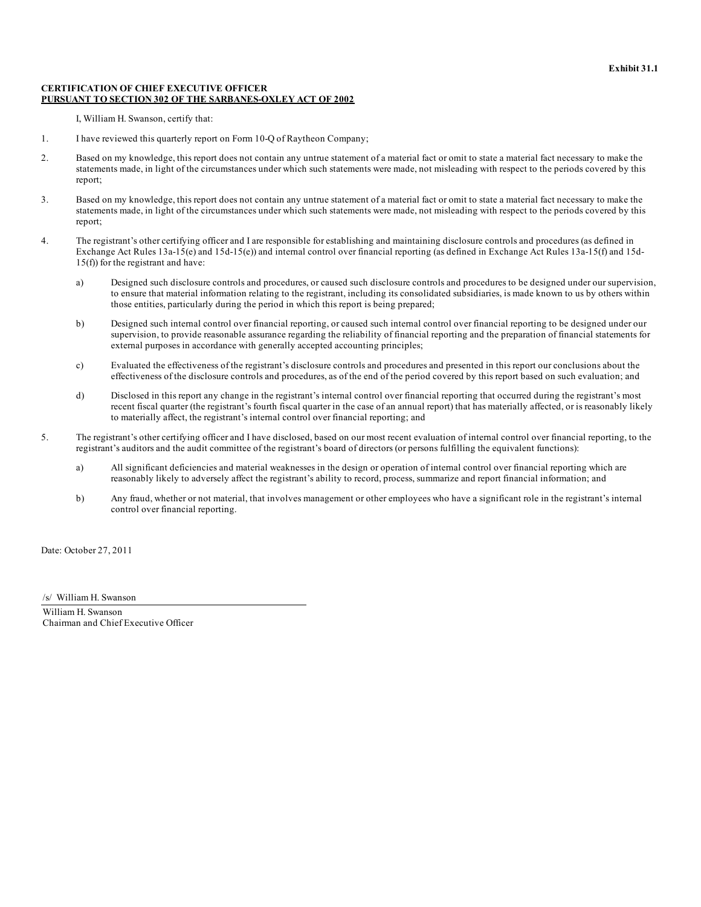# **CERTIFICATION OF CHIEF EXECUTIVE OFFICER PURSUANT TO SECTION 302 OF THE SARBANES-OXLEY ACT OF 2002**

I, William H. Swanson, certify that:

- 1. I have reviewed this quarterly report on Form 10-Q of Raytheon Company;
- 2. Based on my knowledge, this report does not contain any untrue statement of a material fact or omit to state a material fact necessary to make the statements made, in light of the circumstances under which such statements were made, not misleading with respect to the periods covered by this report;
- 3. Based on my knowledge, this report does not contain any untrue statement of a material fact or omit to state a material fact necessary to make the statements made, in light of the circumstances under which such statements were made, not misleading with respect to the periods covered by this report;
- 4. The registrant's other certifying officer and I are responsible for establishing and maintaining disclosure controls and procedures (as defined in Exchange Act Rules 13a-15(e) and 15d-15(e)) and internal control over financial reporting (as defined in Exchange Act Rules 13a-15(f) and 15d-15(f)) for the registrant and have:
	- a) Designed such disclosure controls and procedures, or caused such disclosure controls and procedures to be designed under our supervision, to ensure that material information relating to the registrant, including its consolidated subsidiaries, is made known to us by others within those entities, particularly during the period in which this report is being prepared;
	- b) Designed such internal control over financial reporting, or caused such internal control over financial reporting to be designed under our supervision, to provide reasonable assurance regarding the reliability of financial reporting and the preparation of financial statements for external purposes in accordance with generally accepted accounting principles;
	- c) Evaluated the effectiveness of the registrant's disclosure controls and procedures and presented in this report our conclusions about the effectiveness of the disclosure controls and procedures, as of the end of the period covered by this report based on such evaluation; and
	- d) Disclosed in this report any change in the registrant's internal control over financial reporting that occurred during the registrant's most recent fiscal quarter (the registrant's fourth fiscal quarter in the case of an annual report) that has materially affected, or is reasonably likely to materially affect, the registrant's internal control over financial reporting; and
- 5. The registrant's other certifying officer and I have disclosed, based on our most recent evaluation of internal control over financial reporting, to the registrant's auditors and the audit committee of the registrant's board of directors (or persons fulfilling the equivalent functions):
	- a) All significant deficiencies and material weaknesses in the design or operation of internal control over financial reporting which are reasonably likely to adversely affect the registrant's ability to record, process, summarize and report financial information; and
	- b) Any fraud, whether or not material, that involves management or other employees who have a significant role in the registrant's internal control over financial reporting.

Date: October 27, 2011

/s/ William H. Swanson

William H. Swanson Chairman and Chief Executive Officer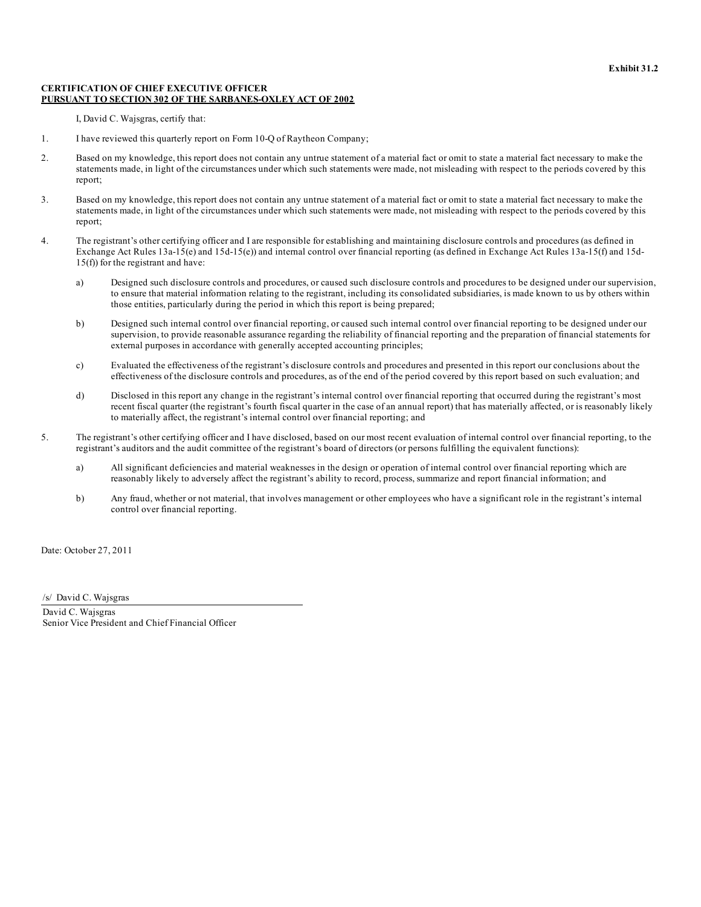# **CERTIFICATION OF CHIEF EXECUTIVE OFFICER PURSUANT TO SECTION 302 OF THE SARBANES-OXLEY ACT OF 2002**

I, David C. Wajsgras, certify that:

- 1. I have reviewed this quarterly report on Form 10-Q of Raytheon Company;
- 2. Based on my knowledge, this report does not contain any untrue statement of a material fact or omit to state a material fact necessary to make the statements made, in light of the circumstances under which such statements were made, not misleading with respect to the periods covered by this report;
- 3. Based on my knowledge, this report does not contain any untrue statement of a material fact or omit to state a material fact necessary to make the statements made, in light of the circumstances under which such statements were made, not misleading with respect to the periods covered by this report;
- 4. The registrant's other certifying officer and I are responsible for establishing and maintaining disclosure controls and procedures (as defined in Exchange Act Rules 13a-15(e) and 15d-15(e)) and internal control over financial reporting (as defined in Exchange Act Rules 13a-15(f) and 15d-15(f)) for the registrant and have:
	- a) Designed such disclosure controls and procedures, or caused such disclosure controls and procedures to be designed under our supervision, to ensure that material information relating to the registrant, including its consolidated subsidiaries, is made known to us by others within those entities, particularly during the period in which this report is being prepared;
	- b) Designed such internal control over financial reporting, or caused such internal control over financial reporting to be designed under our supervision, to provide reasonable assurance regarding the reliability of financial reporting and the preparation of financial statements for external purposes in accordance with generally accepted accounting principles;
	- c) Evaluated the effectiveness of the registrant's disclosure controls and procedures and presented in this report our conclusions about the effectiveness of the disclosure controls and procedures, as of the end of the period covered by this report based on such evaluation; and
	- d) Disclosed in this report any change in the registrant's internal control over financial reporting that occurred during the registrant's most recent fiscal quarter (the registrant's fourth fiscal quarter in the case of an annual report) that has materially affected, or is reasonably likely to materially affect, the registrant's internal control over financial reporting; and
- 5. The registrant's other certifying officer and I have disclosed, based on our most recent evaluation of internal control over financial reporting, to the registrant's auditors and the audit committee of the registrant's board of directors (or persons fulfilling the equivalent functions):
	- a) All significant deficiencies and material weaknesses in the design or operation of internal control over financial reporting which are reasonably likely to adversely affect the registrant's ability to record, process, summarize and report financial information; and
	- b) Any fraud, whether or not material, that involves management or other employees who have a significant role in the registrant's internal control over financial reporting.

Date: October 27, 2011

/s/ David C. Wajsgras

David C. Wajsgras Senior Vice President and Chief Financial Officer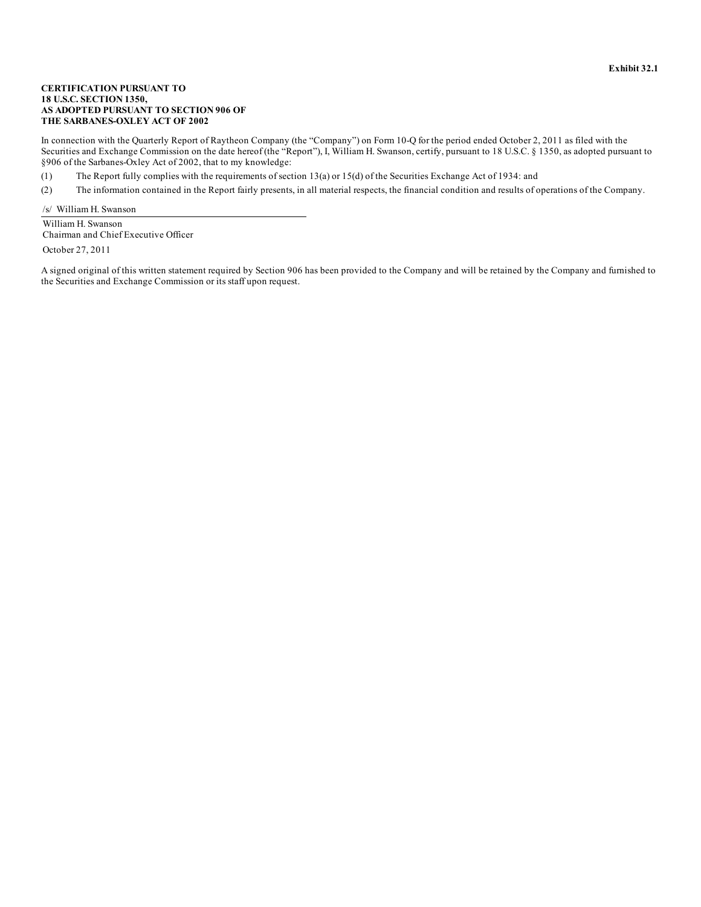#### **CERTIFICATION PURSUANT TO 18 U.S.C. SECTION 1350, AS ADOPTED PURSUANT TO SECTION 906 OF THE SARBANES-OXLEY ACT OF 2002**

In connection with the Quarterly Report of Raytheon Company (the "Company") on Form 10-Q for the period ended October 2, 2011 as filed with the Securities and Exchange Commission on the date hereof (the "Report"), I, William H. Swanson, certify, pursuant to 18 U.S.C. § 1350, as adopted pursuant to §906 of the Sarbanes-Oxley Act of 2002, that to my knowledge:

(1) The Report fully complies with the requirements of section 13(a) or 15(d) of the Securities Exchange Act of 1934: and

(2) The information contained in the Report fairly presents, in all material respects, the financial condition and results of operations of the Company.

/s/ William H. Swanson

William H. Swanson Chairman and Chief Executive Officer October 27, 2011

A signed original of this written statement required by Section 906 has been provided to the Company and will be retained by the Company and furnished to the Securities and Exchange Commission or its staff upon request.